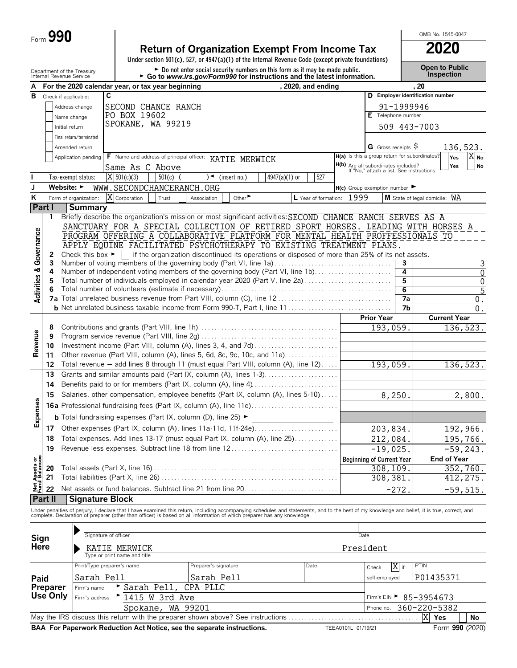| Form $\boldsymbol{J}$ | 990 |
|-----------------------|-----|
|-----------------------|-----|

## **Return of Organization Exempt From Income Tax 2020**

**Under section 501(c), 527, or 4947(a)(1) of the Internal Revenue Code (except private foundations)**

Department of the Treasury **Depen to Public**<br>Internal Revenue Service **Depen to Public**<br>Internal Revenue Service **Depending the Go to www.irs.gov/Form990 for instructions and the latest information. This pection** 

OMB No. 1545-0047

| А                                      | וונפווומו ו פעכוועכ טכו אוטנ   |                                      | For the 2020 calendar year, or tax year beginning                                                                                                                                                                                 |                   | $\sim$ Go to www.irs.gov/Formsso for instructions and the latest imormation.                    |                             |               | , 2020, and ending        |                    |                                                                                        |                | . 20                             |                                |
|----------------------------------------|--------------------------------|--------------------------------------|-----------------------------------------------------------------------------------------------------------------------------------------------------------------------------------------------------------------------------------|-------------------|-------------------------------------------------------------------------------------------------|-----------------------------|---------------|---------------------------|--------------------|----------------------------------------------------------------------------------------|----------------|----------------------------------|--------------------------------|
|                                        | <b>B</b> Check if applicable:  |                                      | C                                                                                                                                                                                                                                 |                   |                                                                                                 |                             |               |                           |                    |                                                                                        |                | D Employer identification number |                                |
|                                        |                                | Address change                       | SECOND CHANCE RANCH                                                                                                                                                                                                               |                   |                                                                                                 |                             |               |                           |                    |                                                                                        | 91-1999946     |                                  |                                |
|                                        |                                |                                      | PO BOX 19602                                                                                                                                                                                                                      |                   |                                                                                                 |                             |               |                           |                    | E Telephone number                                                                     |                |                                  |                                |
|                                        |                                | Name change                          | SPOKANE, WA 99219                                                                                                                                                                                                                 |                   |                                                                                                 |                             |               |                           |                    |                                                                                        |                |                                  |                                |
|                                        | Initial return                 |                                      |                                                                                                                                                                                                                                   |                   |                                                                                                 |                             |               |                           |                    |                                                                                        |                | 509 443-7003                     |                                |
|                                        |                                | Final return/terminated              |                                                                                                                                                                                                                                   |                   |                                                                                                 |                             |               |                           |                    |                                                                                        |                |                                  |                                |
|                                        |                                | Amended return                       |                                                                                                                                                                                                                                   |                   |                                                                                                 |                             |               |                           |                    | <b>G</b> Gross receipts $\varsigma$<br>H(a) Is this a group return for subordinates?   |                |                                  | 136,523.                       |
|                                        |                                | Application pending                  | F Name and address of principal officer: KATIE MERWICK                                                                                                                                                                            |                   |                                                                                                 |                             |               |                           |                    |                                                                                        |                |                                  | IX No<br>Yes<br>Yes<br>No      |
|                                        |                                |                                      | Same As C Above                                                                                                                                                                                                                   |                   |                                                                                                 |                             |               |                           |                    | <b>H(b)</b> Are all subordinates included?<br>If "No," attach a list. See instructions |                |                                  |                                |
|                                        |                                | Tax-exempt status:                   | $X$ 501(c)(3)                                                                                                                                                                                                                     | $501(c)$ (        |                                                                                                 | $)$ (insert no.)            | 4947(a)(1) or | 527                       |                    |                                                                                        |                |                                  |                                |
| J                                      | Website: $\blacktriangleright$ |                                      | WWW.SECONDCHANCERANCH.ORG                                                                                                                                                                                                         |                   |                                                                                                 |                             |               |                           |                    | $H(c)$ Group exemption number $\blacktriangleright$                                    |                |                                  |                                |
| ĸ                                      |                                | Form of organization:                | X Corporation                                                                                                                                                                                                                     | Trust             | Association                                                                                     | Other $\blacktriangleright$ |               | L Year of formation: 1999 |                    |                                                                                        |                | M State of legal domicile: WA    |                                |
|                                        | <b>Part I</b>                  | <b>Summary</b>                       |                                                                                                                                                                                                                                   |                   |                                                                                                 |                             |               |                           |                    |                                                                                        |                |                                  |                                |
|                                        | 1                              |                                      | Briefly describe the organization's mission or most significant activities: SECOND CHANCE RANCH SERVES AS A                                                                                                                       |                   |                                                                                                 |                             |               |                           |                    |                                                                                        |                |                                  |                                |
|                                        |                                |                                      | SANCTUARY FOR A SPECIAL COLLECTION OF RETIRED SPORT HORSES. LEADING WITH HORSES A<br>PROGRAM OFFERING A COLLABORATIVE PLATFORM FOR MENTAL HEALTH PROFFESSIONALS TO                                                                |                   |                                                                                                 |                             |               |                           |                    |                                                                                        |                |                                  |                                |
| Governance                             |                                |                                      | APPLY EQUINE FACILITATED PSYCHOTHERAPY TO EXISTING TREATMENT PLANS                                                                                                                                                                |                   |                                                                                                 |                             |               |                           |                    |                                                                                        |                |                                  |                                |
|                                        | 2                              | Check this box $\blacktriangleright$ |                                                                                                                                                                                                                                   |                   | if the organization discontinued its operations or disposed of more than 25% of its net assets. |                             |               |                           |                    |                                                                                        |                |                                  |                                |
|                                        | 3                              |                                      | Number of voting members of the governing body (Part VI, line 1a)                                                                                                                                                                 |                   |                                                                                                 |                             |               |                           |                    |                                                                                        | 3              |                                  | 3                              |
|                                        | 4                              |                                      | Number of independent voting members of the governing body (Part VI, line 1b)                                                                                                                                                     |                   |                                                                                                 |                             |               |                           |                    |                                                                                        | 4              |                                  | 0                              |
|                                        | 5                              |                                      | Total number of individuals employed in calendar year 2020 (Part V, line 2a)                                                                                                                                                      |                   |                                                                                                 |                             |               |                           |                    |                                                                                        | 5              |                                  | 0                              |
| <b>Activities &amp;</b>                | 6                              |                                      |                                                                                                                                                                                                                                   |                   |                                                                                                 |                             |               |                           |                    |                                                                                        | $\overline{6}$ |                                  | $\overline{5}$                 |
|                                        |                                |                                      |                                                                                                                                                                                                                                   |                   |                                                                                                 |                             |               |                           |                    |                                                                                        | 7a             |                                  | $0$ .                          |
|                                        |                                |                                      |                                                                                                                                                                                                                                   |                   |                                                                                                 |                             |               |                           |                    |                                                                                        | 7b             |                                  | 0.                             |
|                                        |                                |                                      |                                                                                                                                                                                                                                   |                   |                                                                                                 |                             |               |                           |                    | <b>Prior Year</b>                                                                      |                |                                  | <b>Current Year</b>            |
|                                        | 8<br>9                         |                                      |                                                                                                                                                                                                                                   |                   |                                                                                                 |                             |               |                           |                    | 193,059.                                                                               |                |                                  | 136,523.                       |
| Revenue                                | 10                             |                                      |                                                                                                                                                                                                                                   |                   |                                                                                                 |                             |               |                           |                    |                                                                                        |                |                                  |                                |
|                                        | 11                             |                                      | Other revenue (Part VIII, column (A), lines 5, 6d, 8c, 9c, 10c, and 11e)                                                                                                                                                          |                   |                                                                                                 |                             |               |                           |                    |                                                                                        |                |                                  |                                |
|                                        | 12                             |                                      | Total revenue - add lines 8 through 11 (must equal Part VIII, column (A), line 12)                                                                                                                                                |                   |                                                                                                 |                             |               |                           |                    | 193,059.                                                                               |                |                                  | 136,523.                       |
|                                        | 13                             |                                      | Grants and similar amounts paid (Part IX, column (A), lines 1-3)                                                                                                                                                                  |                   |                                                                                                 |                             |               |                           |                    |                                                                                        |                |                                  |                                |
|                                        | 14                             |                                      | Benefits paid to or for members (Part IX, column (A), line 4)                                                                                                                                                                     |                   |                                                                                                 |                             |               |                           |                    |                                                                                        |                |                                  |                                |
|                                        | 15                             |                                      | Salaries, other compensation, employee benefits (Part IX, column (A), lines 5-10)                                                                                                                                                 |                   |                                                                                                 |                             |               | 8,250.                    |                    | 2,800.                                                                                 |                |                                  |                                |
| Expenses                               |                                |                                      |                                                                                                                                                                                                                                   |                   |                                                                                                 |                             |               |                           |                    |                                                                                        |                |                                  |                                |
|                                        |                                |                                      | <b>b</b> Total fundraising expenses (Part IX, column (D), line 25) ►                                                                                                                                                              |                   |                                                                                                 |                             |               |                           |                    |                                                                                        |                |                                  |                                |
|                                        |                                |                                      |                                                                                                                                                                                                                                   |                   |                                                                                                 |                             |               |                           |                    |                                                                                        |                |                                  |                                |
|                                        | 17                             |                                      |                                                                                                                                                                                                                                   |                   |                                                                                                 |                             |               |                           |                    | 203,834.                                                                               |                |                                  | 192,966.                       |
|                                        | 18                             |                                      | Total expenses. Add lines 13-17 (must equal Part IX, column (A), line 25)                                                                                                                                                         |                   |                                                                                                 |                             |               |                           |                    | 212,084.                                                                               |                |                                  | 195,766.                       |
|                                        | 19                             |                                      | Revenue less expenses. Subtract line 18 from line 12                                                                                                                                                                              |                   |                                                                                                 |                             |               |                           |                    | $-19,025.$                                                                             |                |                                  | $-59, 243.$                    |
|                                        | 20                             |                                      |                                                                                                                                                                                                                                   |                   |                                                                                                 |                             |               |                           |                    | <b>Beginning of Current Year</b><br>308,109.                                           |                |                                  | <b>End of Year</b><br>352,760. |
|                                        | 21                             |                                      |                                                                                                                                                                                                                                   |                   |                                                                                                 |                             |               |                           |                    | 308,381.                                                                               |                |                                  | 412,275.                       |
| <b>Net Assets or<br/>Fund Balances</b> | 22                             |                                      | Net assets or fund balances. Subtract line 21 from line 20                                                                                                                                                                        |                   |                                                                                                 |                             |               |                           |                    |                                                                                        |                |                                  |                                |
|                                        | <b>Part II</b>                 | <b>Signature Block</b>               |                                                                                                                                                                                                                                   |                   |                                                                                                 |                             |               |                           |                    |                                                                                        | $-272$ .       |                                  | $-59,515.$                     |
|                                        |                                |                                      |                                                                                                                                                                                                                                   |                   |                                                                                                 |                             |               |                           |                    |                                                                                        |                |                                  |                                |
|                                        |                                |                                      | Under penalties of perjury, I declare that I have examined this return, including accompanying schedules and statements, and to the best of my knowledge and belief, it is true, correct, and<br>complete. Declaration of prepare |                   |                                                                                                 |                             |               |                           |                    |                                                                                        |                |                                  |                                |
|                                        |                                |                                      |                                                                                                                                                                                                                                   |                   |                                                                                                 |                             |               |                           |                    |                                                                                        |                |                                  |                                |
| Sign                                   |                                |                                      | Signature of officer                                                                                                                                                                                                              |                   |                                                                                                 |                             |               |                           |                    | Date                                                                                   |                |                                  |                                |
| Here                                   |                                |                                      | KATIE MERWICK                                                                                                                                                                                                                     |                   |                                                                                                 |                             |               |                           |                    | President                                                                              |                |                                  |                                |
|                                        |                                |                                      | Type or print name and title                                                                                                                                                                                                      |                   |                                                                                                 |                             |               |                           |                    |                                                                                        |                |                                  |                                |
|                                        |                                |                                      | Print/Type preparer's name                                                                                                                                                                                                        |                   | Preparer's signature                                                                            |                             |               | Date                      |                    | Check                                                                                  | X if           | PTIN                             |                                |
| Paid                                   |                                | Sarah Pell<br>Sarah Pell             |                                                                                                                                                                                                                                   |                   |                                                                                                 |                             |               |                           |                    | self-employed                                                                          |                | P01435371                        |                                |
|                                        | Preparer                       | Firm's name                          | Sarah Pell,                                                                                                                                                                                                                       |                   | CPA PLLC                                                                                        |                             |               |                           |                    |                                                                                        |                |                                  |                                |
|                                        | Use Only                       | Firm's address                       | $^{\triangleright}$ 1415 W 3rd Ave                                                                                                                                                                                                |                   |                                                                                                 |                             |               |                           |                    |                                                                                        |                | Firm's EIN ► 85-3954673          |                                |
|                                        |                                |                                      |                                                                                                                                                                                                                                   | Spokane, WA 99201 |                                                                                                 |                             |               |                           |                    | Phone no.                                                                              |                | 360-220-5382                     |                                |
|                                        |                                |                                      | May the IRS discuss this return with the preparer shown above? See instructions                                                                                                                                                   |                   |                                                                                                 |                             |               |                           |                    |                                                                                        |                | X<br>Yes                         | No                             |
|                                        |                                |                                      | BAA For Paperwork Reduction Act Notice, see the separate instructions.                                                                                                                                                            |                   |                                                                                                 |                             |               |                           | TEEA0101L 01/19/21 |                                                                                        |                |                                  | Form 990 (2020)                |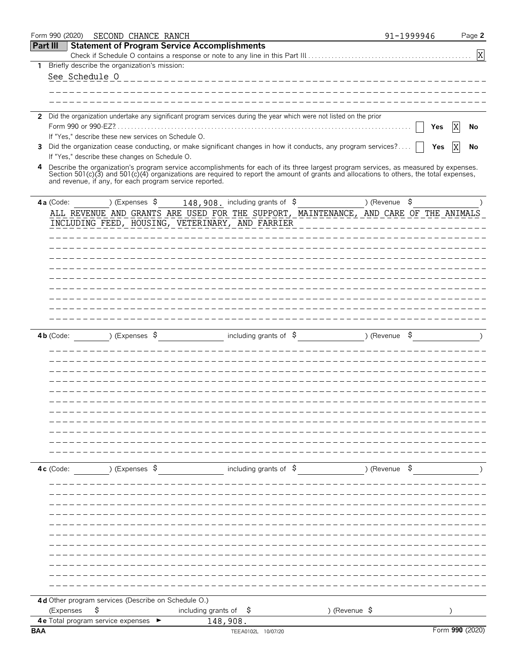|                 | Form 990 (2020)                      | SECOND CHANCE RANCH                             |                |                                                         |          |                                                                                                                                                                                                                                                                                    |               |               | 91-1999946 |                 | Page 2      |
|-----------------|--------------------------------------|-------------------------------------------------|----------------|---------------------------------------------------------|----------|------------------------------------------------------------------------------------------------------------------------------------------------------------------------------------------------------------------------------------------------------------------------------------|---------------|---------------|------------|-----------------|-------------|
| <b>Part III</b> |                                      |                                                 |                | <b>Statement of Program Service Accomplishments</b>     |          |                                                                                                                                                                                                                                                                                    |               |               |            |                 |             |
|                 |                                      |                                                 |                |                                                         |          |                                                                                                                                                                                                                                                                                    |               |               |            |                 | $\mathbf X$ |
| 1               |                                      | Briefly describe the organization's mission:    |                |                                                         |          |                                                                                                                                                                                                                                                                                    |               |               |            |                 |             |
|                 | See Schedule 0                       |                                                 |                |                                                         |          | --------------------------------------                                                                                                                                                                                                                                             |               |               |            |                 |             |
|                 |                                      |                                                 |                |                                                         |          |                                                                                                                                                                                                                                                                                    |               |               |            |                 |             |
|                 |                                      |                                                 |                |                                                         |          |                                                                                                                                                                                                                                                                                    |               |               |            |                 |             |
|                 |                                      |                                                 |                |                                                         |          | 2 Did the organization undertake any significant program services during the year which were not listed on the prior                                                                                                                                                               |               |               |            |                 |             |
|                 |                                      |                                                 |                |                                                         |          |                                                                                                                                                                                                                                                                                    |               |               | Yes        | ΙX              | No          |
|                 |                                      |                                                 |                | If "Yes," describe these new services on Schedule O.    |          |                                                                                                                                                                                                                                                                                    |               |               |            |                 |             |
| 3               |                                      |                                                 |                |                                                         |          | Did the organization cease conducting, or make significant changes in how it conducts, any program services?                                                                                                                                                                       |               |               | Yes        | X               | No          |
|                 |                                      | If "Yes," describe these changes on Schedule O. |                |                                                         |          |                                                                                                                                                                                                                                                                                    |               |               |            |                 |             |
|                 |                                      |                                                 |                | and revenue, if any, for each program service reported. |          | 4 Describe the organization's program service accomplishments for each of its three largest program services, as measured by expenses.<br>Section 501(c)(3) and 501(c)(4) organizations are required to report the amount of grants and allocations to others, the total expenses, |               |               |            |                 |             |
|                 | 4a (Code:                            |                                                 | ) (Expenses \$ |                                                         |          | 148,908. including grants of \$                                                                                                                                                                                                                                                    |               | ) (Revenue \$ |            |                 |             |
|                 |                                      |                                                 |                |                                                         |          | ALL REVENUE AND GRANTS ARE USED FOR THE SUPPORT, MAINTENANCE, AND CARE OF THE ANIMALS                                                                                                                                                                                              |               |               |            |                 |             |
|                 |                                      |                                                 |                |                                                         |          | INCLUDING FEED, HOUSING, VETERINARY, AND FARRIER                                                                                                                                                                                                                                   |               |               |            |                 |             |
|                 |                                      |                                                 |                |                                                         |          |                                                                                                                                                                                                                                                                                    |               |               |            |                 |             |
|                 |                                      |                                                 |                |                                                         |          |                                                                                                                                                                                                                                                                                    |               |               |            |                 |             |
|                 |                                      |                                                 |                |                                                         |          |                                                                                                                                                                                                                                                                                    |               |               |            |                 |             |
|                 |                                      |                                                 |                |                                                         |          |                                                                                                                                                                                                                                                                                    |               |               |            |                 |             |
|                 |                                      |                                                 |                |                                                         |          |                                                                                                                                                                                                                                                                                    |               |               |            |                 |             |
|                 |                                      |                                                 |                |                                                         |          |                                                                                                                                                                                                                                                                                    |               |               |            |                 |             |
|                 |                                      |                                                 |                |                                                         |          |                                                                                                                                                                                                                                                                                    |               |               |            |                 |             |
|                 |                                      |                                                 |                |                                                         |          |                                                                                                                                                                                                                                                                                    |               |               |            |                 |             |
|                 |                                      |                                                 |                |                                                         |          |                                                                                                                                                                                                                                                                                    |               |               |            |                 |             |
|                 | $4b$ (Code:                          |                                                 | ) (Expenses \$ |                                                         |          | including grants of $\frac{6}{7}$                                                                                                                                                                                                                                                  |               | )(Revenue  \$ |            |                 |             |
|                 |                                      |                                                 |                |                                                         |          |                                                                                                                                                                                                                                                                                    |               |               |            |                 |             |
|                 |                                      |                                                 |                |                                                         |          |                                                                                                                                                                                                                                                                                    |               |               |            |                 |             |
|                 |                                      |                                                 |                |                                                         |          |                                                                                                                                                                                                                                                                                    |               |               |            |                 |             |
|                 |                                      |                                                 |                |                                                         |          |                                                                                                                                                                                                                                                                                    |               |               |            |                 |             |
|                 |                                      |                                                 |                |                                                         |          |                                                                                                                                                                                                                                                                                    |               |               |            |                 |             |
|                 |                                      |                                                 |                |                                                         |          |                                                                                                                                                                                                                                                                                    |               |               |            |                 |             |
|                 |                                      |                                                 |                |                                                         |          |                                                                                                                                                                                                                                                                                    |               |               |            |                 |             |
|                 |                                      |                                                 |                |                                                         |          |                                                                                                                                                                                                                                                                                    |               |               |            |                 |             |
|                 |                                      |                                                 |                |                                                         |          |                                                                                                                                                                                                                                                                                    |               |               |            |                 |             |
|                 |                                      |                                                 |                |                                                         |          |                                                                                                                                                                                                                                                                                    |               |               |            |                 |             |
|                 |                                      |                                                 |                |                                                         |          |                                                                                                                                                                                                                                                                                    |               |               |            |                 |             |
|                 | $4c$ (Code:                          |                                                 | ) (Expenses \$ |                                                         |          | including grants of $\beta$                                                                                                                                                                                                                                                        |               | ) (Revenue \$ |            |                 |             |
|                 |                                      |                                                 |                |                                                         |          |                                                                                                                                                                                                                                                                                    |               |               |            |                 |             |
|                 |                                      |                                                 |                |                                                         |          |                                                                                                                                                                                                                                                                                    |               |               |            |                 |             |
|                 |                                      |                                                 |                |                                                         |          |                                                                                                                                                                                                                                                                                    |               |               |            |                 |             |
|                 |                                      |                                                 |                |                                                         |          |                                                                                                                                                                                                                                                                                    |               |               |            |                 |             |
|                 |                                      |                                                 |                |                                                         |          |                                                                                                                                                                                                                                                                                    |               |               |            |                 |             |
|                 |                                      |                                                 |                |                                                         |          |                                                                                                                                                                                                                                                                                    |               |               |            |                 |             |
|                 |                                      |                                                 |                |                                                         |          |                                                                                                                                                                                                                                                                                    |               |               |            |                 |             |
|                 |                                      |                                                 |                |                                                         |          |                                                                                                                                                                                                                                                                                    |               |               |            |                 |             |
|                 |                                      |                                                 |                |                                                         |          |                                                                                                                                                                                                                                                                                    |               |               |            |                 |             |
|                 |                                      |                                                 |                |                                                         |          |                                                                                                                                                                                                                                                                                    |               |               |            |                 |             |
|                 |                                      |                                                 |                |                                                         |          |                                                                                                                                                                                                                                                                                    |               |               |            |                 |             |
|                 |                                      |                                                 |                | 4d Other program services (Describe on Schedule O.)     |          |                                                                                                                                                                                                                                                                                    |               |               |            |                 |             |
|                 | (Expenses                            | \$                                              |                | including grants of $\frac{1}{2}$                       |          |                                                                                                                                                                                                                                                                                    | ) (Revenue \$ |               |            |                 |             |
| <b>BAA</b>      | 4 e Total program service expenses ► |                                                 |                |                                                         | 148,908. | TEEA0102L 10/07/20                                                                                                                                                                                                                                                                 |               |               |            | Form 990 (2020) |             |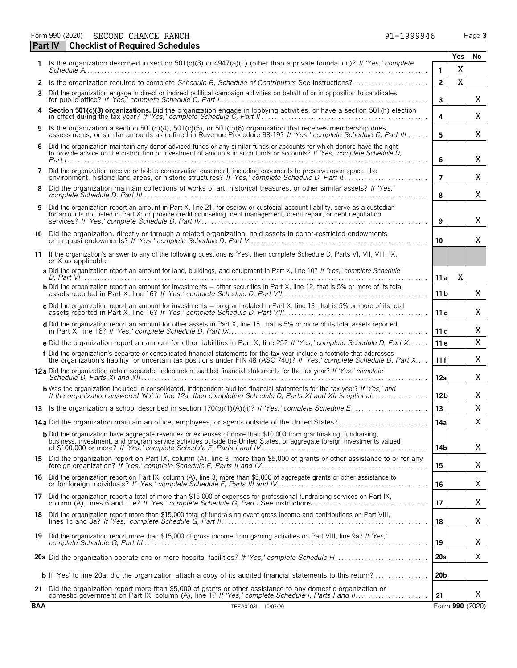Form 990 (2020) Page **3** SECOND CHANCE RANCH 91-1999946

|            | <b>Checklist of Required Schedules</b><br><b>Part IV</b>                                                                                                                                                                                            |                     |          |                 |
|------------|-----------------------------------------------------------------------------------------------------------------------------------------------------------------------------------------------------------------------------------------------------|---------------------|----------|-----------------|
| 1.         | Is the organization described in section 501(c)(3) or 4947(a)(1) (other than a private foundation)? If 'Yes,' complete                                                                                                                              |                     | Yes<br>X | No              |
| 2          | Is the organization required to complete Schedule B, Schedule of Contributors See instructions?                                                                                                                                                     | 1<br>$\overline{2}$ | X        |                 |
| 3          | Did the organization engage in direct or indirect political campaign activities on behalf of or in opposition to candidates                                                                                                                         | 3                   |          | X               |
|            | Section 501(c)(3) organizations. Did the organization engage in lobbying activities, or have a section 501(h) election in effect during the tax year? If 'Yes,' complete Schedule C, Part II                                                        | 4                   |          | Χ               |
| 5          | Is the organization a section 501(c)(4), 501(c)(5), or 501(c)(6) organization that receives membership dues, assessments, or similar amounts as defined in Revenue Procedure 98-19? If 'Yes,' complete Schedule C, Part III                         | 5                   |          | X               |
| 6          | Did the organization maintain any donor advised funds or any similar funds or accounts for which donors have the right<br>to provide advice on the distribution or investment of amounts in such funds or accounts? If 'Yes,' complete Schedule D,  | 6                   |          | X               |
| 7          | Did the organization receive or hold a conservation easement, including easements to preserve open space, the<br>environment, historic land areas, or historic structures? If 'Yes,' complete Schedule D, Part II.                                  | $\overline{7}$      |          | Χ               |
| 8          | Did the organization maintain collections of works of art, historical treasures, or other similar assets? If 'Yes,'                                                                                                                                 | 8                   |          | X               |
| 9          | Did the organization report an amount in Part X, line 21, for escrow or custodial account liability, serve as a custodian<br>for amounts not listed in Part X; or provide credit counseling, debt management, credit repair, or debt negotiation    | 9                   |          | X               |
| 10         | Did the organization, directly or through a related organization, hold assets in donor-restricted endowments                                                                                                                                        | 10                  |          | X               |
| 11         | If the organization's answer to any of the following questions is 'Yes', then complete Schedule D, Parts VI, VII, VIII, IX,<br>or X as applicable.                                                                                                  |                     |          |                 |
|            | a Did the organization report an amount for land, buildings, and equipment in Part X, line 10? If 'Yes,' complete Schedule                                                                                                                          | 11 a                | X        |                 |
|            | <b>b</b> Did the organization report an amount for investments – other securities in Part X, line 12, that is 5% or more of its total                                                                                                               | 11 <sub>b</sub>     |          | X               |
|            | c Did the organization report an amount for investments - program related in Part X, line 13, that is 5% or more of its total                                                                                                                       | 11c                 |          | X               |
|            | d Did the organization report an amount for other assets in Part X, line 15, that is 5% or more of its total assets reported                                                                                                                        | 11d                 |          | X               |
|            | e Did the organization report an amount for other liabilities in Part X, line 25? If 'Yes,' complete Schedule D, Part X                                                                                                                             | 11e                 |          | X               |
|            | f Did the organization's separate or consolidated financial statements for the tax year include a footnote that addresses<br>the organization's liability for uncertain tax positions under FIN 48 (ASC 740)? If 'Yes,' complete Schedule D, Part X | 11f                 |          | X               |
|            | 12a Did the organization obtain separate, independent audited financial statements for the tax year? If 'Yes,' complete                                                                                                                             | 12a                 |          | Χ               |
|            | <b>b</b> Was the organization included in consolidated, independent audited financial statements for the tax year? If 'Yes,' and                                                                                                                    | 12 <sub>b</sub>     |          | X               |
|            |                                                                                                                                                                                                                                                     | 13                  |          | X               |
|            | 14a Did the organization maintain an office, employees, or agents outside of the United States?                                                                                                                                                     | 14a                 |          | Χ               |
|            | <b>b</b> Did the organization have aggregate revenues or expenses of more than \$10,000 from grantmaking, fundraising,<br>business, investment, and program service activities outside the United States, or aggregate foreign investments valued   | 14b                 |          | X               |
|            | 15 Did the organization report on Part IX, column (A), line 3, more than \$5,000 of grants or other assistance to or for any                                                                                                                        | 15                  |          | X               |
|            | 16 Did the organization report on Part IX, column (A), line 3, more than \$5,000 of aggregate grants or other assistance to<br>or for foreign individuals? If 'Yes,' complete Schedule F, Parts III and IV                                          | 16                  |          | Χ               |
|            | 17 Did the organization report a total of more than \$15,000 of expenses for professional fundraising services on Part IX,                                                                                                                          | 17                  |          | X               |
|            | 18 Did the organization report more than \$15,000 total of fundraising event gross income and contributions on Part VIII,                                                                                                                           | 18                  |          | X               |
|            | 19 Did the organization report more than \$15,000 of gross income from gaming activities on Part VIII, line 9a? If 'Yes,'                                                                                                                           | 19                  |          | X               |
|            |                                                                                                                                                                                                                                                     | 20a                 |          | X               |
|            | <b>b</b> If 'Yes' to line 20a, did the organization attach a copy of its audited financial statements to this return?                                                                                                                               | 20 <sub>b</sub>     |          |                 |
|            | 21 Did the organization report more than \$5,000 of grants or other assistance to any domestic organization or                                                                                                                                      | 21                  |          | X               |
| <b>BAA</b> | TEEA0103L 10/07/20                                                                                                                                                                                                                                  |                     |          | Form 990 (2020) |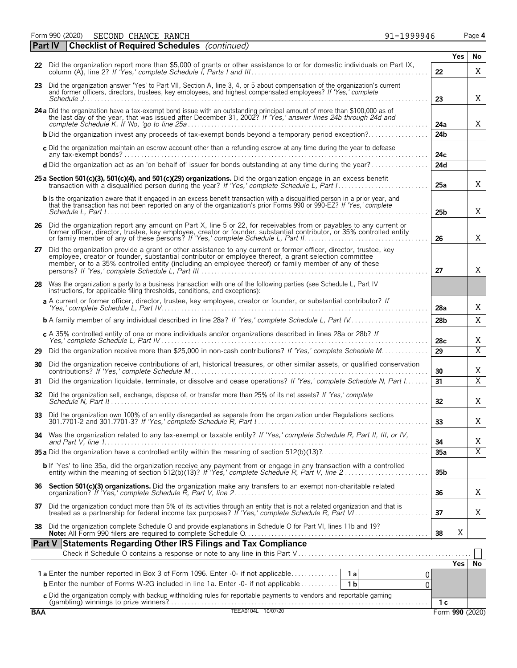Form 990 (2020) Page **4** SECOND CHANCE RANCH 91-1999946

| $91 - 1999946$ |  |  |  |  |
|----------------|--|--|--|--|
|                |  |  |  |  |

|    | <b>Part IV</b> | <b>Checklist of Required Schedules</b> (continued)                                                                                                                                                                                                                                                                                                                                                               |                 |            |                       |
|----|----------------|------------------------------------------------------------------------------------------------------------------------------------------------------------------------------------------------------------------------------------------------------------------------------------------------------------------------------------------------------------------------------------------------------------------|-----------------|------------|-----------------------|
|    |                |                                                                                                                                                                                                                                                                                                                                                                                                                  |                 | Yes        | No                    |
|    |                | 22 Did the organization report more than \$5,000 of grants or other assistance to or for domestic individuals on Part IX,                                                                                                                                                                                                                                                                                        | 22              |            | X                     |
|    |                | 23 Did the organization answer 'Yes' to Part VII, Section A, line 3, 4, or 5 about compensation of the organization's current<br>and former officers, directors, trustees, key employees, and highest compensated employees? If 'Yes,' complete<br>Schedule $J_{1}, \ldots, J_{n}$ . $\ldots, J_{n}$ . $\ldots, J_{n}$ . $\ldots, J_{n}$ . $\ldots, J_{n}$ . $\ldots, J_{n}$ . $\ldots, J_{n}$ . $\ldots, J_{n}$ | 23              |            | X                     |
|    |                | 24 a Did the organization have a tax-exempt bond issue with an outstanding principal amount of more than \$100,000 as of the last day of the year, that was issued after December 31, 2002? If 'Yes,' answer lines 24b through                                                                                                                                                                                   | 24a             |            | X                     |
|    |                |                                                                                                                                                                                                                                                                                                                                                                                                                  | 24 <sub>b</sub> |            |                       |
|    |                | c Did the organization maintain an escrow account other than a refunding escrow at any time during the year to defease                                                                                                                                                                                                                                                                                           | 24с             |            |                       |
|    |                | d Did the organization act as an 'on behalf of' issuer for bonds outstanding at any time during the year?                                                                                                                                                                                                                                                                                                        | 24d             |            |                       |
|    |                | 25 a Section 501(c)(3), 501(c)(4), and 501(c)(29) organizations. Did the organization engage in an excess benefit                                                                                                                                                                                                                                                                                                | 25a             |            | X                     |
|    |                | <b>b</b> Is the organization aware that it engaged in an excess benefit transaction with a disqualified person in a prior year, and<br>that the transaction has not been reported on any of the organization's prior Forms 990 or 990-EZ? If 'Yes,' complete                                                                                                                                                     | 25b             |            | X                     |
|    |                | 26 Did the organization report any amount on Part X, line 5 or 22, for receivables from or payables to any current or former officer, director, trustee, key employee, creator or founder, substantial contributor, or 35% con                                                                                                                                                                                   | 26              |            | Χ                     |
| 27 |                | Did the organization provide a grant or other assistance to any current or former officer, director, trustee, key<br>employee, creator or founder, substantial contributor or employee thereof, a grant selection committee<br>member, or to a 35% controlled entity (including an employee thereof) or family member of any of these                                                                            | 27              |            | Χ                     |
| 28 |                | Was the organization a party to a business transaction with one of the following parties (see Schedule L, Part IV<br>instructions, for applicable filing thresholds, conditions, and exceptions):                                                                                                                                                                                                                |                 |            |                       |
|    |                | a A current or former officer, director, trustee, key employee, creator or founder, or substantial contributor? If                                                                                                                                                                                                                                                                                               | 28a             |            | Χ                     |
|    |                | <b>b</b> A family member of any individual described in line 28a? If 'Yes,' complete Schedule L, Part IV                                                                                                                                                                                                                                                                                                         | 28 <sub>b</sub> |            | X                     |
|    |                | c A 35% controlled entity of one or more individuals and/or organizations described in lines 28a or 28b? If                                                                                                                                                                                                                                                                                                      | 28c             |            | Χ                     |
| 29 |                | Did the organization receive more than \$25,000 in non-cash contributions? If 'Yes,' complete Schedule M                                                                                                                                                                                                                                                                                                         | 29              |            | $\overline{\text{X}}$ |
| 30 |                | Did the organization receive contributions of art, historical treasures, or other similar assets, or qualified conservation                                                                                                                                                                                                                                                                                      | 30              |            | Χ                     |
| 31 |                | Did the organization liquidate, terminate, or dissolve and cease operations? If 'Yes,' complete Schedule N, Part I                                                                                                                                                                                                                                                                                               | 31              |            | $\overline{X}$        |
| 32 |                | Did the organization sell, exchange, dispose of, or transfer more than 25% of its net assets? If 'Yes,' complete                                                                                                                                                                                                                                                                                                 | 32 <sub>2</sub> |            | Χ                     |
|    |                | 33 Did the organization own 100% of an entity disregarded as separate from the organization under Regulations sections                                                                                                                                                                                                                                                                                           | 33              |            | Χ                     |
| 34 |                | Was the organization related to any tax-exempt or taxable entity? If 'Yes,' complete Schedule R, Part II, III, or IV,                                                                                                                                                                                                                                                                                            | 34              |            | Χ                     |
|    |                |                                                                                                                                                                                                                                                                                                                                                                                                                  | 35a             |            | $\overline{X}$        |
|    |                | <b>b</b> If 'Yes' to line 35a, did the organization receive any payment from or engage in any transaction with a controlled entity within the meaning of section 512(b)(13)? If 'Yes,' complete Schedule R, Part V, line 2                                                                                                                                                                                       | 35 <sub>b</sub> |            |                       |
|    |                |                                                                                                                                                                                                                                                                                                                                                                                                                  | 36              |            | Χ                     |
|    |                | 37 Did the organization conduct more than 5% of its activities through an entity that is not a related organization and that is treated as a partnership for federal income tax purposes? If 'Yes,' complete Schedule R, Part                                                                                                                                                                                    | 37              |            | Χ                     |
| 38 |                | Did the organization complete Schedule O and provide explanations in Schedule O for Part VI, lines 11b and 19?                                                                                                                                                                                                                                                                                                   | 38              | X          |                       |
|    |                | Part V Statements Regarding Other IRS Filings and Tax Compliance                                                                                                                                                                                                                                                                                                                                                 |                 |            |                       |
|    |                |                                                                                                                                                                                                                                                                                                                                                                                                                  |                 | <b>Yes</b> | No                    |
|    |                | 0.                                                                                                                                                                                                                                                                                                                                                                                                               |                 |            |                       |
|    |                | <b>b</b> Enter the number of Forms W-2G included in line 1a. Enter -0- if not applicable<br>1 <sub>b</sub><br>0                                                                                                                                                                                                                                                                                                  |                 |            |                       |
|    |                | c Did the organization comply with backup withholding rules for reportable payments to vendors and reportable qaming                                                                                                                                                                                                                                                                                             | 1 с             |            |                       |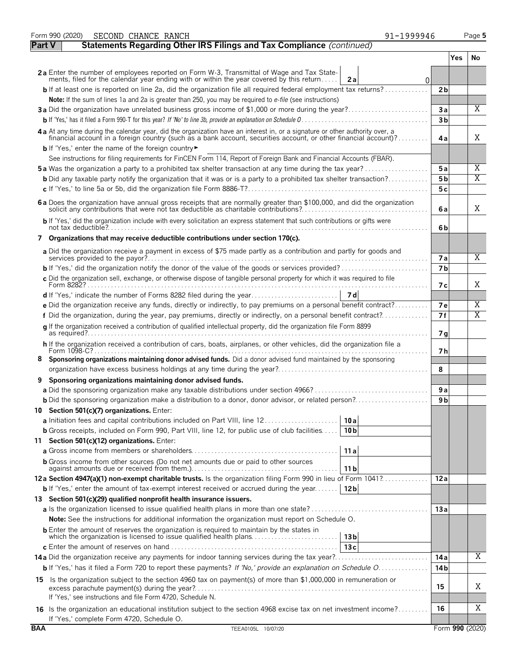|            | 91-1999946<br>Form 990 (2020)<br>SECOND CHANCE RANCH                                                                                                                                                                                             |                 |     | Page 5         |
|------------|--------------------------------------------------------------------------------------------------------------------------------------------------------------------------------------------------------------------------------------------------|-----------------|-----|----------------|
| Part V     | Statements Regarding Other IRS Filings and Tax Compliance (continued)                                                                                                                                                                            |                 |     |                |
|            |                                                                                                                                                                                                                                                  |                 | Yes | No.            |
|            | 2a Enter the number of employees reported on Form W-3, Transmittal of Wage and Tax State-<br>ments, filed for the calendar year ending with or within the year covered by this return<br>2a                                                      | 0               |     |                |
|            | $\mathsf{b}$ If at least one is reported on line 2a, did the organization file all required federal employment tax returns?                                                                                                                      | 2 <sub>b</sub>  |     |                |
|            | Note: If the sum of lines 1a and 2a is greater than 250, you may be required to e-file (see instructions)                                                                                                                                        |                 |     |                |
|            | 3a Did the organization have unrelated business gross income of \$1,000 or more during the year?                                                                                                                                                 | 3a              |     | $\overline{X}$ |
|            |                                                                                                                                                                                                                                                  | 3 <sub>b</sub>  |     |                |
|            | 4a At any time during the calendar year, did the organization have an interest in, or a signature or other authority over, a<br>financial account in a foreign country (such as a bank account, securities account, or other financial account)? | 4a              |     | X              |
|            | b If 'Yes,' enter the name of the foreign country                                                                                                                                                                                                |                 |     |                |
|            | See instructions for filing requirements for FinCEN Form 114, Report of Foreign Bank and Financial Accounts (FBAR).<br><b>5a</b> Was the organization a party to a prohibited tax shelter transaction at any time during the tax year?           | 5a              |     | Χ              |
|            | <b>b</b> Did any taxable party notify the organization that it was or is a party to a prohibited tax shelter transaction?                                                                                                                        | 5 <sub>b</sub>  |     | $\overline{X}$ |
|            |                                                                                                                                                                                                                                                  | 5 c             |     |                |
|            | 6a Does the organization have annual gross receipts that are normally greater than \$100,000, and did the organization                                                                                                                           |                 |     |                |
|            |                                                                                                                                                                                                                                                  | 6a              |     | X              |
|            | b If 'Yes,' did the organization include with every solicitation an express statement that such contributions or gifts were                                                                                                                      | 6b              |     |                |
|            | 7 Organizations that may receive deductible contributions under section 170(c).                                                                                                                                                                  |                 |     |                |
|            | a Did the organization receive a payment in excess of \$75 made partly as a contribution and partly for goods and                                                                                                                                | <b>7a</b>       |     | X              |
|            |                                                                                                                                                                                                                                                  | 7 <sub>b</sub>  |     |                |
|            | c Did the organization sell, exchange, or otherwise dispose of tangible personal property for which it was required to file                                                                                                                      |                 |     |                |
|            |                                                                                                                                                                                                                                                  | 7 с             |     | X              |
|            |                                                                                                                                                                                                                                                  |                 |     |                |
|            | e Did the organization receive any funds, directly or indirectly, to pay premiums on a personal benefit contract?                                                                                                                                | 7e              |     | Χ              |
|            | f Did the organization, during the year, pay premiums, directly or indirectly, on a personal benefit contract?                                                                                                                                   | 7f              |     | X              |
|            | g If the organization received a contribution of qualified intellectual property, did the organization file Form 8899                                                                                                                            | 7 <sub>q</sub>  |     |                |
|            | h If the organization received a contribution of cars, boats, airplanes, or other vehicles, did the organization file a<br>Form 1098-C?                                                                                                          | 7 h             |     |                |
|            | 8 Sponsoring organizations maintaining donor advised funds. Did a donor advised fund maintained by the sponsoring                                                                                                                                |                 |     |                |
|            |                                                                                                                                                                                                                                                  | 8               |     |                |
|            | Sponsoring organizations maintaining donor advised funds.                                                                                                                                                                                        |                 |     |                |
|            |                                                                                                                                                                                                                                                  | 9 a             |     |                |
|            |                                                                                                                                                                                                                                                  | 9 b             |     |                |
|            | 10 Section 501(c)(7) organizations. Enter:                                                                                                                                                                                                       |                 |     |                |
|            | a Initiation fees and capital contributions included on Part VIII, line 12<br>10 a                                                                                                                                                               |                 |     |                |
|            | <b>b</b> Gross receipts, included on Form 990, Part VIII, line 12, for public use of club facilities<br>10 <sub>b</sub>                                                                                                                          |                 |     |                |
|            | 11 Section 501(c)(12) organizations. Enter:<br>11a                                                                                                                                                                                               |                 |     |                |
|            | <b>b</b> Gross income from other sources (Do not net amounts due or paid to other sources                                                                                                                                                        |                 |     |                |
|            | 11 b                                                                                                                                                                                                                                             |                 |     |                |
|            | 12a Section 4947(a)(1) non-exempt charitable trusts. Is the organization filing Form 990 in lieu of Form 1041?                                                                                                                                   | 12a             |     |                |
|            | <b>b</b> If 'Yes,' enter the amount of tax-exempt interest received or accrued during the year<br>12 <sub>b</sub>                                                                                                                                |                 |     |                |
|            | 13 Section 501(c)(29) qualified nonprofit health insurance issuers.                                                                                                                                                                              |                 |     |                |
|            |                                                                                                                                                                                                                                                  | 13a             |     |                |
|            | <b>Note:</b> See the instructions for additional information the organization must report on Schedule O.                                                                                                                                         |                 |     |                |
|            | <b>b</b> Enter the amount of reserves the organization is required to maintain by the states in<br>13 <sub>b</sub>                                                                                                                               |                 |     |                |
|            | 13c                                                                                                                                                                                                                                              |                 |     |                |
|            |                                                                                                                                                                                                                                                  | 14 a            |     | Χ              |
|            | <b>b</b> If 'Yes,' has it filed a Form 720 to report these payments? If 'No,' provide an explanation on Schedule O                                                                                                                               | 14 <sub>b</sub> |     |                |
|            | 15 Is the organization subject to the section 4960 tax on payment(s) of more than \$1,000,000 in remuneration or                                                                                                                                 | 15              |     | Χ              |
|            | If 'Yes,' see instructions and file Form 4720, Schedule N.                                                                                                                                                                                       |                 |     |                |
|            | 16 Is the organization an educational institution subject to the section 4968 excise tax on net investment income?                                                                                                                               | 16              |     | Χ              |
|            | If 'Yes,' complete Form 4720, Schedule O.                                                                                                                                                                                                        |                 |     |                |
| <b>BAA</b> | TEEA0105L 10/07/20                                                                                                                                                                                                                               | Form 990 (2020) |     |                |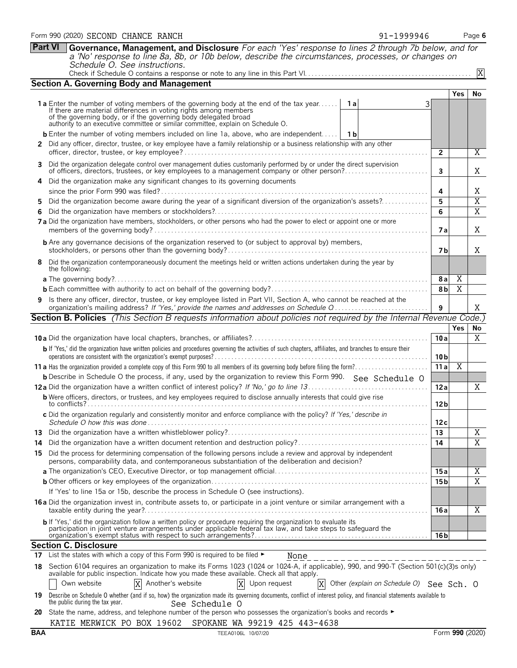|            | <b>b</b> Enter the number of voting members included on line 1a, above, who are independent<br>1 <sub>b</sub>                                                                                                                            |                 |                 |                         |  |  |  |  |  |  |  |  |
|------------|------------------------------------------------------------------------------------------------------------------------------------------------------------------------------------------------------------------------------------------|-----------------|-----------------|-------------------------|--|--|--|--|--|--|--|--|
|            | Did any officer, director, trustee, or key employee have a family relationship or a business relationship with any other                                                                                                                 |                 |                 |                         |  |  |  |  |  |  |  |  |
|            |                                                                                                                                                                                                                                          | $\overline{2}$  |                 | Χ                       |  |  |  |  |  |  |  |  |
| З.         | Did the organization delegate control over management duties customarily performed by or under the direct supervision<br>of officers, directors, trustees, or key employees to a management company or other person?                     | 3               |                 | Χ                       |  |  |  |  |  |  |  |  |
| 4          | Did the organization make any significant changes to its governing documents                                                                                                                                                             |                 |                 |                         |  |  |  |  |  |  |  |  |
|            |                                                                                                                                                                                                                                          | 4               |                 | Χ                       |  |  |  |  |  |  |  |  |
| 5          | Did the organization become aware during the year of a significant diversion of the organization's assets?                                                                                                                               | 5               |                 | X                       |  |  |  |  |  |  |  |  |
| 6          |                                                                                                                                                                                                                                          | 6               |                 | X                       |  |  |  |  |  |  |  |  |
|            | 7a Did the organization have members, stockholders, or other persons who had the power to elect or appoint one or more                                                                                                                   | 7 a             |                 | Χ                       |  |  |  |  |  |  |  |  |
|            | <b>b</b> Are any governance decisions of the organization reserved to (or subject to approval by) members,                                                                                                                               | 7 b             |                 | Χ                       |  |  |  |  |  |  |  |  |
| 8          | Did the organization contemporaneously document the meetings held or written actions undertaken during the year by<br>the following:                                                                                                     |                 |                 |                         |  |  |  |  |  |  |  |  |
|            |                                                                                                                                                                                                                                          | 8a              | Χ               |                         |  |  |  |  |  |  |  |  |
|            |                                                                                                                                                                                                                                          |                 |                 |                         |  |  |  |  |  |  |  |  |
| 9          | Is there any officer, director, trustee, or key employee listed in Part VII, Section A, who cannot be reached at the                                                                                                                     |                 |                 |                         |  |  |  |  |  |  |  |  |
|            | organization's mailing address? If 'Yes,' provide the names and addresses on Schedule Q                                                                                                                                                  | 9               |                 | X                       |  |  |  |  |  |  |  |  |
|            | Section B. Policies (This Section B requests information about policies not required by the Internal Revenue Code.)                                                                                                                      |                 |                 |                         |  |  |  |  |  |  |  |  |
|            |                                                                                                                                                                                                                                          |                 | Yes             | No                      |  |  |  |  |  |  |  |  |
|            |                                                                                                                                                                                                                                          | 10a             |                 | Χ                       |  |  |  |  |  |  |  |  |
|            | b If 'Yes,' did the organization have written policies and procedures governing the activities of such chapters, affiliates, and branches to ensure their                                                                                | 10 <sub>b</sub> |                 |                         |  |  |  |  |  |  |  |  |
|            |                                                                                                                                                                                                                                          | 11a             | $\overline{X}$  |                         |  |  |  |  |  |  |  |  |
|            | <b>b</b> Describe in Schedule O the process, if any, used by the organization to review this Form 990. See Schedule O                                                                                                                    |                 |                 |                         |  |  |  |  |  |  |  |  |
|            |                                                                                                                                                                                                                                          | 12a             |                 | X                       |  |  |  |  |  |  |  |  |
|            | <b>b</b> Were officers, directors, or trustees, and key employees required to disclose annually interests that could give rise                                                                                                           | 12 <sub>b</sub> |                 |                         |  |  |  |  |  |  |  |  |
|            | c Did the organization regularly and consistently monitor and enforce compliance with the policy? If 'Yes,' describe in                                                                                                                  | 12 c            |                 |                         |  |  |  |  |  |  |  |  |
|            |                                                                                                                                                                                                                                          | 13              |                 | Χ                       |  |  |  |  |  |  |  |  |
|            |                                                                                                                                                                                                                                          | 14              |                 | $\overline{\mathbf{X}}$ |  |  |  |  |  |  |  |  |
|            | 15 Did the process for determining compensation of the following persons include a review and approval by independent<br>persons, comparability data, and contemporaneous substantiation of the deliberation and decision?               |                 |                 |                         |  |  |  |  |  |  |  |  |
|            |                                                                                                                                                                                                                                          | 15a             |                 | Χ                       |  |  |  |  |  |  |  |  |
|            |                                                                                                                                                                                                                                          | 15 <sub>b</sub> |                 | X                       |  |  |  |  |  |  |  |  |
|            | If 'Yes' to line 15a or 15b, describe the process in Schedule O (see instructions).                                                                                                                                                      |                 |                 |                         |  |  |  |  |  |  |  |  |
|            | 16a Did the organization invest in, contribute assets to, or participate in a joint venture or similar arrangement with a                                                                                                                | 16 a            |                 | X                       |  |  |  |  |  |  |  |  |
|            | <b>b</b> If 'Yes,' did the organization follow a written policy or procedure requiring the organization to evaluate its<br>participation in joint venture arrangements under applicable federal tax law, and take steps to safeguard the |                 |                 |                         |  |  |  |  |  |  |  |  |
|            |                                                                                                                                                                                                                                          | 16 b            |                 |                         |  |  |  |  |  |  |  |  |
|            | <b>Section C. Disclosure</b><br>17 List the states with which a copy of this Form 990 is required to be filed $\blacktriangleright$                                                                                                      |                 |                 |                         |  |  |  |  |  |  |  |  |
| 18.        | None<br>Section 6104 requires an organization to make its Forms 1023 (1024 or 1024-A, if applicable), 990, and 990-T (Section 501(c)(3)s only)                                                                                           |                 |                 |                         |  |  |  |  |  |  |  |  |
|            | available for public inspection. Indicate how you made these available. Check all that apply.<br>Another's website<br>X<br>X<br>Other (explain on Schedule O) See Sch. O<br> X <br>Upon request<br>Own website                           |                 |                 |                         |  |  |  |  |  |  |  |  |
| 19.        | Describe on Schedule O whether (and if so, how) the organization made its governing documents, conflict of interest policy, and financial statements available to<br>the public during the tax year.<br>See Schedule O                   |                 |                 |                         |  |  |  |  |  |  |  |  |
|            | 20 State the name, address, and telephone number of the person who possesses the organization's books and records ►                                                                                                                      |                 |                 |                         |  |  |  |  |  |  |  |  |
|            | SPOKANE WA 99219 425 443-4638<br>KATIE MERWICK PO BOX 19602                                                                                                                                                                              |                 |                 |                         |  |  |  |  |  |  |  |  |
| <b>BAA</b> | TEEA0106L 10/07/20                                                                                                                                                                                                                       |                 | Form 990 (2020) |                         |  |  |  |  |  |  |  |  |
|            |                                                                                                                                                                                                                                          |                 |                 |                         |  |  |  |  |  |  |  |  |

**Part VI Governance, Management, and Disclosure** *For each 'Yes' response to lines 2 through 7b below, and for a 'No' response to line 8a, 8b, or 10b below, describe the circumstances, processes, or changes on*

1 **a** Enter the number of voting members of the governing body at the end of the tax year...... 1 **a**<br>If there are material differences in voting rights among members<br>of the governing body, or if the governing body delegat

authority to an executive committee or similar committee, explain on Schedule O.

Check if Schedule O contains a response or note to any line in this Part VI. . . . . . . . . . . . . . . . . . . . . . . . . . . . . . . . . . . . . . . . . . . . . . . . . .

*Schedule O. See instructions.*

**Section A. Governing Body and Management**

3

X

**Yes No**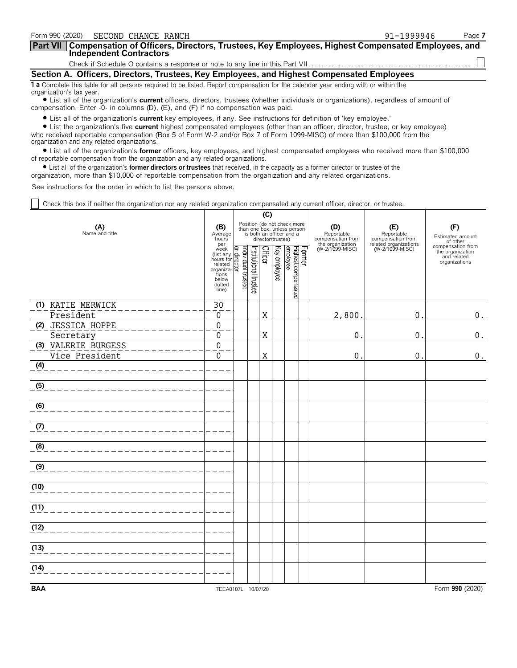| Form 990 (2020) SECOND CHANCE RANCH                                                                                                                                                                                         | $91 - 1999946$ | Page 7 |  |  |  |  |  |  |  |
|-----------------------------------------------------------------------------------------------------------------------------------------------------------------------------------------------------------------------------|----------------|--------|--|--|--|--|--|--|--|
| Part VII   Compensation of Officers, Directors, Trustees, Key Employees, Highest Compensated Employees, and<br><b>Independent Contractors</b>                                                                               |                |        |  |  |  |  |  |  |  |
|                                                                                                                                                                                                                             |                |        |  |  |  |  |  |  |  |
| Section A. Officers, Directors, Trustees, Key Employees, and Highest Compensated Employees                                                                                                                                  |                |        |  |  |  |  |  |  |  |
| 1 a Complete this table for all persons required to be listed. Report compensation for the calendar year ending with or within the<br>organization's tax year.                                                              |                |        |  |  |  |  |  |  |  |
| • List all of the organization's current officers, directors, trustees (whether individuals or organizations), regardless of amount of<br>compensation. Enter -0- in columns (D), (E), and (F) if no compensation was paid. |                |        |  |  |  |  |  |  |  |

? List all of the organization's **current** key employees, if any. See instructions for definition of 'key employee.'

? List the organization's five **current** highest compensated employees (other than an officer, director, trustee, or key employee) who received reportable compensation (Box 5 of Form W-2 and/or Box 7 of Form 1099-MISC) of more than \$100,000 from the organization and any related organizations.

? List all of the organization's **former** officers, key employees, and highest compensated employees who received more than \$100,000 of reportable compensation from the organization and any related organizations.

? List all of the organization's **former directors or trustees** that received, in the capacity as a former director or trustee of the

organization, more than \$10,000 of reportable compensation from the organization and any related organizations.

See instructions for the order in which to list the persons above.

Check this box if neither the organization nor any related organization compensated any current officer, director, or trustee.

|                       |                                                                                                                                                                                                                                                                                                                            | (C) |                       |         |                   |                                                                                        |        |                                        |                                          |                                                                       |
|-----------------------|----------------------------------------------------------------------------------------------------------------------------------------------------------------------------------------------------------------------------------------------------------------------------------------------------------------------------|-----|-----------------------|---------|-------------------|----------------------------------------------------------------------------------------|--------|----------------------------------------|------------------------------------------|-----------------------------------------------------------------------|
| (A)<br>Name and title | (B)<br>Average<br>hours<br>per                                                                                                                                                                                                                                                                                             |     |                       |         | director/trustee) | Position (do not check more<br>than one box, unless person<br>is both an officer and a |        | (D)<br>Reportable<br>compensation from | (E)<br>Reportable<br>compensation from   | (F)<br>Estimated amount<br>of other                                   |
|                       | per<br>week<br>(list any Graph<br>hours for dealed<br>hours of dealed<br>tions<br>below<br>dotted<br>line)<br>(line)<br>dotted<br>perfect<br>$\frac{1}{2}$<br>$\frac{1}{2}$<br>$\frac{1}{2}$<br>$\frac{1}{2}$<br>$\frac{1}{2}$<br>$\frac{1}{2}$<br>$\frac{1}{2}$<br>$\frac{1}{2}$<br>$\frac{1}{2}$<br>$\frac{1}{$<br>line) |     | Institutional trustee | Officer | Key employee      | Highest compensated<br>employee                                                        | Former | the organization<br>(W-2/1099-MISC)    | related organizations<br>(W-2/1099-MISC) | compensation from<br>the organization<br>and related<br>organizations |
| (1) KATIE MERWICK     | 30                                                                                                                                                                                                                                                                                                                         |     |                       |         |                   |                                                                                        |        |                                        |                                          |                                                                       |
| President             | 0                                                                                                                                                                                                                                                                                                                          |     |                       | X       |                   |                                                                                        |        | 2,800                                  | $\pmb{0}$                                | $0$ .                                                                 |
| (2) JESSICA HOPPE     | $\boldsymbol{0}$                                                                                                                                                                                                                                                                                                           |     |                       |         |                   |                                                                                        |        |                                        |                                          |                                                                       |
| Secretary             | 0                                                                                                                                                                                                                                                                                                                          |     |                       | X       |                   |                                                                                        |        | $\pmb{0}$                              | $\boldsymbol{0}$                         | $0$ .                                                                 |
| (3) VALERIE BURGESS   | $\boldsymbol{0}$                                                                                                                                                                                                                                                                                                           |     |                       |         |                   |                                                                                        |        |                                        |                                          |                                                                       |
| Vice President        | $\mathbf 0$                                                                                                                                                                                                                                                                                                                |     |                       | X       |                   |                                                                                        |        | $\pmb{0}$                              | 0                                        | $0$ .                                                                 |
| (4)                   |                                                                                                                                                                                                                                                                                                                            |     |                       |         |                   |                                                                                        |        |                                        |                                          |                                                                       |
| (5)                   |                                                                                                                                                                                                                                                                                                                            |     |                       |         |                   |                                                                                        |        |                                        |                                          |                                                                       |
| (6)                   |                                                                                                                                                                                                                                                                                                                            |     |                       |         |                   |                                                                                        |        |                                        |                                          |                                                                       |
| (7)                   |                                                                                                                                                                                                                                                                                                                            |     |                       |         |                   |                                                                                        |        |                                        |                                          |                                                                       |
| (8)                   |                                                                                                                                                                                                                                                                                                                            |     |                       |         |                   |                                                                                        |        |                                        |                                          |                                                                       |
| (9)                   |                                                                                                                                                                                                                                                                                                                            |     |                       |         |                   |                                                                                        |        |                                        |                                          |                                                                       |
| (10)                  |                                                                                                                                                                                                                                                                                                                            |     |                       |         |                   |                                                                                        |        |                                        |                                          |                                                                       |
| (11)                  |                                                                                                                                                                                                                                                                                                                            |     |                       |         |                   |                                                                                        |        |                                        |                                          |                                                                       |
| (12)                  |                                                                                                                                                                                                                                                                                                                            |     |                       |         |                   |                                                                                        |        |                                        |                                          |                                                                       |
| (13)                  |                                                                                                                                                                                                                                                                                                                            |     |                       |         |                   |                                                                                        |        |                                        |                                          |                                                                       |
| (14)                  |                                                                                                                                                                                                                                                                                                                            |     |                       |         |                   |                                                                                        |        |                                        |                                          |                                                                       |
| <b>BAA</b>            | TEEA0107L 10/07/20                                                                                                                                                                                                                                                                                                         |     |                       |         |                   |                                                                                        |        |                                        |                                          | Form 990 (2020)                                                       |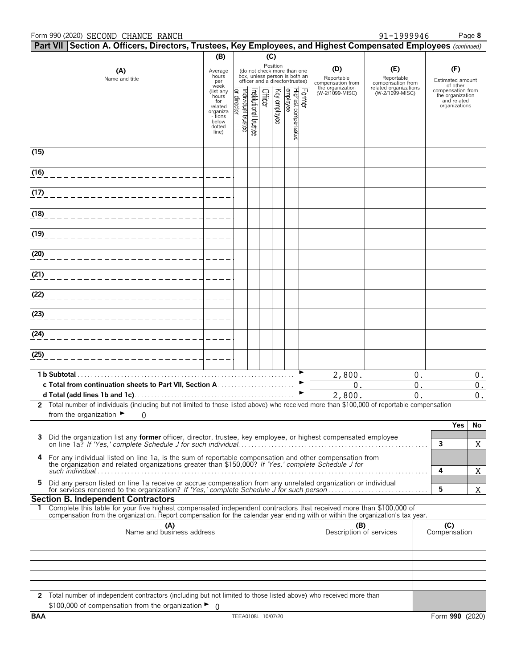#### Form 990 (2020) Page **8** SECOND CHANCE RANCH 91-1999946

| Part VII Section A. Officers, Directors, Trustees, Key Employees, and Highest Compensated Employees (continued)                                                                                                      |                                                                                                 |                                |                      |         |              |                                                                                                             |        |                                        |                                          |                     |                                                                                   |             |
|----------------------------------------------------------------------------------------------------------------------------------------------------------------------------------------------------------------------|-------------------------------------------------------------------------------------------------|--------------------------------|----------------------|---------|--------------|-------------------------------------------------------------------------------------------------------------|--------|----------------------------------------|------------------------------------------|---------------------|-----------------------------------------------------------------------------------|-------------|
|                                                                                                                                                                                                                      | (B)                                                                                             |                                |                      | (C)     |              |                                                                                                             |        |                                        |                                          |                     |                                                                                   |             |
| (A)<br>Name and title                                                                                                                                                                                                | Average<br>hours<br>per                                                                         |                                |                      |         |              | Position<br>(do not check more than one<br>box, unless person is both an<br>officer and a director/trustee) |        | (D)<br>Reportable<br>compensation from | (E)<br>Reportable<br>compensation from   |                     | (F)<br>Estimated amount                                                           |             |
|                                                                                                                                                                                                                      | week<br>(list any<br>hours<br>for<br>related<br>organiza<br>- tions<br>below<br>dotted<br>line) | Individual trustee<br>director | nstitutional trustee | Officer | Key employee | Highest compensated<br>employee                                                                             | Former | the organization<br>(W-2/1099-MISC)    | related organizations<br>(W-2/1099-MISC) |                     | of other<br>compensation from<br>the organization<br>and related<br>organizations |             |
| (15)                                                                                                                                                                                                                 |                                                                                                 |                                |                      |         |              |                                                                                                             |        |                                        |                                          |                     |                                                                                   |             |
| (16)                                                                                                                                                                                                                 |                                                                                                 |                                |                      |         |              |                                                                                                             |        |                                        |                                          |                     |                                                                                   |             |
| (17)                                                                                                                                                                                                                 |                                                                                                 |                                |                      |         |              |                                                                                                             |        |                                        |                                          |                     |                                                                                   |             |
| (18)                                                                                                                                                                                                                 |                                                                                                 |                                |                      |         |              |                                                                                                             |        |                                        |                                          |                     |                                                                                   |             |
| (19)                                                                                                                                                                                                                 |                                                                                                 |                                |                      |         |              |                                                                                                             |        |                                        |                                          |                     |                                                                                   |             |
| (20)                                                                                                                                                                                                                 |                                                                                                 |                                |                      |         |              |                                                                                                             |        |                                        |                                          |                     |                                                                                   |             |
| (21)                                                                                                                                                                                                                 |                                                                                                 |                                |                      |         |              |                                                                                                             |        |                                        |                                          |                     |                                                                                   |             |
| (22)                                                                                                                                                                                                                 |                                                                                                 |                                |                      |         |              |                                                                                                             |        |                                        |                                          |                     |                                                                                   |             |
| (23)                                                                                                                                                                                                                 |                                                                                                 |                                |                      |         |              |                                                                                                             |        |                                        |                                          |                     |                                                                                   |             |
| (24)                                                                                                                                                                                                                 |                                                                                                 |                                |                      |         |              |                                                                                                             |        |                                        |                                          |                     |                                                                                   |             |
| (25)                                                                                                                                                                                                                 |                                                                                                 |                                |                      |         |              |                                                                                                             |        |                                        |                                          |                     |                                                                                   |             |
|                                                                                                                                                                                                                      |                                                                                                 |                                |                      |         |              |                                                                                                             |        | 2,800.                                 | $0$ .                                    |                     |                                                                                   | $0$ .       |
|                                                                                                                                                                                                                      |                                                                                                 |                                |                      |         |              |                                                                                                             |        | 0.<br>2,800.                           | 0.<br>0.                                 |                     |                                                                                   | $0$ .<br>0. |
| 2 Total number of individuals (including but not limited to those listed above) who received more than \$100,000 of reportable compensation                                                                          |                                                                                                 |                                |                      |         |              |                                                                                                             |        |                                        |                                          |                     |                                                                                   |             |
| from the organization $\blacktriangleright$ 0                                                                                                                                                                        |                                                                                                 |                                |                      |         |              |                                                                                                             |        |                                        |                                          |                     | Yes                                                                               | No          |
| Did the organization list any former officer, director, trustee, key employee, or highest compensated employee<br>3                                                                                                  |                                                                                                 |                                |                      |         |              |                                                                                                             |        |                                        |                                          | $\mathbf{3}$        |                                                                                   | X           |
| For any individual listed on line 1a, is the sum of reportable compensation and other compensation from<br>4<br>the organization and related organizations greater than \$150,000? If 'Yes,' complete Schedule J for |                                                                                                 |                                |                      |         |              |                                                                                                             |        |                                        |                                          | 4                   |                                                                                   | Χ           |
| 5.<br>Did any person listed on line 1a receive or accrue compensation from any unrelated organization or individual                                                                                                  |                                                                                                 |                                |                      |         |              |                                                                                                             |        |                                        |                                          | 5                   |                                                                                   | X           |
| <b>Section B. Independent Contractors</b><br>Complete this table for your five highest compensated independent contractors that received more than \$100,000 of                                                      |                                                                                                 |                                |                      |         |              |                                                                                                             |        |                                        |                                          |                     |                                                                                   |             |
| compensation from the organization. Report compensation for the calendar year ending with or within the organization's tax year.                                                                                     |                                                                                                 |                                |                      |         |              |                                                                                                             |        |                                        |                                          |                     |                                                                                   |             |
| (A)<br>Name and business address                                                                                                                                                                                     |                                                                                                 |                                |                      |         |              |                                                                                                             |        | (B)<br>Description of services         |                                          | (C)<br>Compensation |                                                                                   |             |
|                                                                                                                                                                                                                      |                                                                                                 |                                |                      |         |              |                                                                                                             |        |                                        |                                          |                     |                                                                                   |             |
|                                                                                                                                                                                                                      |                                                                                                 |                                |                      |         |              |                                                                                                             |        |                                        |                                          |                     |                                                                                   |             |
|                                                                                                                                                                                                                      |                                                                                                 |                                |                      |         |              |                                                                                                             |        |                                        |                                          |                     |                                                                                   |             |
| 2 Total number of independent contractors (including but not limited to those listed above) who received more than<br>\$100,000 of compensation from the organization $\blacktriangleright$ 0                        |                                                                                                 |                                |                      |         |              |                                                                                                             |        |                                        |                                          |                     |                                                                                   |             |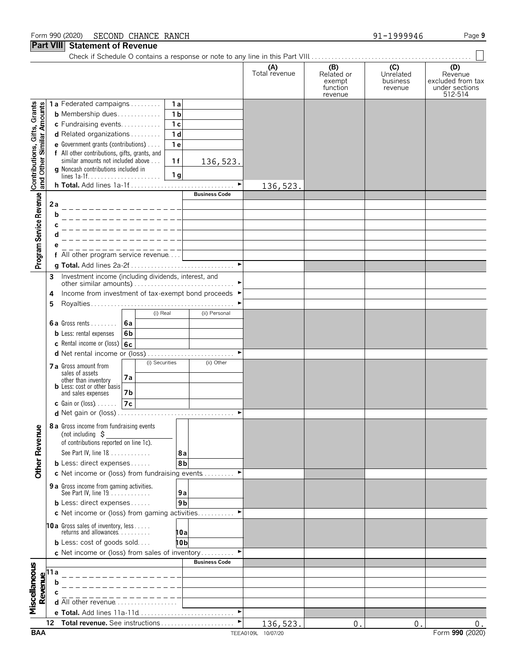#### Form 990 (2020) Page **9** SECOND CHANCE RANCH 91-1999946

### **Part VIII Statement of Revenue**

|                                                           | III    | נטוווטוונ טו וזטעטו                                                                  |    |                |                |                       |                      |                                                    |                                         |                                                                  |
|-----------------------------------------------------------|--------|--------------------------------------------------------------------------------------|----|----------------|----------------|-----------------------|----------------------|----------------------------------------------------|-----------------------------------------|------------------------------------------------------------------|
|                                                           |        |                                                                                      |    |                |                |                       | (A)<br>Total revenue | (B)<br>Related or<br>exempt<br>function<br>revenue | (C)<br>Unrelated<br>business<br>revenue | (D)<br>Revenue<br>excluded from tax<br>under sections<br>512-514 |
|                                                           |        | 1a Federated campaigns                                                               |    |                | 1a             |                       |                      |                                                    |                                         |                                                                  |
| Contributions, Gifts, Grants<br>and Other Similar Amounts |        | <b>b</b> Membership dues                                                             |    |                | 1 <sub>b</sub> |                       |                      |                                                    |                                         |                                                                  |
|                                                           |        | c Fundraising events                                                                 |    |                | 1 <sub>c</sub> |                       |                      |                                                    |                                         |                                                                  |
|                                                           |        | d Related organizations                                                              |    |                | 1 <sub>d</sub> |                       |                      |                                                    |                                         |                                                                  |
|                                                           |        | e Government grants (contributions)<br>f All other contributions, gifts, grants, and |    |                | 1e             |                       |                      |                                                    |                                         |                                                                  |
|                                                           |        | similar amounts not included above                                                   |    |                | 1f             | 136,523.              |                      |                                                    |                                         |                                                                  |
|                                                           |        | g Noncash contributions included in                                                  |    |                |                |                       |                      |                                                    |                                         |                                                                  |
|                                                           |        |                                                                                      |    |                | 1 g            |                       |                      |                                                    |                                         |                                                                  |
|                                                           |        |                                                                                      |    |                |                | <b>Business Code</b>  | 136,523.             |                                                    |                                         |                                                                  |
| Program Service Revenue                                   | 2a     |                                                                                      |    |                |                |                       |                      |                                                    |                                         |                                                                  |
|                                                           | b      |                                                                                      |    |                |                |                       |                      |                                                    |                                         |                                                                  |
|                                                           | С      |                                                                                      |    |                |                |                       |                      |                                                    |                                         |                                                                  |
|                                                           |        |                                                                                      |    |                |                |                       |                      |                                                    |                                         |                                                                  |
|                                                           | е      |                                                                                      |    |                |                |                       |                      |                                                    |                                         |                                                                  |
|                                                           |        | f All other program service revenue                                                  |    |                |                |                       |                      |                                                    |                                         |                                                                  |
|                                                           |        |                                                                                      |    |                |                | $\blacktriangleright$ |                      |                                                    |                                         |                                                                  |
|                                                           | 3      | Investment income (including dividends, interest, and                                |    |                |                |                       |                      |                                                    |                                         |                                                                  |
|                                                           |        | Income from investment of tax-exempt bond proceeds ▶                                 |    |                |                |                       |                      |                                                    |                                         |                                                                  |
|                                                           | 4<br>5 |                                                                                      |    |                |                |                       |                      |                                                    |                                         |                                                                  |
|                                                           |        |                                                                                      |    | (i) Real       |                | (ii) Personal         |                      |                                                    |                                         |                                                                  |
|                                                           |        | <b>6a</b> Gross rents $\ldots$                                                       | 6a |                |                |                       |                      |                                                    |                                         |                                                                  |
|                                                           |        | <b>b</b> Less: rental expenses                                                       | 6b |                |                |                       |                      |                                                    |                                         |                                                                  |
|                                                           |        | c Rental income or (loss) 6c                                                         |    |                |                |                       |                      |                                                    |                                         |                                                                  |
|                                                           |        |                                                                                      |    |                |                |                       |                      |                                                    |                                         |                                                                  |
|                                                           |        | 7 a Gross amount from                                                                |    | (i) Securities |                | (ii) Other            |                      |                                                    |                                         |                                                                  |
|                                                           |        | sales of assets                                                                      | 7a |                |                |                       |                      |                                                    |                                         |                                                                  |
|                                                           |        | other than inventory<br><b>b</b> Less: cost or other basis                           |    |                |                |                       |                      |                                                    |                                         |                                                                  |
|                                                           |        | and sales expenses                                                                   | 7b |                |                |                       |                      |                                                    |                                         |                                                                  |
|                                                           |        | <b>c</b> Gain or (loss) $\ldots$ .                                                   | 7c |                |                |                       |                      |                                                    |                                         |                                                                  |
|                                                           |        |                                                                                      |    |                |                |                       |                      |                                                    |                                         |                                                                  |
|                                                           |        | 8 a Gross income from fundraising events<br>(not including $\zeta$                   |    |                |                |                       |                      |                                                    |                                         |                                                                  |
|                                                           |        | of contributions reported on line 1c).                                               |    |                |                |                       |                      |                                                    |                                         |                                                                  |
|                                                           |        | See Part IV, line 18                                                                 |    |                | 8a             |                       |                      |                                                    |                                         |                                                                  |
|                                                           |        | <b>b</b> Less: direct expenses                                                       |    |                | 8b             |                       |                      |                                                    |                                         |                                                                  |
| <b>Other Revenue</b>                                      |        | c Net income or (loss) from fundraising events                                       |    |                |                |                       |                      |                                                    |                                         |                                                                  |
|                                                           |        |                                                                                      |    |                |                |                       |                      |                                                    |                                         |                                                                  |
|                                                           |        | <b>9 a</b> Gross income from gaming activities.<br>See Part IV, line 19              |    |                | 9a             |                       |                      |                                                    |                                         |                                                                  |
|                                                           |        | <b>b</b> Less: direct expenses                                                       |    |                | 9 <sub>b</sub> |                       |                      |                                                    |                                         |                                                                  |
|                                                           |        | c Net income or (loss) from gaming activities                                        |    |                |                |                       |                      |                                                    |                                         |                                                                  |
|                                                           |        | 10a Gross sales of inventory, less<br>returns and allowances                         |    |                | 10a            |                       |                      |                                                    |                                         |                                                                  |
|                                                           |        | <b>b</b> Less: cost of goods sold                                                    |    |                | 10b            |                       |                      |                                                    |                                         |                                                                  |
|                                                           |        | c Net income or (loss) from sales of inventory                                       |    |                |                |                       |                      |                                                    |                                         |                                                                  |
|                                                           |        |                                                                                      |    |                |                | <b>Business Code</b>  |                      |                                                    |                                         |                                                                  |
| Miscellaneous                                             | 11 a   |                                                                                      |    |                |                |                       |                      |                                                    |                                         |                                                                  |
| Revenue                                                   |        |                                                                                      |    |                |                |                       |                      |                                                    |                                         |                                                                  |
|                                                           |        |                                                                                      |    |                |                |                       |                      |                                                    |                                         |                                                                  |
|                                                           |        | <b>d</b> All other revenue $\ldots$ $\ldots$ $\ldots$ $\ldots$                       |    |                |                |                       |                      |                                                    |                                         |                                                                  |
|                                                           |        | e Total. Add lines 11a-11d                                                           |    |                |                | ►                     |                      |                                                    |                                         |                                                                  |
|                                                           | 12     | Total revenue. See instructions                                                      |    |                |                | ▶                     | 136,523.             | $\mathbf{0}$ .                                     | $\mathbf{0}$                            | 0.                                                               |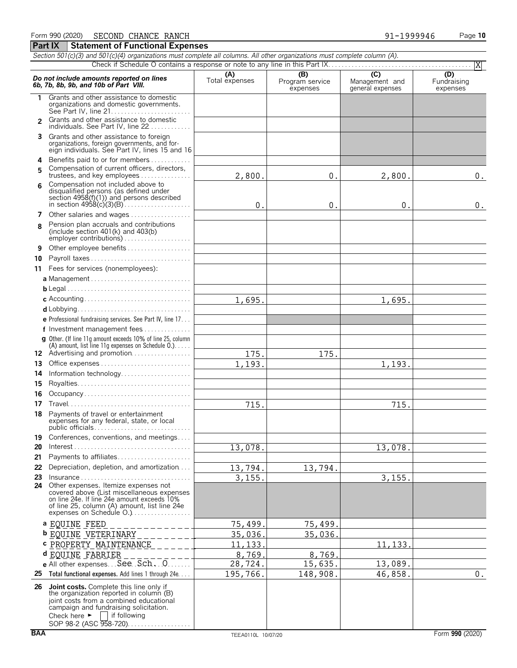|                | Section 501(c)(3) and 501(c)(4) organizations must complete all columns. All other organizations must complete column (A).                                                                                                                                |                       |                             |                                    |                         |
|----------------|-----------------------------------------------------------------------------------------------------------------------------------------------------------------------------------------------------------------------------------------------------------|-----------------------|-----------------------------|------------------------------------|-------------------------|
|                |                                                                                                                                                                                                                                                           |                       | (B)                         | $\overline{C}$                     | X<br>(D)                |
|                | Do not include amounts reported on lines<br>6b, 7b, 8b, 9b, and 10b of Part VIII.                                                                                                                                                                         | (A)<br>Total expenses | Program service<br>expenses | Management and<br>general expenses | Fundraising<br>expenses |
| 1.             | Grants and other assistance to domestic<br>organizations and domestic governments.                                                                                                                                                                        |                       |                             |                                    |                         |
| $\overline{2}$ | Grants and other assistance to domestic<br>individuals. See Part IV, line 22                                                                                                                                                                              |                       |                             |                                    |                         |
| 3              | Grants and other assistance to foreign<br>organizations, foreign governments, and for-<br>eign individuals. See Part IV, lines 15 and 16                                                                                                                  |                       |                             |                                    |                         |
| 4              | Benefits paid to or for members                                                                                                                                                                                                                           |                       |                             |                                    |                         |
| 5              | Compensation of current officers, directors,<br>trustees, and key employees                                                                                                                                                                               | 2,800.                | 0.                          | 2,800.                             | $0$ .                   |
| 6              | Compensation not included above to<br>disqualified persons (as defined under<br>section 4958(f)(1)) and persons described                                                                                                                                 | $0$ .                 | 0.                          | 0.                                 | $0$ .                   |
|                | 7 Other salaries and wages                                                                                                                                                                                                                                |                       |                             |                                    |                         |
| 8              | Pension plan accruals and contributions<br>(include section $401(k)$ and $403(b)$<br>employer contributions)                                                                                                                                              |                       |                             |                                    |                         |
| 9              | Other employee benefits                                                                                                                                                                                                                                   |                       |                             |                                    |                         |
| 10             | Payroll taxes                                                                                                                                                                                                                                             |                       |                             |                                    |                         |
|                | 11 Fees for services (nonemployees):                                                                                                                                                                                                                      |                       |                             |                                    |                         |
|                |                                                                                                                                                                                                                                                           |                       |                             |                                    |                         |
|                |                                                                                                                                                                                                                                                           |                       |                             |                                    |                         |
|                |                                                                                                                                                                                                                                                           |                       |                             |                                    |                         |
|                |                                                                                                                                                                                                                                                           | 1,695.                |                             | 1,695.                             |                         |
|                |                                                                                                                                                                                                                                                           |                       |                             |                                    |                         |
|                | <b>e</b> Professional fundraising services. See Part IV, line $17$                                                                                                                                                                                        |                       |                             |                                    |                         |
|                | f Investment management fees                                                                                                                                                                                                                              |                       |                             |                                    |                         |
|                | <b>g</b> Other. (If line 11q amount exceeds 10% of line 25, column<br>(A) amount, list line 11g expenses on Schedule $0.$ )                                                                                                                               |                       |                             |                                    |                         |
|                | 12 Advertising and promotion                                                                                                                                                                                                                              | 175.                  | 175.                        |                                    |                         |
| 13             |                                                                                                                                                                                                                                                           | 1,193.                |                             | 1,193.                             |                         |
| 14             | Information technology                                                                                                                                                                                                                                    |                       |                             |                                    |                         |
| 15             |                                                                                                                                                                                                                                                           |                       |                             |                                    |                         |
| 16             | Occupancy                                                                                                                                                                                                                                                 |                       |                             |                                    |                         |
|                |                                                                                                                                                                                                                                                           |                       |                             |                                    |                         |
| 17             |                                                                                                                                                                                                                                                           | 715.                  |                             | 715.                               |                         |
| 18             | Payments of travel or entertainment<br>expenses for any federal, state, or local                                                                                                                                                                          |                       |                             |                                    |                         |
| 19             | Conferences, conventions, and meetings                                                                                                                                                                                                                    |                       |                             |                                    |                         |
| 20             | $Interest \dots \dots \dots \dots \dots \dots \dots \dots \dots \dots \dots \dots \dots \dots \dots$                                                                                                                                                      | 13,078.               |                             | 13,078.                            |                         |
| 21             | Payments to affiliates                                                                                                                                                                                                                                    |                       |                             |                                    |                         |
| 22             | Depreciation, depletion, and amortization                                                                                                                                                                                                                 | 13,794.               | 13,794.                     |                                    |                         |
| 23             | $Insurance \ldots \ldots \ldots \ldots \ldots \ldots \ldots \ldots \ldots$                                                                                                                                                                                | 3, 155.               |                             | 3, 155.                            |                         |
| 24             | Other expenses. Itemize expenses not<br>covered above (List miscellaneous expenses<br>on line 24e. If line 24e amount exceeds 10%<br>of line 25, column (A) amount, list line 24e<br>expenses on Schedule O.)                                             |                       |                             |                                    |                         |
|                | a EQUINE FEED                                                                                                                                                                                                                                             | 75,499.               | 75,499.                     |                                    |                         |
|                | <b>b</b> EQUINE VETERINARY                                                                                                                                                                                                                                | 35,036.               | 35,036.                     |                                    |                         |
|                | <b>c</b> PROPERTY MAINTENANCE                                                                                                                                                                                                                             | 11, 133               |                             | 11,133                             |                         |
|                |                                                                                                                                                                                                                                                           |                       |                             |                                    |                         |
|                | d EQUINE FARRIER<br>e All other expenses. See Sch. 0.                                                                                                                                                                                                     | 8,769.                | 8,769.                      |                                    |                         |
|                |                                                                                                                                                                                                                                                           | 28,724.               | 15,635.                     | 13,089.                            |                         |
|                | 25 Total functional expenses. Add lines 1 through 24e.                                                                                                                                                                                                    | 195,766.              | 148,908.                    | 46,858.                            | $\boldsymbol{0}$ .      |
|                | 26 Joint costs. Complete this line only if<br>the organization reported in column (B)<br>joint costs from a combined educational<br>campaign and fundraising solicitation.<br>Check here $\blacktriangleright$<br>lif following<br>SOP 98-2 (ASC 958-720) |                       |                             |                                    |                         |

**Part IX** Statement of Functional Expenses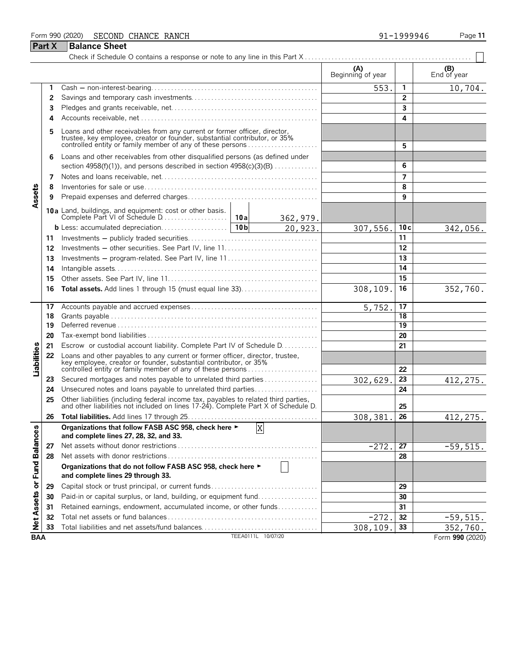#### Form 990 (2020) Page **11 Part X** | Balance Sheet SECOND CHANCE RANCH 91-1999946

|                            |    |                                                                                                                                                                                                                 |          |                     | (A)<br>Beginning of year |    | (B)<br>End of year |
|----------------------------|----|-----------------------------------------------------------------------------------------------------------------------------------------------------------------------------------------------------------------|----------|---------------------|--------------------------|----|--------------------|
|                            |    |                                                                                                                                                                                                                 |          |                     | 553.                     | 1  | 10,704.            |
|                            | 2  |                                                                                                                                                                                                                 |          | $\overline{2}$      |                          |    |                    |
|                            | 3  |                                                                                                                                                                                                                 |          | 3                   |                          |    |                    |
|                            | 4  |                                                                                                                                                                                                                 |          |                     |                          | 4  |                    |
|                            | 5  | Loans and other receivables from any current or former officer, director, trustee, key employee, creator or founder, substantial contributor, or 35% controlled entity or family member of any of these persons |          |                     |                          | 5  |                    |
|                            |    | Loans and other receivables from other disqualified persons (as defined under                                                                                                                                   |          |                     |                          |    |                    |
|                            | 6. | section $4958(f)(1)$ , and persons described in section $4958(c)(3)(B)$                                                                                                                                         |          |                     |                          | 6  |                    |
|                            | 7  |                                                                                                                                                                                                                 |          |                     | $\overline{7}$           |    |                    |
|                            | 8  |                                                                                                                                                                                                                 |          |                     |                          | 8  |                    |
| Assets                     |    |                                                                                                                                                                                                                 |          |                     |                          | 9  |                    |
|                            | 9  |                                                                                                                                                                                                                 |          |                     |                          |    |                    |
|                            |    | 10a Land, buildings, and equipment: cost or other basis.<br>Complete Part VI of Schedule D                                                                                                                      | 10a      | 362,979.<br>20,923. |                          |    |                    |
|                            |    |                                                                                                                                                                                                                 | 307,556. | 10c                 | 342,056.                 |    |                    |
|                            | 11 |                                                                                                                                                                                                                 |          | 11                  |                          |    |                    |
|                            | 12 |                                                                                                                                                                                                                 |          |                     |                          | 12 |                    |
|                            | 13 | Investments – program-related. See Part IV, line 11                                                                                                                                                             |          |                     |                          | 13 |                    |
|                            | 14 |                                                                                                                                                                                                                 |          | 14                  |                          |    |                    |
|                            | 15 |                                                                                                                                                                                                                 |          | 15                  |                          |    |                    |
|                            | 16 | Total assets. Add lines 1 through 15 (must equal line 33)                                                                                                                                                       | 308,109. | 16                  | 352,760.                 |    |                    |
|                            | 17 |                                                                                                                                                                                                                 | 5,752.   | 17                  |                          |    |                    |
|                            | 18 |                                                                                                                                                                                                                 |          |                     |                          | 18 |                    |
|                            | 19 |                                                                                                                                                                                                                 |          |                     |                          | 19 |                    |
|                            | 20 |                                                                                                                                                                                                                 |          |                     |                          | 20 |                    |
|                            | 21 | Escrow or custodial account liability. Complete Part IV of Schedule D.                                                                                                                                          |          |                     |                          | 21 |                    |
| Liabilities                | 22 | Loans and other payables to any current or former officer, director, trustee, key employee, creator or founder, substantial contributor, or 35%<br>controlled entity or family member of any of these persons   |          |                     |                          | 22 |                    |
|                            | 23 | Secured mortgages and notes payable to unrelated third parties                                                                                                                                                  |          |                     | 302,629                  | 23 | 412, 275.          |
|                            | 24 | Unsecured notes and loans payable to unrelated third parties                                                                                                                                                    |          |                     |                          | 24 |                    |
|                            | 25 | Other liabilities (including federal income tax, payables to related third parties, and other liabilities not included on lines 17-24). Complete Part X of Schedule D.                                          |          |                     |                          | 25 |                    |
|                            | 26 |                                                                                                                                                                                                                 |          |                     | 308,381                  | 26 | 412, 275.          |
| ω                          |    | Organizations that follow FASB ASC 958, check here ►<br>and complete lines 27, 28, 32, and 33.                                                                                                                  |          | X                   |                          |    |                    |
|                            | 27 |                                                                                                                                                                                                                 |          |                     | $-272.$                  | 27 | $-59,515.$         |
|                            | 28 |                                                                                                                                                                                                                 |          |                     |                          | 28 |                    |
| Net Assets or Fund Balance |    | Organizations that do not follow FASB ASC 958, check here ►<br>and complete lines 29 through 33.                                                                                                                |          |                     |                          |    |                    |
|                            | 29 | Capital stock or trust principal, or current funds                                                                                                                                                              |          |                     |                          | 29 |                    |
|                            | 30 | Paid-in or capital surplus, or land, building, or equipment fund                                                                                                                                                |          |                     | 30                       |    |                    |
|                            | 31 | Retained earnings, endowment, accumulated income, or other funds                                                                                                                                                |          |                     |                          | 31 |                    |
|                            | 32 |                                                                                                                                                                                                                 |          |                     | $-272.$                  | 32 | $-59,515.$         |
|                            | 33 |                                                                                                                                                                                                                 |          |                     | 308,109.                 | 33 | 352,760.           |
| <b>BAA</b>                 |    |                                                                                                                                                                                                                 |          | TEEA0111L 10/07/20  |                          |    | Form 990 (2020)    |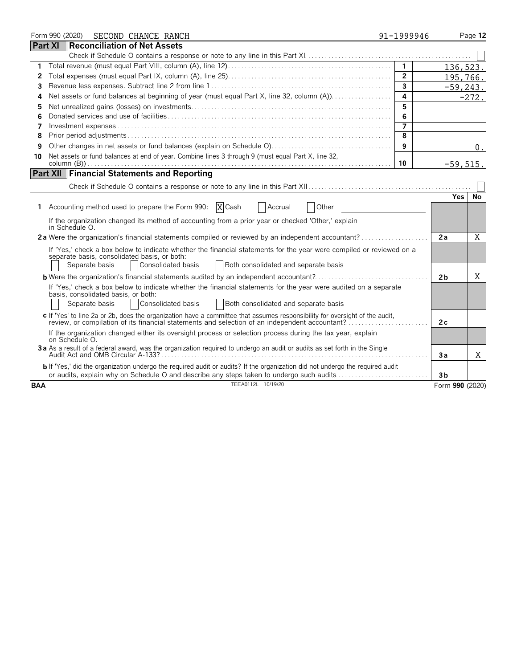|            | Form 990 (2020)                                       | SECOND CHANCE RANCH                                                                                                                                                                                                                | 91-1999946              |                 | Page 12     |
|------------|-------------------------------------------------------|------------------------------------------------------------------------------------------------------------------------------------------------------------------------------------------------------------------------------------|-------------------------|-----------------|-------------|
|            | Part XI                                               | <b>Reconciliation of Net Assets</b>                                                                                                                                                                                                |                         |                 |             |
|            |                                                       |                                                                                                                                                                                                                                    |                         |                 |             |
| 1          |                                                       |                                                                                                                                                                                                                                    | $\overline{1}$          | 136,523.        |             |
| 2          |                                                       |                                                                                                                                                                                                                                    | $\overline{2}$          |                 | 195,766.    |
| 3          |                                                       |                                                                                                                                                                                                                                    | $\overline{\mathbf{3}}$ |                 | $-59, 243.$ |
| 4          |                                                       |                                                                                                                                                                                                                                    | $\overline{4}$          |                 | $-272.$     |
| 5          |                                                       |                                                                                                                                                                                                                                    | 5                       |                 |             |
| 6          |                                                       |                                                                                                                                                                                                                                    | 6                       |                 |             |
| 7          |                                                       |                                                                                                                                                                                                                                    | $\overline{7}$          |                 |             |
| 8          |                                                       |                                                                                                                                                                                                                                    | 8                       |                 |             |
| 9          |                                                       |                                                                                                                                                                                                                                    | 9                       |                 | $0$ .       |
| 10         |                                                       | Net assets or fund balances at end of year. Combine lines 3 through 9 (must equal Part X, line 32,                                                                                                                                 |                         |                 |             |
|            |                                                       |                                                                                                                                                                                                                                    | 10                      | $-59,515.$      |             |
|            |                                                       | <b>Part XII   Financial Statements and Reporting</b>                                                                                                                                                                               |                         |                 |             |
|            |                                                       |                                                                                                                                                                                                                                    |                         |                 |             |
|            |                                                       |                                                                                                                                                                                                                                    |                         | <b>Yes</b>      | No          |
| 1.         |                                                       | Accounting method used to prepare the Form 990:<br>X Cash<br><b>Accrual</b><br>Other                                                                                                                                               |                         |                 |             |
|            | in Schedule O.                                        | If the organization changed its method of accounting from a prior year or checked 'Other,' explain                                                                                                                                 |                         |                 |             |
|            |                                                       | 2a Were the organization's financial statements compiled or reviewed by an independent accountant?                                                                                                                                 |                         | 2a              | X           |
|            | Separate basis                                        | If 'Yes,' check a box below to indicate whether the financial statements for the year were compiled or reviewed on a<br>separate basis, consolidated basis, or both:<br>Consolidated basis<br>Both consolidated and separate basis |                         |                 |             |
|            |                                                       | <b>b</b> Were the organization's financial statements audited by an independent accountant?                                                                                                                                        |                         | 2 <sub>b</sub>  | X           |
|            |                                                       | If 'Yes,' check a box below to indicate whether the financial statements for the year were audited on a separate                                                                                                                   |                         |                 |             |
|            | basis, consolidated basis, or both:<br>Separate basis | Consolidated basis<br><b>Both consolidated and separate basis</b>                                                                                                                                                                  |                         |                 |             |
|            |                                                       | c If 'Yes' to line 2a or 2b, does the organization have a committee that assumes responsibility for oversight of the audit,<br>review, or compilation of its financial statements and selection of an independent accountant?      |                         | 2c              |             |
|            | on Schedule O.                                        | If the organization changed either its oversight process or selection process during the tax year, explain                                                                                                                         |                         |                 |             |
|            |                                                       | 3a As a result of a federal award, was the organization required to undergo an audit or audits as set forth in the Single                                                                                                          |                         | 3a              | X           |
|            |                                                       | b If 'Yes,' did the organization undergo the required audit or audits? If the organization did not undergo the required audit<br>or audits, explain why on Schedule O and describe any steps taken to undergo such audits          |                         | 3 <sub>b</sub>  |             |
| <b>BAA</b> |                                                       | TEEA0112L 10/19/20                                                                                                                                                                                                                 |                         | Form 990 (2020) |             |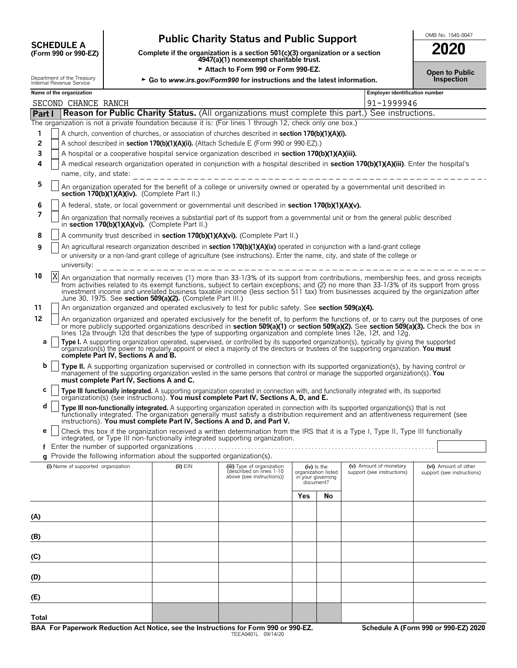# **Public Charity Status and Public Support**<br>
(Form 990 or 990-EZ) Complete if the organization is a section 501(c)(3) organization or a section<br> **2020**

**COMPOSCHEDULE A**<br>(Form 990 or 990-EZ) Complete if the organization is a section 501(c)(3) organization or a section<br>4947(a)(1) nonexempt charitable trust.

|                                                        | Attach to Form 990 or Form 990-EZ.<br><b>Open to Public</b> |                                                                          |                                                                                                                                                                                                                                                                                                                                                                                                                                                                                                                                                                                                                                      |                                  |                                    |                                                      |                                                    |  |
|--------------------------------------------------------|-------------------------------------------------------------|--------------------------------------------------------------------------|--------------------------------------------------------------------------------------------------------------------------------------------------------------------------------------------------------------------------------------------------------------------------------------------------------------------------------------------------------------------------------------------------------------------------------------------------------------------------------------------------------------------------------------------------------------------------------------------------------------------------------------|----------------------------------|------------------------------------|------------------------------------------------------|----------------------------------------------------|--|
| Department of the Treasury<br>Internal Revenue Service |                                                             |                                                                          | ► Go to www.irs.gov/Form990 for instructions and the latest information.                                                                                                                                                                                                                                                                                                                                                                                                                                                                                                                                                             |                                  |                                    |                                                      | Inspection                                         |  |
| Name of the organization                               |                                                             |                                                                          |                                                                                                                                                                                                                                                                                                                                                                                                                                                                                                                                                                                                                                      |                                  |                                    | <b>Employer identification number</b>                |                                                    |  |
| SECOND CHANCE RANCH                                    |                                                             |                                                                          |                                                                                                                                                                                                                                                                                                                                                                                                                                                                                                                                                                                                                                      |                                  |                                    | 91-1999946                                           |                                                    |  |
| Part I                                                 |                                                             |                                                                          | <b>Reason for Public Charity Status.</b> (All organizations must complete this part.) See instructions.                                                                                                                                                                                                                                                                                                                                                                                                                                                                                                                              |                                  |                                    |                                                      |                                                    |  |
| 1                                                      |                                                             |                                                                          | The organization is not a private foundation because it is: (For lines 1 through 12, check only one box.)<br>A church, convention of churches, or association of churches described in section 170(b)(1)(A)(i).                                                                                                                                                                                                                                                                                                                                                                                                                      |                                  |                                    |                                                      |                                                    |  |
| $\overline{2}$                                         |                                                             |                                                                          | A school described in section 170(b)(1)(A)(ii). (Attach Schedule E (Form 990 or 990-EZ).)                                                                                                                                                                                                                                                                                                                                                                                                                                                                                                                                            |                                  |                                    |                                                      |                                                    |  |
| 3                                                      |                                                             |                                                                          | A hospital or a cooperative hospital service organization described in section 170(b)(1)(A)(iii).                                                                                                                                                                                                                                                                                                                                                                                                                                                                                                                                    |                                  |                                    |                                                      |                                                    |  |
| 4                                                      | name, city, and state:                                      |                                                                          | A medical research organization operated in conjunction with a hospital described in section 170(b)(1)(A)(iii). Enter the hospital's                                                                                                                                                                                                                                                                                                                                                                                                                                                                                                 |                                  |                                    |                                                      |                                                    |  |
| 5                                                      | section 170(b)(1)(A)(iv). (Complete Part II.)               |                                                                          | An organization operated for the benefit of a college or university owned or operated by a governmental unit described in                                                                                                                                                                                                                                                                                                                                                                                                                                                                                                            |                                  |                                    |                                                      |                                                    |  |
| 6                                                      |                                                             |                                                                          | A federal, state, or local government or governmental unit described in section 170(b)(1)(A)(v).                                                                                                                                                                                                                                                                                                                                                                                                                                                                                                                                     |                                  |                                    |                                                      |                                                    |  |
| 7                                                      | in section 170(b)(1)(A)(vi). (Complete Part II.)            |                                                                          | An organization that normally receives a substantial part of its support from a governmental unit or from the general public described                                                                                                                                                                                                                                                                                                                                                                                                                                                                                               |                                  |                                    |                                                      |                                                    |  |
| 8                                                      |                                                             |                                                                          | A community trust described in section 170(b)(1)(A)(vi). (Complete Part II.)                                                                                                                                                                                                                                                                                                                                                                                                                                                                                                                                                         |                                  |                                    |                                                      |                                                    |  |
| 9<br>university:                                       |                                                             |                                                                          | An agricultural research organization described in <b>section 170(b)(1)(A)(ix)</b> operated in conjunction with a land-grant college<br>or university or a non-land-grant college of agriculture (see instructions). Enter the name, city, and state of the college or                                                                                                                                                                                                                                                                                                                                                               |                                  |                                    |                                                      |                                                    |  |
| X<br>10                                                |                                                             | June 30, 1975. See section 509(a)(2). (Complete Part III.)               | An organization that normally receives (1) more than 33-1/3% of its support from contributions, membership fees, and gross receipts<br>from activities related to its exempt functions, subject to certain exceptions; and (2) no more than 33-1/3% of its support from gross<br>investment income and unrelated business taxable income (less section 511 tax) from businesses acquired by the organization after                                                                                                                                                                                                                   |                                  |                                    |                                                      |                                                    |  |
| 11                                                     |                                                             |                                                                          | An organization organized and operated exclusively to test for public safety. See section 509(a)(4).                                                                                                                                                                                                                                                                                                                                                                                                                                                                                                                                 |                                  |                                    |                                                      |                                                    |  |
| 12<br>a                                                | complete Part IV, Sections A and B.                         |                                                                          | An organization organized and operated exclusively for the benefit of, to perform the functions of, or to carry out the purposes of one<br>or more publicly supported organizations described in section 509(a)(1) or section 509(a)(2). See section 509(a)(3). Check the box in<br>lines 12a through 12d that describes the type of supporting organization and complete lines 12e, 12f, and 12g.<br>Type I. A supporting organization operated, supervised, or controlled by its supported organization(s), typically by giving the supported organization(s) the power to regularly apport or elect a majority of the directors o |                                  |                                    |                                                      |                                                    |  |
| b                                                      | must complete Part IV, Sections A and C.                    |                                                                          | Type II. A supporting organization supervised or controlled in connection with its supported organization(s), by having control or<br>management of the supporting organization vested in the same persons that control or manage the supported organization(s). You                                                                                                                                                                                                                                                                                                                                                                 |                                  |                                    |                                                      |                                                    |  |
| c                                                      |                                                             |                                                                          | Type III functionally integrated. A supporting organization operated in connection with, and functionally integrated with, its supported organization(s) (see instructions). You must complete Part IV, Sections A, D, and E.                                                                                                                                                                                                                                                                                                                                                                                                        |                                  |                                    |                                                      |                                                    |  |
| d                                                      |                                                             |                                                                          | Type III non-functionally integrated. A supporting organization operated in connection with its supported organization(s) that is not<br>functionally integrated. The organization generally must satisfy a distribution requirement and an attentiveness requirement (see<br>instructions). You must complete Part IV, Sections A and D, and Part V.                                                                                                                                                                                                                                                                                |                                  |                                    |                                                      |                                                    |  |
| е                                                      |                                                             |                                                                          | Check this box if the organization received a written determination from the IRS that it is a Type I, Type II, Type III functionally                                                                                                                                                                                                                                                                                                                                                                                                                                                                                                 |                                  |                                    |                                                      |                                                    |  |
|                                                        |                                                             | Enter the number of supported organizations                              | integrated, or Type III non-functionally integrated supporting organization.                                                                                                                                                                                                                                                                                                                                                                                                                                                                                                                                                         |                                  |                                    |                                                      |                                                    |  |
|                                                        |                                                             | g Provide the following information about the supported organization(s). |                                                                                                                                                                                                                                                                                                                                                                                                                                                                                                                                                                                                                                      |                                  |                                    |                                                      |                                                    |  |
|                                                        | (i) Name of supported organization                          | $(ii)$ $EIN$                                                             | (iii) Type of organization<br>described on lines 1-10<br>above (see instructions))                                                                                                                                                                                                                                                                                                                                                                                                                                                                                                                                                   | organization listed<br>document? | $(iv)$ is the<br>in your governing | (v) Amount of monetary<br>support (see instructions) | (vi) Amount of other<br>support (see instructions) |  |
|                                                        |                                                             |                                                                          |                                                                                                                                                                                                                                                                                                                                                                                                                                                                                                                                                                                                                                      | Yes                              | No                                 |                                                      |                                                    |  |
| (A)                                                    |                                                             |                                                                          |                                                                                                                                                                                                                                                                                                                                                                                                                                                                                                                                                                                                                                      |                                  |                                    |                                                      |                                                    |  |
| (B)                                                    |                                                             |                                                                          |                                                                                                                                                                                                                                                                                                                                                                                                                                                                                                                                                                                                                                      |                                  |                                    |                                                      |                                                    |  |
| (C)                                                    |                                                             |                                                                          |                                                                                                                                                                                                                                                                                                                                                                                                                                                                                                                                                                                                                                      |                                  |                                    |                                                      |                                                    |  |
| (D)                                                    |                                                             |                                                                          |                                                                                                                                                                                                                                                                                                                                                                                                                                                                                                                                                                                                                                      |                                  |                                    |                                                      |                                                    |  |
| (E)                                                    |                                                             |                                                                          |                                                                                                                                                                                                                                                                                                                                                                                                                                                                                                                                                                                                                                      |                                  |                                    |                                                      |                                                    |  |
|                                                        |                                                             |                                                                          |                                                                                                                                                                                                                                                                                                                                                                                                                                                                                                                                                                                                                                      |                                  |                                    |                                                      |                                                    |  |

**Total**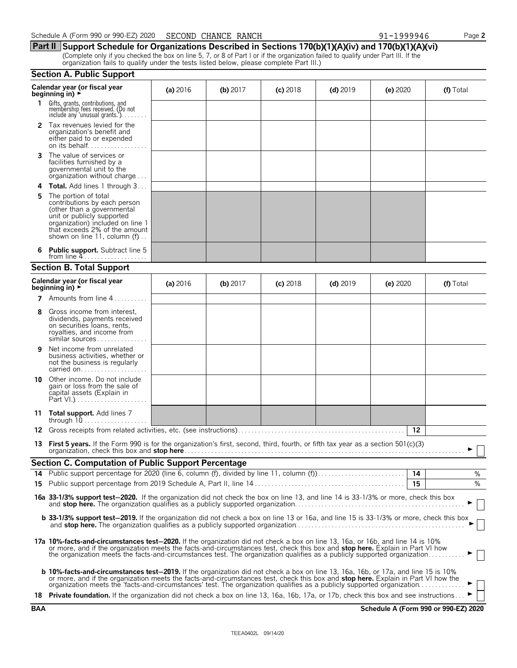|              | Calendar year (or fiscal year<br>beginning in) $\overrightarrow{r}$                                                                                                                                                                                                                                                                                                                                      | (a) 2016   | (b) $2017$ | $(c)$ 2018 | $(d)$ 2019 | (e) 2020 | (f) Total |
|--------------|----------------------------------------------------------------------------------------------------------------------------------------------------------------------------------------------------------------------------------------------------------------------------------------------------------------------------------------------------------------------------------------------------------|------------|------------|------------|------------|----------|-----------|
| $\mathbf{1}$ | Gifts, grants, contributions, and<br>membership fees received. (Do not<br>include any 'unusual grants.'). $\ldots$                                                                                                                                                                                                                                                                                       |            |            |            |            |          |           |
|              | 2 Tax revenues levied for the<br>organization's benefit and<br>either paid to or expended                                                                                                                                                                                                                                                                                                                |            |            |            |            |          |           |
| 3            | The value of services or<br>facilities furnished by a<br>governmental unit to the<br>organization without charge                                                                                                                                                                                                                                                                                         |            |            |            |            |          |           |
| 4            | <b>Total.</b> Add lines 1 through 3                                                                                                                                                                                                                                                                                                                                                                      |            |            |            |            |          |           |
| 5            | The portion of total<br>contributions by each person<br>(other than a governmental<br>unit or publicly supported<br>organization) included on line 1<br>that exceeds 2% of the amount<br>shown on line 11, column (f)                                                                                                                                                                                    |            |            |            |            |          |           |
| 6            | Public support. Subtract line 5                                                                                                                                                                                                                                                                                                                                                                          |            |            |            |            |          |           |
|              | <b>Section B. Total Support</b>                                                                                                                                                                                                                                                                                                                                                                          |            |            |            |            |          |           |
|              | Calendar year (or fiscal year<br>beginning in) $\rightarrow$                                                                                                                                                                                                                                                                                                                                             | (a) $2016$ | (b) 2017   | $(c)$ 2018 | $(d)$ 2019 | (e) 2020 | (f) Total |
| 7            | Amounts from line 4                                                                                                                                                                                                                                                                                                                                                                                      |            |            |            |            |          |           |
| 8            | Gross income from interest.<br>dividends, payments received<br>on securities loans, rents,<br>royalties, and income from<br>similar sources                                                                                                                                                                                                                                                              |            |            |            |            |          |           |
| 9            | Net income from unrelated<br>business activities, whether or<br>not the business is regularly<br>carried on                                                                                                                                                                                                                                                                                              |            |            |            |            |          |           |
|              | <b>10</b> Other income. Do not include<br>gain or loss from the sale of<br>capital assets (Explain in                                                                                                                                                                                                                                                                                                    |            |            |            |            |          |           |
|              | 11 Total support. Add lines 7<br>through $10$                                                                                                                                                                                                                                                                                                                                                            |            |            |            |            |          |           |
|              |                                                                                                                                                                                                                                                                                                                                                                                                          |            |            |            |            | 12       |           |
| 13           | First 5 years. If the Form 990 is for the organization's first, second, third, fourth, or fifth tax year as a section 501(c)(3)                                                                                                                                                                                                                                                                          |            |            |            |            |          |           |
|              | Section C. Computation of Public Support Percentage                                                                                                                                                                                                                                                                                                                                                      |            |            |            |            |          |           |
| 14           | Public support percentage for 2020 (line 6, column (f), divided by line 11, column (f)                                                                                                                                                                                                                                                                                                                   |            |            |            |            | 14<br>15 | %<br>%    |
| 15           |                                                                                                                                                                                                                                                                                                                                                                                                          |            |            |            |            |          |           |
|              | 16a 33-1/3% support test-2020. If the organization did not check the box on line 13, and line 14 is 33-1/3% or more, check this box                                                                                                                                                                                                                                                                      |            |            |            |            |          |           |
|              | <b>b 33-1/3% support test-2019.</b> If the organization did not check a box on line 13 or 16a, and line 15 is 33-1/3% or more, check this box                                                                                                                                                                                                                                                            |            |            |            |            |          |           |
|              | 17a 10%-facts-and-circumstances test-2020. If the organization did not check a box on line 13, 16a, or 16b, and line 14 is 10%<br>or more, and if the organization meets the facts-and-circumstances test, check this box and stop here. Explain in Part VI how<br>the organization meets the facts-and-circumstances test. The organization qualifies as a publicly supported organization              |            |            |            |            |          |           |
|              | <b>b 10%-facts-and-circumstances test-2019.</b> If the organization did not check a box on line 13, 16a, 16b, or 17a, and line 15 is 10%<br>or more, and if the organization meets the facts-and-circumstances test, check this box and stop here. Explain in Part VI how the<br>organization meets the 'facts-and-circumstances' test. The organization qualifies as a publicly supported organization▶ |            |            |            |            |          |           |
|              | 18 Private foundation. If the organization did not check a box on line 13, 16a, 16b, 17a, or 17b, check this box and see instructions                                                                                                                                                                                                                                                                    |            |            |            |            |          |           |

**Section A. Public Support**

**Part II Support Schedule for Organizations Described in Sections 170(b)(1)(A)(iv) and 170(b)(1)(A)(vi)** (Complete only if you checked the box on line 5, 7, or 8 of Part I or if the organization failed to qualify under Part III. If the organization fails to qualify under the tests listed below, please complete Part III.)

| 990-EZ) 2020<br>. 990 or<br>Schedule<br>、(Form<br>$\mathbf{v}$ | RANCH<br><b>CHANCE</b><br>SECOND | 999946<br>_ | $\overline{\phantom{a}}$ age $\overline{\phantom{a}}$ |
|----------------------------------------------------------------|----------------------------------|-------------|-------------------------------------------------------|
|----------------------------------------------------------------|----------------------------------|-------------|-------------------------------------------------------|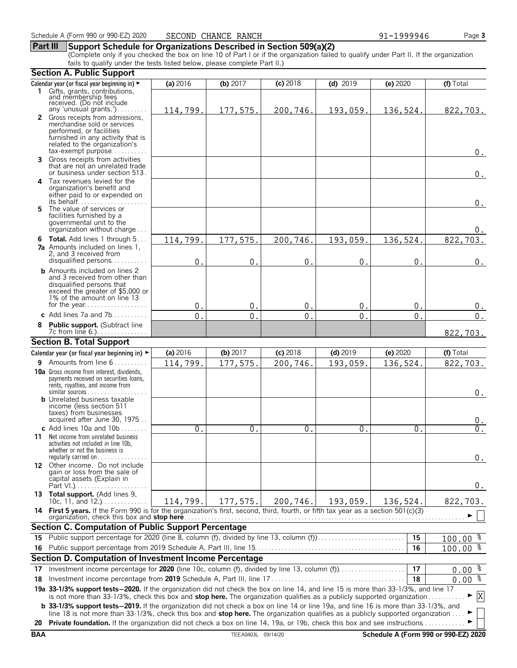#### **Part III Support Schedule for Organizations Described in Section 509(a)(2)**

(Complete only if you checked the box on line 10 of Part I or if the organization failed to qualify under Part II. If the organization fails to qualify under the tests listed below, please complete Part II.)

|            | <b>Section A. Public Support</b>                                                                                                                                                                                                                                      |                |                    |                |                  |                  |                                      |
|------------|-----------------------------------------------------------------------------------------------------------------------------------------------------------------------------------------------------------------------------------------------------------------------|----------------|--------------------|----------------|------------------|------------------|--------------------------------------|
|            | Calendar year (or fiscal year beginning in) ►                                                                                                                                                                                                                         | (a) 2016       | (b) $2017$         | (c) 2018       | $(d)$ 2019       | (e) 2020         | (f) Total                            |
|            | 1 Gifts, grants, contributions,                                                                                                                                                                                                                                       |                |                    |                |                  |                  |                                      |
|            | and membership fees<br>received. (Do not include                                                                                                                                                                                                                      |                |                    |                |                  |                  |                                      |
|            | any 'unusual grants.')<br>2 Gross receipts from admissions,                                                                                                                                                                                                           | 114,799.       | 177,575.           | 200,746.       | 193,059.         | 136,524.         | 822,703.                             |
|            | merchandise sold or services                                                                                                                                                                                                                                          |                |                    |                |                  |                  |                                      |
|            | performed, or facilities                                                                                                                                                                                                                                              |                |                    |                |                  |                  |                                      |
|            | furnished in any activity that is<br>related to the organization's                                                                                                                                                                                                    |                |                    |                |                  |                  |                                      |
|            | $tax\text{-}exempt$ purpose                                                                                                                                                                                                                                           |                |                    |                |                  |                  | 0.                                   |
| 3          | Gross receipts from activities                                                                                                                                                                                                                                        |                |                    |                |                  |                  |                                      |
|            | that are not an unrelated trade<br>or business under section 513.                                                                                                                                                                                                     |                |                    |                |                  |                  | $0$ .                                |
|            | 4 Tax revenues levied for the                                                                                                                                                                                                                                         |                |                    |                |                  |                  |                                      |
|            | organization's benefit and                                                                                                                                                                                                                                            |                |                    |                |                  |                  |                                      |
|            | either paid to or expended on<br>its behalf                                                                                                                                                                                                                           |                |                    |                |                  |                  | 0.                                   |
| 5.         | The value of services or                                                                                                                                                                                                                                              |                |                    |                |                  |                  |                                      |
|            | facilities furnished by a                                                                                                                                                                                                                                             |                |                    |                |                  |                  |                                      |
|            | governmental unit to the<br>organization without charge                                                                                                                                                                                                               |                |                    |                |                  |                  | 0.                                   |
|            | <b>6 Total.</b> Add lines 1 through 5                                                                                                                                                                                                                                 | 114,799.       | 177,575.           | 200,746.       | 193,059.         | 136,524.         | 822, 703.                            |
|            | <b>7a</b> Amounts included on lines 1,                                                                                                                                                                                                                                |                |                    |                |                  |                  |                                      |
|            | 2, and 3 received from<br>disqualified persons                                                                                                                                                                                                                        |                |                    |                |                  |                  |                                      |
|            | <b>b</b> Amounts included on lines 2                                                                                                                                                                                                                                  | $\mathbf 0$    | $\mathbf{0}$       | $\mathbf{0}$   | $\mathbf{0}$ .   | 0                | 0.                                   |
|            | and 3 received from other than                                                                                                                                                                                                                                        |                |                    |                |                  |                  |                                      |
|            | disqualified persons that                                                                                                                                                                                                                                             |                |                    |                |                  |                  |                                      |
|            | exceed the greater of \$5,000 or<br>1% of the amount on line 13                                                                                                                                                                                                       |                |                    |                |                  |                  |                                      |
|            | for the year                                                                                                                                                                                                                                                          | 0.             | 0.                 | 0.             | 0.               | 0.               | 0.                                   |
|            | c Add lines 7a and $7b$                                                                                                                                                                                                                                               | $\overline{0}$ | $\mathbf 0$ .      | $\mathbf{0}$ . | $\overline{0}$ . | $\overline{0}$ . | $0$ .                                |
| 8          | Public support. (Subtract line                                                                                                                                                                                                                                        |                |                    |                |                  |                  |                                      |
|            | <b>Section B. Total Support</b>                                                                                                                                                                                                                                       |                |                    |                |                  |                  | 822,703.                             |
|            | Calendar year (or fiscal year beginning in) ►                                                                                                                                                                                                                         | (a) 2016       | $(b)$ 2017         | $(c)$ 2018     | $(d)$ 2019       | (e) 2020         | (f) Total                            |
|            | 9 Amounts from line 6                                                                                                                                                                                                                                                 | 114,799.       | 177,575.           | 200,746.       |                  | 136,524.         | 822,703.                             |
|            | <b>10a</b> Gross income from interest, dividends,                                                                                                                                                                                                                     |                |                    |                | 193,059.         |                  |                                      |
|            | payments received on securities loans,                                                                                                                                                                                                                                |                |                    |                |                  |                  |                                      |
|            | rents, royalties, and income from                                                                                                                                                                                                                                     |                |                    |                |                  |                  |                                      |
|            | <b>b</b> Unrelated business taxable                                                                                                                                                                                                                                   |                |                    |                |                  |                  | $0$ .                                |
|            | income (less section 511)                                                                                                                                                                                                                                             |                |                    |                |                  |                  |                                      |
|            | taxes) from businesses<br>acquired after June 30, 1975                                                                                                                                                                                                                |                |                    |                |                  |                  | υ.                                   |
|            | c Add lines $10a$ and $10b$                                                                                                                                                                                                                                           | $\Omega$ .     | $\mathbf{0}$ .     | 0.             | 0.               | 0.               | $0$ .                                |
| 11         | Net income from unrelated business                                                                                                                                                                                                                                    |                |                    |                |                  |                  |                                      |
|            | activities not included in line 10b,                                                                                                                                                                                                                                  |                |                    |                |                  |                  |                                      |
|            | whether or not the business is<br>regularly carried on $\dots\dots\dots\dots\dots$                                                                                                                                                                                    |                |                    |                |                  |                  | 0.                                   |
|            | 12 Other income. Do not include                                                                                                                                                                                                                                       |                |                    |                |                  |                  |                                      |
|            | gain or loss from the sale of<br>capital assets (Explain in                                                                                                                                                                                                           |                |                    |                |                  |                  |                                      |
|            |                                                                                                                                                                                                                                                                       |                |                    |                |                  |                  | 0.                                   |
|            | 13 Total support. (Add lines 9,                                                                                                                                                                                                                                       |                |                    |                |                  |                  |                                      |
|            | 10c, 11, and $12.$ )<br>14 First 5 years. If the Form 990 is for the organization's first, second, third, fourth, or fifth tax year as a section 501(c)(3)                                                                                                            | 114,799.       | 177,575.           | 200,746.       | 193,059.         | 136,524.         | 822,703.                             |
|            | organization, check this box and <b>stop here</b>                                                                                                                                                                                                                     |                |                    |                |                  |                  |                                      |
|            | Section C. Computation of Public Support Percentage                                                                                                                                                                                                                   |                |                    |                |                  |                  |                                      |
| 15.        | Public support percentage for 2020 (line 8, column (f), divided by line 13, column (f)                                                                                                                                                                                |                |                    |                |                  | 15               | $100.00$ %                           |
| 16         |                                                                                                                                                                                                                                                                       |                |                    |                |                  | 16               | $100.00$ %                           |
|            | Section D. Computation of Investment Income Percentage                                                                                                                                                                                                                |                |                    |                |                  |                  |                                      |
| 17         |                                                                                                                                                                                                                                                                       |                |                    |                |                  | 17               | $0.00$ $\frac{8}{3}$                 |
| 18         |                                                                                                                                                                                                                                                                       |                |                    |                |                  | 18               | $0.00\frac{2}{3}$                    |
|            | 19a 33-1/3% support tests-2020. If the organization did not check the box on line 14, and line 15 is more than 33-1/3%, and line 17                                                                                                                                   |                |                    |                |                  |                  |                                      |
|            | is not more than 33-1/3%, check this box and stop here. The organization qualifies as a publicly supported organization<br><b>b</b> 33-1/3% support tests-2019. If the organization did not check a box on line 14 or line 19a, and line 16 is more than 33-1/3%, and |                |                    |                |                  |                  | X                                    |
|            | line 18 is not more than 33-1/3%, check this box and stop here. The organization qualifies as a publicly supported organization                                                                                                                                       |                |                    |                |                  |                  |                                      |
| 20         | <b>Private foundation.</b> If the organization did not check a box on line 14, 19a, or 19b, check this box and see instructions                                                                                                                                       |                |                    |                |                  |                  |                                      |
| <b>BAA</b> |                                                                                                                                                                                                                                                                       |                | TEEA0403L 09/14/20 |                |                  |                  | Schedule A (Form 990 or 990-EZ) 2020 |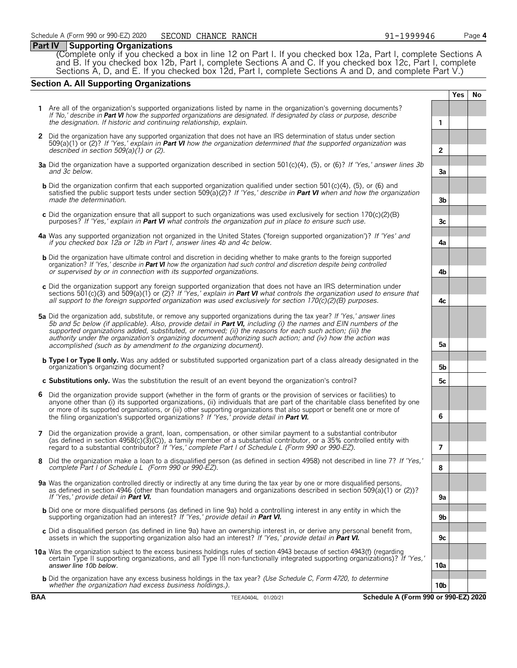#### **Part IV Supporting Organizations**

(Complete only if you checked a box in line 12 on Part I. If you checked box 12a, Part I, complete Sections A and B. If you checked box 12b, Part I, complete Sections A and C. If you checked box 12c, Part I, complete Sections A, D, and E. If you checked box 12d, Part I, complete Sections A and D, and complete Part V.)

#### **Section A. All Supporting Organizations**

|   |                                                                                                                                                                                                                                                                                                                                                                                                                                                                                                                                                      |                 | <b>Yes</b> | <b>No</b> |
|---|------------------------------------------------------------------------------------------------------------------------------------------------------------------------------------------------------------------------------------------------------------------------------------------------------------------------------------------------------------------------------------------------------------------------------------------------------------------------------------------------------------------------------------------------------|-----------------|------------|-----------|
|   | 1 Are all of the organization's supported organizations listed by name in the organization's governing documents?<br>If 'No,' describe in Part VI how the supported organizations are designated. If designated by class or purpose, describe<br>the designation. If historic and continuing relationship, explain.                                                                                                                                                                                                                                  | 1               |            |           |
|   | 2 Did the organization have any supported organization that does not have an IRS determination of status under section<br>509(a)(1) or (2)? If 'Yes,' explain in <b>Part VI</b> how the organization determined that the supported organization was<br>described in section $509(a)(1)$ or (2).                                                                                                                                                                                                                                                      | $\overline{2}$  |            |           |
|   | 3a Did the organization have a supported organization described in section 501(c)(4), (5), or (6)? If 'Yes,' answer lines 3b<br>and 3c below.                                                                                                                                                                                                                                                                                                                                                                                                        | 3a              |            |           |
|   | <b>b</b> Did the organization confirm that each supported organization qualified under section 501(c)(4), (5), or (6) and<br>satisfied the public support tests under section 509( $a(2)$ ? If 'Yes,' describe in <b>Part VI</b> when and how the organization<br>made the determination.                                                                                                                                                                                                                                                            | 3 <sub>b</sub>  |            |           |
|   | c Did the organization ensure that all support to such organizations was used exclusively for section $170(c)(2)(B)$<br>purposes? If 'Yes,' explain in <b>Part VI</b> what controls the organization put in place to ensure such use.                                                                                                                                                                                                                                                                                                                | 3c              |            |           |
|   | 4a Was any supported organization not organized in the United States ('foreign supported organization')? If 'Yes' and<br>if you checked box 12a or 12b in Part I, answer lines 4b and 4c below.                                                                                                                                                                                                                                                                                                                                                      | 4a              |            |           |
|   | <b>b</b> Did the organization have ultimate control and discretion in deciding whether to make grants to the foreign supported<br>organization? If 'Yes,' describe in <b>Part VI</b> how the organization had such control and discretion despite being controlled<br>or supervised by or in connection with its supported organizations.                                                                                                                                                                                                            | 4b              |            |           |
|   | c Did the organization support any foreign supported organization that does not have an IRS determination under<br>sections 501(c)(3) and 509(a)(1) or (2)? If 'Yes,' explain in <b>Part VI</b> what controls the organization used to ensure that<br>all support to the foreign supported organization was used exclusively for section $170(c)(2)(B)$ purposes.                                                                                                                                                                                    | 4c              |            |           |
|   | 5a Did the organization add, substitute, or remove any supported organizations during the tax year? If 'Yes,' answer lines<br>5b and 5c below (if applicable). Also, provide detail in <b>Part VI</b> , including (i) the names and EIN numbers of the<br>supported organizations added, substituted, or removed; (ii) the reasons for each such action; (iii) the<br>authority under the organization's organizing document authorizing such action; and (iv) how the action was<br>accomplished (such as by amendment to the organizing document). | 5a              |            |           |
|   | <b>b</b> Type I or Type II only. Was any added or substituted supported organization part of a class already designated in the<br>organization's organizing document?                                                                                                                                                                                                                                                                                                                                                                                | 5b              |            |           |
|   | c Substitutions only. Was the substitution the result of an event beyond the organization's control?                                                                                                                                                                                                                                                                                                                                                                                                                                                 | 5с              |            |           |
| 6 | Did the organization provide support (whether in the form of grants or the provision of services or facilities) to<br>anyone other than (i) its supported organizations, (ii) individuals that are part of the charitable class benefited by one<br>or more of its supported organizations, or (iii) other supporting organizations that also support or benefit one or more of<br>the filing organization's supported organizations? If 'Yes,' provide detail in Part VI.                                                                           | 6               |            |           |
| 7 | Did the organization provide a grant, loan, compensation, or other similar payment to a substantial contributor<br>(as defined in section $4958(c)(3)(c)$ ), a family member of a substantial contributor, or a 35% controlled entity with<br>regard to a substantial contributor? If 'Yes,' complete Part I of Schedule L (Form 990 or 990-EZ).                                                                                                                                                                                                     | 7               |            |           |
| 8 | Did the organization make a loan to a disqualified person (as defined in section 4958) not described in line 7? If 'Yes,'<br>complete Part I of Schedule L (Form 990 or 990-EZ).                                                                                                                                                                                                                                                                                                                                                                     | 8               |            |           |
|   | 9a Was the organization controlled directly or indirectly at any time during the tax year by one or more disqualified persons,<br>as defined in section 4946 (other than foundation managers and organizations described in section 509(a)(1) or (2))?<br>If 'Yes.' provide detail in <b>Part VI.</b>                                                                                                                                                                                                                                                | 9a              |            |           |
|   | <b>b</b> Did one or more disqualified persons (as defined in line 9a) hold a controlling interest in any entity in which the<br>supporting organization had an interest? If 'Yes,' provide detail in Part VI.                                                                                                                                                                                                                                                                                                                                        | 9b              |            |           |
|   | c Did a disqualified person (as defined in line 9a) have an ownership interest in, or derive any personal benefit from,<br>assets in which the supporting organization also had an interest? If 'Yes,' provide detail in <b>Part VI.</b>                                                                                                                                                                                                                                                                                                             | 9c              |            |           |
|   | 10a Was the organization subject to the excess business holdings rules of section 4943 because of section 4943(f) (regarding<br>certain Type II supporting organizations, and all Type III non-functionally integrated supporting organizations)? If 'Yes,'<br>answer line 10b below.                                                                                                                                                                                                                                                                | 10a             |            |           |
|   | <b>b</b> Did the organization have any excess business holdings in the tax year? (Use Schedule C, Form 4720, to determine<br>whether the organization had excess business holdings.).                                                                                                                                                                                                                                                                                                                                                                | 10 <sub>b</sub> |            |           |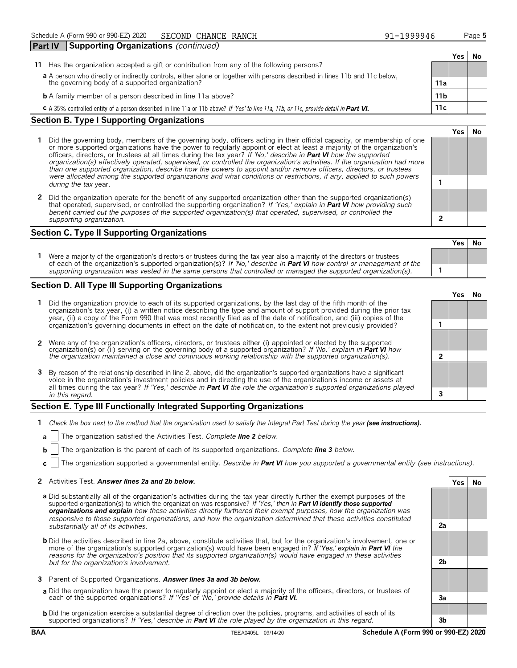| <b>Part IV</b> |                                                                                                                             | <b>Supporting Organizations (continued)</b>                                                                                             |                 |     |    |
|----------------|-----------------------------------------------------------------------------------------------------------------------------|-----------------------------------------------------------------------------------------------------------------------------------------|-----------------|-----|----|
|                |                                                                                                                             |                                                                                                                                         |                 | Yes | No |
| 11             |                                                                                                                             | Has the organization accepted a gift or contribution from any of the following persons?                                                 |                 |     |    |
|                | a A person who directly or indirectly controls, either alone or together with persons described in lines 11b and 11c below, |                                                                                                                                         |                 |     |    |
|                |                                                                                                                             | the governing body of a supported organization?                                                                                         | 11a             |     |    |
|                |                                                                                                                             | <b>b</b> A family member of a person described in line 11a above?                                                                       | 11 <sub>b</sub> |     |    |
|                |                                                                                                                             | C A 35% controlled entity of a person described in line 11a or 11b above? If 'Yes' to line 11a, 11b, or 11c, provide detail in Part VI. | 11c             |     |    |
| ~              |                                                                                                                             | $\sim$                                                                                                                                  |                 |     |    |

#### **Section B. Type I Supporting Organizations**

- **1** Did the governing body, members of the governing body, officers acting in their official capacity, or membership of one or more supported organizations have the power to regularly appoint or elect at least a majority of the organization's officers, directors, or trustees at all times during the tax year? *If 'No,' describe in Part VI how the supported organization(s) effectively operated, supervised, or controlled the organization's activities. If the organization had more than one supported organization, describe how the powers to appoint and/or remove officers, directors, or trustees were allocated among the supported organizations and what conditions or restrictions, if any, applied to such powers* **1** *during the tax* year.
- **2** Did the organization operate for the benefit of any supported organization other than the supported organization(s) that operated, supervised, or controlled the supporting organization? *If 'Yes,' explain in Part VI how providing such benefit carried out the purposes of the supported organization(s) that operated, supervised, or controlled the supporting organization.* **2**

#### **Section C. Type II Supporting Organizations**

**Yes No 1** Were a majority of the organization's directors or trustees during the tax year also a majority of the directors or trustees of each of the organization's supported organization(s)? *If 'No,' describe in Part VI how control or management of the supporting organization was vested in the same persons that controlled or managed the supported organization(s).* **1**

#### **Section D. All Type III Supporting Organizations**

|                                                                                                                                                                                                                                                                                                                                                                                       | ∕e< |  |
|---------------------------------------------------------------------------------------------------------------------------------------------------------------------------------------------------------------------------------------------------------------------------------------------------------------------------------------------------------------------------------------|-----|--|
| 1 Did the organization provide to each of its supported organizations, by the last day of the fifth month of the<br>organization's tax year, (i) a written notice describing the type and amount of support provided during the prior tax<br>year, (ii) a copy of the Form 990 that was most recently filed as of the date of notification, and (iii) copies of the                   |     |  |
| organization's governing documents in effect on the date of notification, to the extent not previously provided?                                                                                                                                                                                                                                                                      |     |  |
| 2 Were any of the organization's officers, directors, or trustees either (i) appointed or elected by the supported                                                                                                                                                                                                                                                                    |     |  |
| organization(s) or (ii) serving on the governing body of a supported organization? If No, explain in <b>Part VI</b> how<br>the organization maintained a close and continuous working relationship with the supported organization(s).                                                                                                                                                |     |  |
| 3 By reason of the relationship described in line 2, above, did the organization's supported organizations have a significant<br>voice in the organization's investment policies and in directing the use of the organization's income or assets at<br>all times during the tax year? If 'Yes,' describe in <b>Part VI</b> the role the organization's supported organizations played |     |  |
| in this regard.                                                                                                                                                                                                                                                                                                                                                                       |     |  |

#### **Section E. Type III Functionally Integrated Supporting Organizations**

- **1** *Check the box next to the method that the organization used to satisfy the Integral Part Test during the year (see instructions).* 
	- **a** The organization satisfied the Activities Test. *Complete line 2 below.*
	- **b** The organization is the parent of each of its supported organizations. *Complete line 3 below.*
	- **c** The organization supported a governmental entity. *Describe in Part VI how you supported a governmental entity (see instructions).*

#### **2** Activities Test. *Answer lines 2a and 2b below.* **Yes No**

- **a** Did substantially all of the organization's activities during the tax year directly further the exempt purposes of the supported organization(s) to which the organization was responsive? *If 'Yes,' then in Part VI identify those supported organizations and explain how these activities directly furthered their exempt purposes, how the organization was responsive to those supported organizations, and how the organization determined that these activities constituted substantially all of its activities.* **2a**
- **b** Did the activities described in line 2a, above, constitute activities that, but for the organization's involvement, one or more of the organization's supported organization(s) would have been engaged in? *If 'Yes,' explain in Part VI the reasons for the organization's position that its supported organization(s) would have engaged in these activities but for the organization's involvement.* **2b**
- **3** Parent of Supported Organizations. *Answer lines 3a and 3b below.*
- **a** Did the organization have the power to regularly appoint or elect a majority of the officers, directors, or trustees of each of the supported organizations? *If 'Yes' or 'No,' provide details in Part VI.* **3a**
- **b** Did the organization exercise a substantial degree of direction over the policies, programs, and activities of each of its supported organizations? *If 'Yes,' describe in Part VI the role played by the organization in this regard.* **3b**

**Yes No**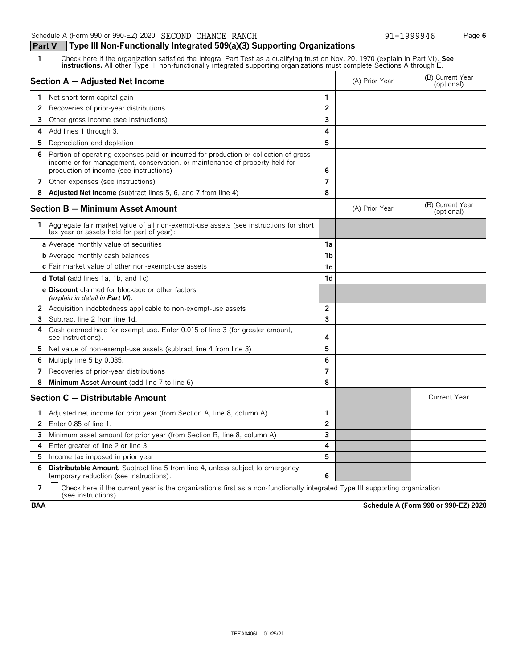**Part V Type III Non-Functionally Integrated 509(a)(3) Supporting Organizations**

| $\mathbf{1}$<br>Check here if the organization satisfied the Integral Part Test as a qualifying trust on Nov. 20, 1970 (explain in Part VI). See<br><b>instructions.</b> All other Type III non-functionally integrated supporting organizations must complete Sections A through E. |                         |                |                                |
|--------------------------------------------------------------------------------------------------------------------------------------------------------------------------------------------------------------------------------------------------------------------------------------|-------------------------|----------------|--------------------------------|
| Section A - Adjusted Net Income                                                                                                                                                                                                                                                      |                         | (A) Prior Year | (B) Current Year<br>(optional) |
| Net short-term capital gain<br>1                                                                                                                                                                                                                                                     | 1                       |                |                                |
| $\overline{2}$<br>Recoveries of prior-year distributions                                                                                                                                                                                                                             | $\overline{2}$          |                |                                |
| 3<br>Other gross income (see instructions)                                                                                                                                                                                                                                           | 3                       |                |                                |
| Add lines 1 through 3.<br>4                                                                                                                                                                                                                                                          | 4                       |                |                                |
| 5<br>Depreciation and depletion                                                                                                                                                                                                                                                      | 5                       |                |                                |
| Portion of operating expenses paid or incurred for production or collection of gross<br>6<br>income or for management, conservation, or maintenance of property held for<br>production of income (see instructions)                                                                  | 6                       |                |                                |
| 7<br>Other expenses (see instructions)                                                                                                                                                                                                                                               | 7                       |                |                                |
| <b>Adjusted Net Income</b> (subtract lines 5, 6, and 7 from line 4)<br>8                                                                                                                                                                                                             | 8                       |                |                                |
| Section B - Minimum Asset Amount                                                                                                                                                                                                                                                     |                         | (A) Prior Year | (B) Current Year<br>(optional) |
| 1 Aggregate fair market value of all non-exempt-use assets (see instructions for short<br>tax year or assets held for part of year):                                                                                                                                                 |                         |                |                                |
| a Average monthly value of securities                                                                                                                                                                                                                                                | 1a                      |                |                                |
| <b>b</b> Average monthly cash balances                                                                                                                                                                                                                                               | 1 <sub>b</sub>          |                |                                |
| c Fair market value of other non-exempt-use assets                                                                                                                                                                                                                                   | 1c                      |                |                                |
| <b>d Total</b> (add lines 1a, 1b, and 1c)                                                                                                                                                                                                                                            | 1d                      |                |                                |
| <b>e Discount</b> claimed for blockage or other factors<br>(explain in detail in <b>Part VI</b> ):                                                                                                                                                                                   |                         |                |                                |
| 2<br>Acquisition indebtedness applicable to non-exempt-use assets                                                                                                                                                                                                                    | $\overline{2}$          |                |                                |
| Subtract line 2 from line 1d.<br>3                                                                                                                                                                                                                                                   | $\overline{\mathbf{3}}$ |                |                                |
| 4<br>Cash deemed held for exempt use. Enter 0.015 of line 3 (for greater amount,<br>see instructions).                                                                                                                                                                               | 4                       |                |                                |
| Net value of non-exempt-use assets (subtract line 4 from line 3)<br>5.                                                                                                                                                                                                               | 5                       |                |                                |
| Multiply line 5 by 0.035.<br>6                                                                                                                                                                                                                                                       | 6                       |                |                                |
| 7<br>Recoveries of prior-year distributions                                                                                                                                                                                                                                          | 7                       |                |                                |
| Minimum Asset Amount (add line 7 to line 6)<br>8                                                                                                                                                                                                                                     | 8                       |                |                                |
| Section C - Distributable Amount                                                                                                                                                                                                                                                     |                         |                | <b>Current Year</b>            |
| Adjusted net income for prior year (from Section A, line 8, column A)<br>1.                                                                                                                                                                                                          | 1                       |                |                                |
| Enter 0.85 of line 1.<br>$\mathbf{2}$                                                                                                                                                                                                                                                | $\overline{2}$          |                |                                |
| Minimum asset amount for prior year (from Section B, line 8, column A)<br>3                                                                                                                                                                                                          | 3                       |                |                                |
| Enter greater of line 2 or line 3.<br>4                                                                                                                                                                                                                                              | 4                       |                |                                |
| 5.<br>Income tax imposed in prior year                                                                                                                                                                                                                                               | 5                       |                |                                |
| 6<br>Distributable Amount. Subtract line 5 from line 4, unless subject to emergency<br>temporary reduction (see instructions).                                                                                                                                                       | 6                       |                |                                |

**7**  $\mid$  Check here if the current year is the organization's first as a non-functionally integrated Type III supporting organization (see instructions).

**BAA Schedule A (Form 990 or 990-EZ) 2020**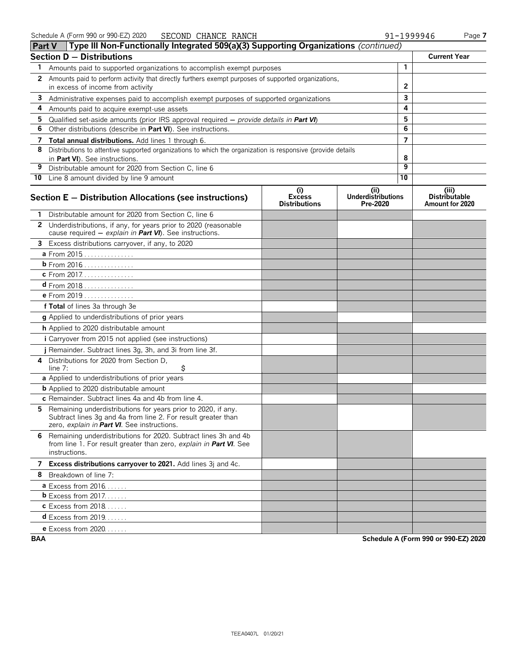|              | <b>Part V</b> Type III Non-Functionally Integrated 509(a)(3) Supporting Organizations (continued)                                                                               |                                              |                                               |              |                                                  |
|--------------|---------------------------------------------------------------------------------------------------------------------------------------------------------------------------------|----------------------------------------------|-----------------------------------------------|--------------|--------------------------------------------------|
|              | <b>Section D - Distributions</b>                                                                                                                                                |                                              |                                               |              | <b>Current Year</b>                              |
| 1            | Amounts paid to supported organizations to accomplish exempt purposes                                                                                                           |                                              |                                               | $\mathbf{1}$ |                                                  |
| $\mathbf{2}$ | Amounts paid to perform activity that directly furthers exempt purposes of supported organizations,                                                                             |                                              |                                               |              |                                                  |
|              | in excess of income from activity                                                                                                                                               |                                              | 2                                             |              |                                                  |
| 3            | Administrative expenses paid to accomplish exempt purposes of supported organizations                                                                                           |                                              |                                               | 3<br>4       |                                                  |
| 4            | Amounts paid to acquire exempt-use assets                                                                                                                                       |                                              |                                               | 5            |                                                  |
| 5<br>6       | Qualified set-aside amounts (prior IRS approval required $-$ provide details in <b>Part VI</b> )<br>Other distributions (describe in Part VI). See instructions.                |                                              |                                               | 6            |                                                  |
| 7            | Total annual distributions. Add lines 1 through 6.                                                                                                                              |                                              |                                               | 7            |                                                  |
| 8            | Distributions to attentive supported organizations to which the organization is responsive (provide details                                                                     |                                              |                                               |              |                                                  |
|              | in Part VI). See instructions.                                                                                                                                                  |                                              |                                               | 8            |                                                  |
| 9            | Distributable amount for 2020 from Section C, line 6                                                                                                                            |                                              |                                               | 9            |                                                  |
|              | 10 Line 8 amount divided by line 9 amount                                                                                                                                       |                                              |                                               | 10           |                                                  |
|              | Section E - Distribution Allocations (see instructions)                                                                                                                         | (i)<br><b>Excess</b><br><b>Distributions</b> | (ii)<br><b>Underdistributions</b><br>Pre-2020 |              | (iii)<br><b>Distributable</b><br>Amount for 2020 |
|              | 1 Distributable amount for 2020 from Section C, line 6                                                                                                                          |                                              |                                               |              |                                                  |
|              | 2 Underdistributions, if any, for years prior to 2020 (reasonable<br>cause required - explain in Part VI). See instructions.                                                    |                                              |                                               |              |                                                  |
|              | 3 Excess distributions carryover, if any, to 2020                                                                                                                               |                                              |                                               |              |                                                  |
|              | a From 2015                                                                                                                                                                     |                                              |                                               |              |                                                  |
|              | b From 2016                                                                                                                                                                     |                                              |                                               |              |                                                  |
|              | c From 2017.                                                                                                                                                                    |                                              |                                               |              |                                                  |
|              | <b>d</b> From 2018                                                                                                                                                              |                                              |                                               |              |                                                  |
|              | e From 2019                                                                                                                                                                     |                                              |                                               |              |                                                  |
|              | f Total of lines 3a through 3e                                                                                                                                                  |                                              |                                               |              |                                                  |
|              | g Applied to underdistributions of prior years                                                                                                                                  |                                              |                                               |              |                                                  |
|              | h Applied to 2020 distributable amount                                                                                                                                          |                                              |                                               |              |                                                  |
|              | <i>i</i> Carryover from 2015 not applied (see instructions)                                                                                                                     |                                              |                                               |              |                                                  |
|              | j Remainder. Subtract lines 3g, 3h, and 3i from line 3f.                                                                                                                        |                                              |                                               |              |                                                  |
|              | 4 Distributions for 2020 from Section D,<br>\$<br>line $7:$                                                                                                                     |                                              |                                               |              |                                                  |
|              | a Applied to underdistributions of prior years                                                                                                                                  |                                              |                                               |              |                                                  |
|              | <b>b</b> Applied to 2020 distributable amount                                                                                                                                   |                                              |                                               |              |                                                  |
|              | c Remainder. Subtract lines 4a and 4b from line 4.                                                                                                                              |                                              |                                               |              |                                                  |
|              | 5 Remaining underdistributions for years prior to 2020, if any.<br>Subtract lines 3g and 4a from line 2. For result greater than<br>zero, explain in Part VI. See instructions. |                                              |                                               |              |                                                  |
|              | 6 Remaining underdistributions for 2020. Subtract lines 3h and 4b<br>from line 1. For result greater than zero, explain in Part VI. See<br>instructions.                        |                                              |                                               |              |                                                  |
|              | 7 Excess distributions carryover to 2021. Add lines 3j and 4c.                                                                                                                  |                                              |                                               |              |                                                  |
|              | 8 Breakdown of line 7:                                                                                                                                                          |                                              |                                               |              |                                                  |
|              | <b>a</b> Excess from $2016$                                                                                                                                                     |                                              |                                               |              |                                                  |
|              | <b>b</b> Excess from $2017$                                                                                                                                                     |                                              |                                               |              |                                                  |
|              | <b>c</b> Excess from 2018                                                                                                                                                       |                                              |                                               |              |                                                  |
|              | <b>d</b> Excess from 2019                                                                                                                                                       |                                              |                                               |              |                                                  |
|              | <b>e</b> Excess from 2020                                                                                                                                                       |                                              |                                               |              |                                                  |

**BAA Schedule A (Form 990 or 990-EZ) 2020**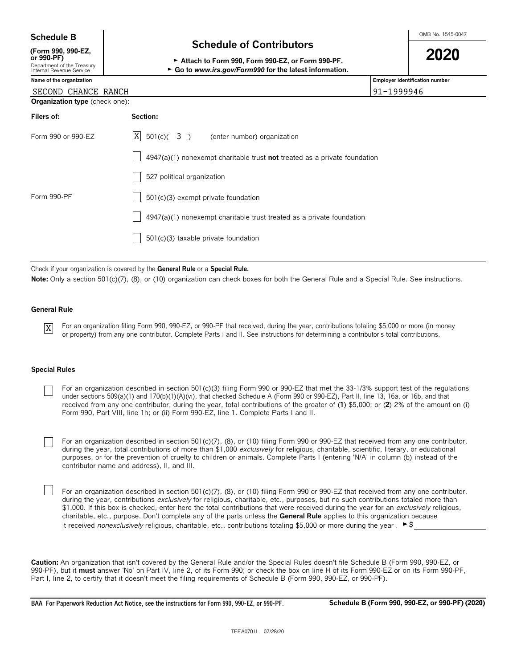| <b>Schedule B</b>                                                    |                                                                                                             | OMB No. 1545-0047                     |
|----------------------------------------------------------------------|-------------------------------------------------------------------------------------------------------------|---------------------------------------|
| (Form 990, 990-EZ,                                                   | <b>Schedule of Contributors</b>                                                                             |                                       |
| or 990-PF)<br>Department of the Treasury<br>Internal Revenue Service | Attach to Form 990, Form 990-EZ, or Form 990-PF.<br>► Go to www.irs.gov/Form990 for the latest information. | 2020                                  |
| Name of the organization                                             |                                                                                                             | <b>Employer identification number</b> |
| SECOND CHANCE RANCH                                                  |                                                                                                             | 91-1999946                            |
| <b>Organization type</b> (check one):                                |                                                                                                             |                                       |
| Filers of:                                                           | Section:                                                                                                    |                                       |
| Form 990 or 990-EZ                                                   | X<br>$501(c)$ (3)<br>(enter number) organization                                                            |                                       |
|                                                                      | $4947(a)(1)$ nonexempt charitable trust not treated as a private foundation                                 |                                       |
|                                                                      | 527 political organization                                                                                  |                                       |
| Form 990-PF                                                          | 501(c)(3) exempt private foundation                                                                         |                                       |
|                                                                      | 4947(a)(1) nonexempt charitable trust treated as a private foundation                                       |                                       |
|                                                                      | 501(c)(3) taxable private foundation                                                                        |                                       |

Check if your organization is covered by the **General Rule** or a **Special Rule.**

Note: Only a section 501(c)(7), (8), or (10) organization can check boxes for both the General Rule and a Special Rule. See instructions.

#### **General Rule**

X

For an organization filing Form 990, 990-EZ, or 990-PF that received, during the year, contributions totaling \$5,000 or more (in money or property) from any one contributor. Complete Parts I and II. See instructions for determining a contributor's total contributions.

#### **Special Rules**

- For an organization described in section 501(c)(3) filing Form 990 or 990-EZ that met the 33-1/3% support test of the regulations under sections 509(a)(1) and 170(b)(1)(A)(vi), that checked Schedule A (Form 990 or 990-EZ), Part II, line 13, 16a, or 16b, and that received from any one contributor, during the year, total contributions of the greater of (**1**) \$5,000; or (**2**) 2% of the amount on (i) Form 990, Part VIII, line 1h; or (ii) Form 990-EZ, line 1. Complete Parts I and II.
- For an organization described in section 501(c)(7), (8), or (10) filing Form 990 or 990-EZ that received from any one contributor, during the year, total contributions of more than \$1,000 *exclusively* for religious, charitable, scientific, literary, or educational purposes, or for the prevention of cruelty to children or animals. Complete Parts I (entering 'N/A' in column (b) instead of the contributor name and address), II, and III.
- For an organization described in section 501(c)(7), (8), or (10) filing Form 990 or 990-EZ that received from any one contributor, during the year, contributions *exclusively* for religious, charitable, etc., purposes, but no such contributions totaled more than \$1,000. If this box is checked, enter here the total contributions that were received during the year for an *exclusively* religious, charitable, etc., purpose. Don't complete any of the parts unless the **General Rule** applies to this organization because it received *nonexclusively* religious, charitable, etc., contributions totaling \$5,000 or more during the year . ►\$

**Caution:** An organization that isn't covered by the General Rule and/or the Special Rules doesn't file Schedule B (Form 990, 990-EZ, or 990-PF), but it **must** answer 'No' on Part IV, line 2, of its Form 990; or check the box on line H of its Form 990-EZ or on its Form 990-PF, Part I, line 2, to certify that it doesn't meet the filing requirements of Schedule B (Form 990, 990-EZ, or 990-PF).

**BAA For Paperwork Reduction Act Notice, see the instructions for Form 990, 990-EZ, or 990-PF. Schedule B (Form 990, 990-EZ, or 990-PF) (2020)**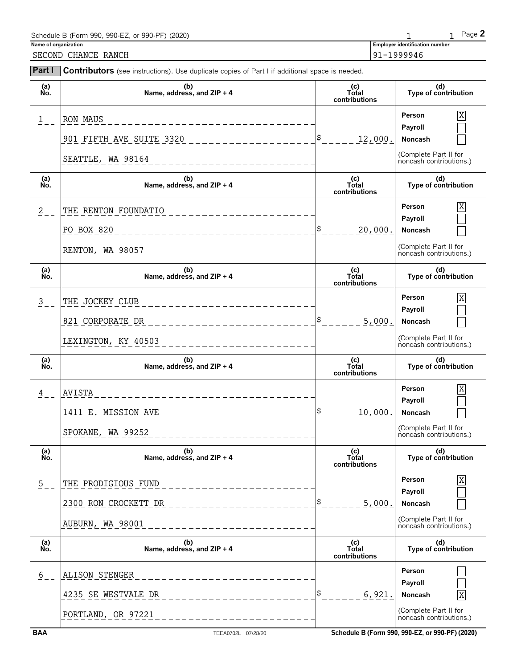| Schedule B (Form 990, 990-EZ, or 990-PF) (2020) |                                       | Page $\geq$ |
|-------------------------------------------------|---------------------------------------|-------------|
| Name of organization                            | <b>Employer identification number</b> |             |
| SECOND<br>CHANCE RANCH                          | 91-1999946                            |             |

| Part I        | <b>Contributors</b> (see instructions). Use duplicate copies of Part I if additional space is needed. |                               |                                                  |
|---------------|-------------------------------------------------------------------------------------------------------|-------------------------------|--------------------------------------------------|
| (a)<br>No.    | (b)<br>Name, address, and $ZIP + 4$                                                                   | (c)<br>Total<br>contributions | (d)<br>Type of contribution                      |
| $1$ $-$       | RON MAUS                                                                                              |                               | X<br>Person                                      |
|               | 901 FIFTH AVE SUITE 3320                                                                              | \$<br>12,000.                 | Payroll<br>Noncash                               |
|               | SEATTLE, WA 98164<br>_______________________                                                          |                               | (Complete Part II for<br>noncash contributions.) |
| (a)<br>No.    | (b)<br>Name, address, and $ZIP + 4$                                                                   | (c)<br>Total<br>contributions | (d)<br>Type of contribution                      |
| $2$ $-$       | THE RENTON FOUNDATIO<br>_________________                                                             |                               | Person<br>X                                      |
|               | PO BOX 820<br>_______________                                                                         | \$<br>20,000.                 | Payroll<br>Noncash                               |
|               | RENTON, WA 98057<br>___________________                                                               |                               | (Complete Part II for<br>noncash contributions.) |
| (a)<br>No.    | (b)<br>Name, address, and ZIP + 4                                                                     | (c)<br>Total<br>contributions | (d)<br>Type of contribution                      |
| $\frac{3}{2}$ | THE JOCKEY CLUB<br>______________________                                                             |                               | <b>Person</b><br>Χ                               |
|               | 821 CORPORATE DR                                                                                      | \$<br>5,000.                  | Payroll<br>Noncash                               |
|               | LEXINGTON, KY 40503<br>_________________                                                              |                               | (Complete Part II for<br>noncash contributions.) |
| (a)<br>No.    | (b)<br>Name, address, and ZIP + 4                                                                     | (c)<br>Total<br>contributions | (d)<br>Type of contribution                      |
| $\frac{4}{-}$ | AVISTA<br>______________________                                                                      |                               | Person<br>Χ                                      |
|               | 1411 E. MISSION AVE                                                                                   | \$<br>10,000.                 | Payroll<br>Noncash                               |
|               | SPOKANE, WA 99252                                                                                     |                               | (Complete Part II for<br>noncash contributions.) |
| (a)<br>No.    | (b)<br>Name, address, and ZIP + 4                                                                     | (c)<br>Total<br>contributions | (d)<br>Type of contribution                      |
| $\frac{5}{2}$ | THE PRODIGIOUS FUND<br>--------------                                                                 |                               | Person<br>Χ                                      |
|               | 2300 RON CROCKETT DR                                                                                  | \$<br>5,000.                  | Payroll<br>Noncash                               |
|               | AUBURN, WA 98001<br>$\frac{1}{2}$ = = = = = = = = = = = = =                                           |                               | (Complete Part II for<br>noncash contributions.) |
| (a)<br>No.    | (b)<br>Name, address, and ZIP + 4                                                                     | (c)<br>Total<br>contributions | (d)<br>Type of contribution                      |
|               |                                                                                                       |                               |                                                  |
| $rac{6}{6}$   | ALISON STENGER<br>________________                                                                    |                               | Person                                           |
|               | 4235 SE WESTVALE DR                                                                                   | \$<br>6,921.                  | Payroll<br>Noncash                               |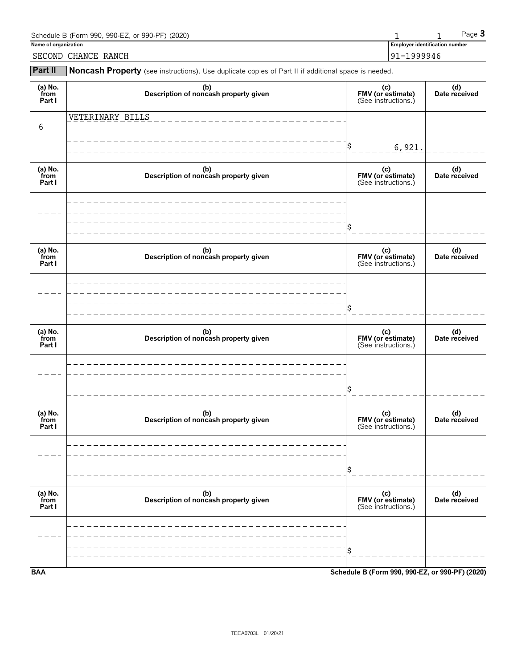| Schedule B (Form 990, 990-EZ, or 990-PF) (2020) |                                       | Page $3$ |
|-------------------------------------------------|---------------------------------------|----------|
| Name of organization                            | <b>Employer identification number</b> |          |
| SECOND CHANCE RANCH                             | 91-1999946                            |          |

**Part II** Noncash Property (see instructions). Use duplicate copies of Part II if additional space is needed.

| (a) $No.$ from<br>Part I  | (b)<br>Description of noncash property given | (c)<br>FMV (or estimate)<br>(See instructions.) | (d)<br>Date received |
|---------------------------|----------------------------------------------|-------------------------------------------------|----------------------|
| 6                         | VETERINARY BILLS                             |                                                 |                      |
|                           |                                              | \$<br>6,921.                                    |                      |
| (a) $No.$ from<br>Part I  | (b)<br>Description of noncash property given | (c)<br>FMV (or estimate)<br>(See instructions.) | (d)<br>Date received |
|                           |                                              |                                                 |                      |
|                           |                                              | \$                                              |                      |
| (a) No.<br>from<br>Part I | (b)<br>Description of noncash property given | (c)<br>FMV (or estimate)<br>(See instructions.) | (d)<br>Date received |
|                           |                                              |                                                 |                      |
|                           |                                              |                                                 |                      |
| (a) No.<br>from<br>Part I | (b)<br>Description of noncash property given | (c)<br>FMV (or estimate)<br>(See instructions.) | (d)<br>Date received |
|                           |                                              |                                                 |                      |
|                           |                                              | \$                                              |                      |
| (a) $No.$ from<br>Part I  | (b)<br>Description of noncash property given | (c)<br>FMV (or estimate)<br>(See instructions.) | (d)<br>Date received |
|                           |                                              |                                                 |                      |
|                           |                                              | \$                                              |                      |
|                           |                                              |                                                 |                      |
| (a) $No.$ from<br>Part I  | (b)<br>Description of noncash property given | (c)<br>FMV (or estimate)<br>(See instructions.) | (d)<br>Date received |
|                           |                                              |                                                 |                      |
|                           |                                              | \$                                              |                      |
| <b>BAA</b>                |                                              | Schedule B (Form 990, 990-EZ, or 990-PF) (2020) |                      |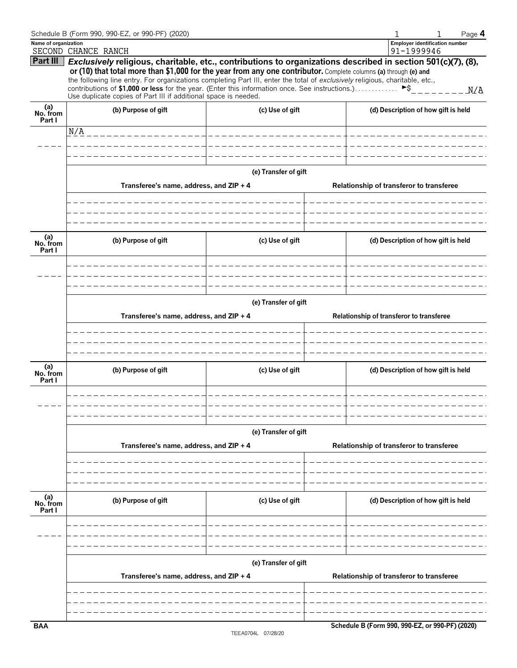|                           | Schedule B (Form 990, 990-EZ, or 990-PF) (2020)                                                                                                                                                                                                                                                                                                                                                                                                                     |                       |  |                                                     | Page 4 |  |  |
|---------------------------|---------------------------------------------------------------------------------------------------------------------------------------------------------------------------------------------------------------------------------------------------------------------------------------------------------------------------------------------------------------------------------------------------------------------------------------------------------------------|-----------------------|--|-----------------------------------------------------|--------|--|--|
| Name of organization      | SECOND CHANCE RANCH                                                                                                                                                                                                                                                                                                                                                                                                                                                 |                       |  | <b>Employer identification number</b><br>91-1999946 |        |  |  |
| <b>Part III</b>           | Exclusively religious, charitable, etc., contributions to organizations described in section 501(c)(7), (8),<br>or (10) that total more than \$1,000 for the year from any one contributor. Complete columns (a) through (e) and<br>the following line entry. For organizations completing Part III, enter the total of exclusively religious, charitable, etc.,<br>contributions of \$1,000 or less for the year. (Enter this information once. See instructions.) |                       |  | $\blacktriangleright$ \$                            | N/A    |  |  |
|                           | Use duplicate copies of Part III if additional space is needed.                                                                                                                                                                                                                                                                                                                                                                                                     |                       |  |                                                     |        |  |  |
| (a)<br>No. from<br>Part I | (b) Purpose of gift                                                                                                                                                                                                                                                                                                                                                                                                                                                 | (c) Use of gift       |  | (d) Description of how gift is held                 |        |  |  |
|                           | N/A<br>______________                                                                                                                                                                                                                                                                                                                                                                                                                                               | _____________________ |  |                                                     |        |  |  |
|                           |                                                                                                                                                                                                                                                                                                                                                                                                                                                                     |                       |  |                                                     |        |  |  |
|                           |                                                                                                                                                                                                                                                                                                                                                                                                                                                                     |                       |  |                                                     |        |  |  |
|                           |                                                                                                                                                                                                                                                                                                                                                                                                                                                                     | (e) Transfer of gift  |  |                                                     |        |  |  |
|                           | Transferee's name, address, and ZIP + 4                                                                                                                                                                                                                                                                                                                                                                                                                             |                       |  | Relationship of transferor to transferee            |        |  |  |
|                           |                                                                                                                                                                                                                                                                                                                                                                                                                                                                     |                       |  |                                                     |        |  |  |
| (a)<br>No. from<br>Part I | (b) Purpose of gift                                                                                                                                                                                                                                                                                                                                                                                                                                                 | (c) Use of gift       |  | (d) Description of how gift is held                 |        |  |  |
|                           |                                                                                                                                                                                                                                                                                                                                                                                                                                                                     |                       |  |                                                     |        |  |  |
|                           | (e) Transfer of gift                                                                                                                                                                                                                                                                                                                                                                                                                                                |                       |  |                                                     |        |  |  |
|                           | Transferee's name, address, and ZIP + 4<br>Relationship of transferor to transferee                                                                                                                                                                                                                                                                                                                                                                                 |                       |  |                                                     |        |  |  |
|                           |                                                                                                                                                                                                                                                                                                                                                                                                                                                                     |                       |  |                                                     |        |  |  |
|                           |                                                                                                                                                                                                                                                                                                                                                                                                                                                                     |                       |  |                                                     |        |  |  |
|                           |                                                                                                                                                                                                                                                                                                                                                                                                                                                                     |                       |  |                                                     |        |  |  |
| (a)<br>No. from<br>Part I | (b) Purpose of gift                                                                                                                                                                                                                                                                                                                                                                                                                                                 | (c) Use of gift       |  | (d) Description of how gift is held                 |        |  |  |
|                           |                                                                                                                                                                                                                                                                                                                                                                                                                                                                     |                       |  |                                                     |        |  |  |
|                           |                                                                                                                                                                                                                                                                                                                                                                                                                                                                     |                       |  |                                                     |        |  |  |
|                           |                                                                                                                                                                                                                                                                                                                                                                                                                                                                     | (e) Transfer of gift  |  |                                                     |        |  |  |
|                           | Transferee's name, address, and ZIP + 4                                                                                                                                                                                                                                                                                                                                                                                                                             |                       |  | Relationship of transferor to transferee            |        |  |  |
|                           |                                                                                                                                                                                                                                                                                                                                                                                                                                                                     |                       |  |                                                     |        |  |  |
|                           |                                                                                                                                                                                                                                                                                                                                                                                                                                                                     |                       |  |                                                     |        |  |  |
| (a)<br>No. from<br>Part I | (b) Purpose of gift                                                                                                                                                                                                                                                                                                                                                                                                                                                 | (c) Use of gift       |  | (d) Description of how gift is held                 |        |  |  |
|                           |                                                                                                                                                                                                                                                                                                                                                                                                                                                                     |                       |  |                                                     |        |  |  |
|                           |                                                                                                                                                                                                                                                                                                                                                                                                                                                                     |                       |  |                                                     |        |  |  |
|                           |                                                                                                                                                                                                                                                                                                                                                                                                                                                                     |                       |  |                                                     |        |  |  |
|                           | Transferee's name, address, and ZIP + 4                                                                                                                                                                                                                                                                                                                                                                                                                             | (e) Transfer of gift  |  | Relationship of transferor to transferee            |        |  |  |
|                           |                                                                                                                                                                                                                                                                                                                                                                                                                                                                     |                       |  |                                                     |        |  |  |
|                           |                                                                                                                                                                                                                                                                                                                                                                                                                                                                     |                       |  |                                                     |        |  |  |
| <b>BAA</b>                |                                                                                                                                                                                                                                                                                                                                                                                                                                                                     |                       |  | Schedule B (Form 990, 990-EZ, or 990-PF) (2020)     |        |  |  |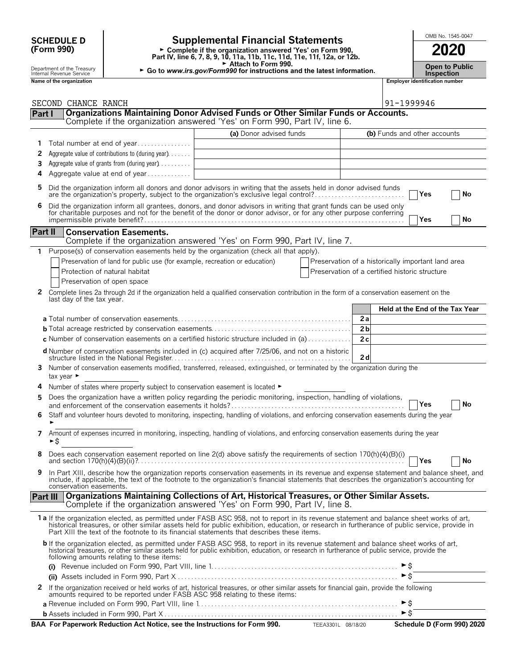| <b>SCHEDULE D</b> |  |
|-------------------|--|
| (Form 990)        |  |

### **SCHEDULE D Supplemental Financial Statements CHEDULE D COOL**

**Part IV, line 6, 7, 8, 9, 10, 11a, 11b, 11c, 11d, 11e, 11f, 12a, or 12b.**<br>
Part IV, line 6, 7, 8, 9, 10, 11a, 11b, 11c, 11d, 11e, 11f, 12a, or 12b.

Attach to Form 990.

► Attach to Form 990.<br>
► Go to *www.irs.gov/Form990* for instructions and the latest information. **Inspection**<br>
Inspection Department of the Treasury **F** Go to www.irs.gov/Form990 for instructions and the latest information. Depen to Pu<br>Inspection Instructions and the latest information.<br>Name of the organization

|         | SECOND CHANCE RANCH                                                                                                                                                                                                                                                                                                                |                         |                                                | 91-1999946                                         |  |  |  |  |
|---------|------------------------------------------------------------------------------------------------------------------------------------------------------------------------------------------------------------------------------------------------------------------------------------------------------------------------------------|-------------------------|------------------------------------------------|----------------------------------------------------|--|--|--|--|
| Part I  |                                                                                                                                                                                                                                                                                                                                    |                         |                                                |                                                    |  |  |  |  |
|         | <b>Organizations Maintaining Donor Advised Funds or Other Similar Funds or Accounts.</b><br>Complete if the organization answered 'Yes' on Form 990, Part IV, line 6.                                                                                                                                                              |                         |                                                |                                                    |  |  |  |  |
|         |                                                                                                                                                                                                                                                                                                                                    | (a) Donor advised funds |                                                | (b) Funds and other accounts                       |  |  |  |  |
| 1       | Total number at end of year                                                                                                                                                                                                                                                                                                        |                         |                                                |                                                    |  |  |  |  |
| 2       | Aggregate value of contributions to (during year)                                                                                                                                                                                                                                                                                  |                         |                                                |                                                    |  |  |  |  |
| 3       | Aggregate value of grants from (during year)                                                                                                                                                                                                                                                                                       |                         |                                                |                                                    |  |  |  |  |
| 4       | Aggregate value at end of year                                                                                                                                                                                                                                                                                                     |                         |                                                |                                                    |  |  |  |  |
| 5       | Did the organization inform all donors and donor advisors in writing that the assets held in donor advised funds<br>are the organization's property, subject to the organization's exclusive legal control?                                                                                                                        |                         |                                                |                                                    |  |  |  |  |
| 6       | Did the organization inform all grantees, donors, and donor advisors in writing that grant funds can be used only for charitable purposes and not for the benefit of the donor or donor advisor, or for any other purpose conf                                                                                                     |                         |                                                | Yes<br>No                                          |  |  |  |  |
|         |                                                                                                                                                                                                                                                                                                                                    |                         |                                                | Yes<br>No                                          |  |  |  |  |
| Part II | <b>Conservation Easements.</b><br>Complete if the organization answered 'Yes' on Form 990, Part IV, line 7.                                                                                                                                                                                                                        |                         |                                                |                                                    |  |  |  |  |
| 1.      | Purpose(s) of conservation easements held by the organization (check all that apply).                                                                                                                                                                                                                                              |                         |                                                |                                                    |  |  |  |  |
|         | Preservation of land for public use (for example, recreation or education)                                                                                                                                                                                                                                                         |                         |                                                | Preservation of a historically important land area |  |  |  |  |
|         | Protection of natural habitat                                                                                                                                                                                                                                                                                                      |                         | Preservation of a certified historic structure |                                                    |  |  |  |  |
|         | Preservation of open space                                                                                                                                                                                                                                                                                                         |                         |                                                |                                                    |  |  |  |  |
| 2       | Complete lines 2a through 2d if the organization held a qualified conservation contribution in the form of a conservation easement on the                                                                                                                                                                                          |                         |                                                |                                                    |  |  |  |  |
|         | last day of the tax year.                                                                                                                                                                                                                                                                                                          |                         |                                                |                                                    |  |  |  |  |
|         |                                                                                                                                                                                                                                                                                                                                    |                         |                                                | Held at the End of the Tax Year                    |  |  |  |  |
|         |                                                                                                                                                                                                                                                                                                                                    |                         | 2a                                             |                                                    |  |  |  |  |
|         |                                                                                                                                                                                                                                                                                                                                    |                         | 2 <sub>b</sub>                                 |                                                    |  |  |  |  |
|         | c Number of conservation easements on a certified historic structure included in (a)                                                                                                                                                                                                                                               |                         | 2c                                             |                                                    |  |  |  |  |
|         | d Number of conservation easements included in (c) acquired after 7/25/06, and not on a historic                                                                                                                                                                                                                                   |                         | 2d                                             |                                                    |  |  |  |  |
|         | Number of conservation easements modified, transferred, released, extinguished, or terminated by the organization during the<br>tax year ►                                                                                                                                                                                         |                         |                                                |                                                    |  |  |  |  |
|         | Number of states where property subject to conservation easement is located ▶                                                                                                                                                                                                                                                      |                         |                                                |                                                    |  |  |  |  |
| 5       | Does the organization have a written policy regarding the periodic monitoring, inspection, handling of violations,                                                                                                                                                                                                                 |                         |                                                |                                                    |  |  |  |  |
|         |                                                                                                                                                                                                                                                                                                                                    |                         |                                                | Yes<br>No                                          |  |  |  |  |
| 6       | Staff and volunteer hours devoted to monitoring, inspecting, handling of violations, and enforcing conservation easements during the year                                                                                                                                                                                          |                         |                                                |                                                    |  |  |  |  |
| 7       | Amount of expenses incurred in monitoring, inspecting, handling of violations, and enforcing conservation easements during the year                                                                                                                                                                                                |                         |                                                |                                                    |  |  |  |  |
|         | ►Ŝ                                                                                                                                                                                                                                                                                                                                 |                         |                                                |                                                    |  |  |  |  |
|         | Does each conservation easement reported on line 2(d) above satisfy the requirements of section 170(h)(4)(B)(i)                                                                                                                                                                                                                    |                         |                                                | <b>T</b> es<br>$ $ No                              |  |  |  |  |
| 9       | In Part XIII, describe how the organization reports conservation easements in its revenue and expense statement and balance sheet, and                                                                                                                                                                                             |                         |                                                |                                                    |  |  |  |  |
|         | include, if applicable, the text of the footnote to the organization's financial statements that describes the organization's accounting for<br>conservation easements.                                                                                                                                                            |                         |                                                |                                                    |  |  |  |  |
|         | Part III   Organizations Maintaining Collections of Art, Historical Treasures, or Other Similar Assets.                                                                                                                                                                                                                            |                         |                                                |                                                    |  |  |  |  |
|         | Complete if the organization answered 'Yes' on Form 990, Part IV, line 8.                                                                                                                                                                                                                                                          |                         |                                                |                                                    |  |  |  |  |
|         | 1 a If the organization elected, as permitted under FASB ASC 958, not to report in its revenue statement and balance sheet works of art,                                                                                                                                                                                           |                         |                                                |                                                    |  |  |  |  |
|         | historical treasures, or other similar assets held for public exhibition, education, or research in furtherance of public service, provide in<br>Part XIII the text of the footnote to its financial statements that describes these items.                                                                                        |                         |                                                |                                                    |  |  |  |  |
|         | b If the organization elected, as permitted under FASB ASC 958, to report in its revenue statement and balance sheet works of art,<br>historical treasures, or other similar assets held for public exhibition, education, or research in furtherance of public service, provide the<br>following amounts relating to these items: |                         |                                                |                                                    |  |  |  |  |
|         |                                                                                                                                                                                                                                                                                                                                    |                         |                                                |                                                    |  |  |  |  |
|         |                                                                                                                                                                                                                                                                                                                                    |                         |                                                | $\triangleright$ \$                                |  |  |  |  |
| 2       | If the organization received or held works of art, historical treasures, or other similar assets for financial gain, provide the following<br>amounts required to be reported under FASB ASC 958 relating to these items:                                                                                                          |                         |                                                |                                                    |  |  |  |  |
|         |                                                                                                                                                                                                                                                                                                                                    |                         |                                                |                                                    |  |  |  |  |
|         |                                                                                                                                                                                                                                                                                                                                    |                         |                                                | $\triangleright$ \$                                |  |  |  |  |
|         | BAA For Paperwork Reduction Act Notice, see the Instructions for Form 990. TEEA3301L 08/18/20                                                                                                                                                                                                                                      |                         |                                                | Schedule D (Form 990) 2020                         |  |  |  |  |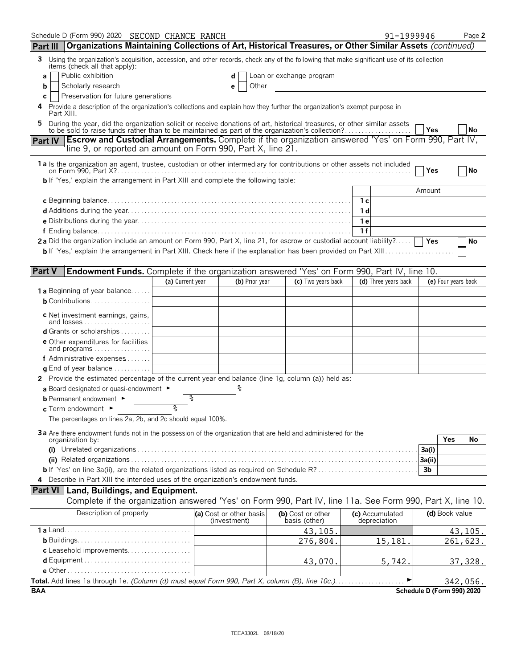| Schedule D (Form 990) 2020 SECOND CHANCE RANCH                                                                                                                                                                                 |                                                                                                              |  |                                         |  |                                    | 91-1999946                      |                |                            | Page 2    |
|--------------------------------------------------------------------------------------------------------------------------------------------------------------------------------------------------------------------------------|--------------------------------------------------------------------------------------------------------------|--|-----------------------------------------|--|------------------------------------|---------------------------------|----------------|----------------------------|-----------|
| Organizations Maintaining Collections of Art, Historical Treasures, or Other Similar Assets (continued)<br>Part III                                                                                                            |                                                                                                              |  |                                         |  |                                    |                                 |                |                            |           |
| Using the organization's acquisition, accession, and other records, check any of the following that make significant use of its collection<br>3<br>items (check all that apply):                                               |                                                                                                              |  |                                         |  |                                    |                                 |                |                            |           |
| Public exhibition<br>a                                                                                                                                                                                                         |                                                                                                              |  | d                                       |  | Loan or exchange program           |                                 |                |                            |           |
| Scholarly research<br>b                                                                                                                                                                                                        |                                                                                                              |  | Other<br>е                              |  |                                    |                                 |                |                            |           |
| Preservation for future generations<br>C<br>Provide a description of the organization's collections and explain how they further the organization's exempt purpose in<br>4<br>Part XIII.                                       |                                                                                                              |  |                                         |  |                                    |                                 |                |                            |           |
| During the year, did the organization solicit or receive donations of art, historical treasures, or other similar assets to be sold to raise funds rather than to be maintained as part of the organization's collection?<br>5 |                                                                                                              |  |                                         |  |                                    |                                 | Yes            |                            | No        |
|                                                                                                                                                                                                                                | Part IV Escrow and Custodial Arrangements. Complete if the organization answered 'Yes' on Form 990, Part IV, |  |                                         |  |                                    |                                 |                |                            |           |
| line 9, or reported an amount on Form 990, Part X, line 21.                                                                                                                                                                    |                                                                                                              |  |                                         |  |                                    |                                 |                |                            |           |
| 1a Is the organization an agent, trustee, custodian or other intermediary for contributions or other assets not included                                                                                                       |                                                                                                              |  |                                         |  |                                    |                                 | Yes            |                            | <b>No</b> |
| <b>b</b> If 'Yes,' explain the arrangement in Part XIII and complete the following table:                                                                                                                                      |                                                                                                              |  |                                         |  |                                    |                                 |                |                            |           |
|                                                                                                                                                                                                                                |                                                                                                              |  |                                         |  |                                    |                                 | Amount         |                            |           |
|                                                                                                                                                                                                                                |                                                                                                              |  |                                         |  |                                    |                                 |                |                            |           |
|                                                                                                                                                                                                                                |                                                                                                              |  |                                         |  |                                    |                                 |                |                            |           |
|                                                                                                                                                                                                                                |                                                                                                              |  |                                         |  |                                    | 1 e<br>1f                       |                |                            |           |
| 2a Did the organization include an amount on Form 990, Part X, line 21, for escrow or custodial account liability?                                                                                                             |                                                                                                              |  |                                         |  |                                    |                                 |                |                            | No        |
|                                                                                                                                                                                                                                |                                                                                                              |  |                                         |  |                                    |                                 |                |                            |           |
|                                                                                                                                                                                                                                |                                                                                                              |  |                                         |  |                                    |                                 |                |                            |           |
| <b>Part V</b><br>Endowment Funds. Complete if the organization answered 'Yes' on Form 990, Part IV, line 10.                                                                                                                   |                                                                                                              |  |                                         |  |                                    |                                 |                |                            |           |
|                                                                                                                                                                                                                                | (a) Current year                                                                                             |  | (b) Prior year                          |  | (c) Two years back                 | (d) Three years back            |                | (e) Four years back        |           |
| <b>1 a</b> Beginning of year balance                                                                                                                                                                                           |                                                                                                              |  |                                         |  |                                    |                                 |                |                            |           |
| <b>b</b> Contributions                                                                                                                                                                                                         |                                                                                                              |  |                                         |  |                                    |                                 |                |                            |           |
| <b>c</b> Net investment earnings, gains,                                                                                                                                                                                       |                                                                                                              |  |                                         |  |                                    |                                 |                |                            |           |
| <b>d</b> Grants or scholarships $\ldots$                                                                                                                                                                                       |                                                                                                              |  |                                         |  |                                    |                                 |                |                            |           |
| <b>e</b> Other expenditures for facilities<br>and programs                                                                                                                                                                     |                                                                                                              |  |                                         |  |                                    |                                 |                |                            |           |
| f Administrative expenses                                                                                                                                                                                                      |                                                                                                              |  |                                         |  |                                    |                                 |                |                            |           |
| <b>g</b> End of year balance $\dots\dots\dots\dots$                                                                                                                                                                            |                                                                                                              |  |                                         |  |                                    |                                 |                |                            |           |
| 2 Provide the estimated percentage of the current year end balance (line 1g, column (a)) held as:                                                                                                                              |                                                                                                              |  |                                         |  |                                    |                                 |                |                            |           |
| a Board designated or quasi-endowment $\blacktriangleright$                                                                                                                                                                    |                                                                                                              |  |                                         |  |                                    |                                 |                |                            |           |
| <b>b</b> Permanent endowment ▶                                                                                                                                                                                                 |                                                                                                              |  |                                         |  |                                    |                                 |                |                            |           |
| c Term endowment ►                                                                                                                                                                                                             | ୭                                                                                                            |  |                                         |  |                                    |                                 |                |                            |           |
| The percentages on lines 2a, 2b, and 2c should equal 100%.                                                                                                                                                                     |                                                                                                              |  |                                         |  |                                    |                                 |                |                            |           |
| 3a Are there endowment funds not in the possession of the organization that are held and administered for the                                                                                                                  |                                                                                                              |  |                                         |  |                                    |                                 |                | Yes                        | No        |
| organization by:                                                                                                                                                                                                               |                                                                                                              |  |                                         |  |                                    |                                 | 3a(i)          |                            |           |
|                                                                                                                                                                                                                                |                                                                                                              |  |                                         |  |                                    |                                 | 3a(ii)         |                            |           |
|                                                                                                                                                                                                                                |                                                                                                              |  |                                         |  |                                    |                                 | 3 <sub>b</sub> |                            |           |
| 4 Describe in Part XIII the intended uses of the organization's endowment funds.                                                                                                                                               |                                                                                                              |  |                                         |  |                                    |                                 |                |                            |           |
| Part VI   Land, Buildings, and Equipment.                                                                                                                                                                                      |                                                                                                              |  |                                         |  |                                    |                                 |                |                            |           |
| Complete if the organization answered 'Yes' on Form 990, Part IV, line 11a. See Form 990, Part X, line 10.                                                                                                                     |                                                                                                              |  |                                         |  |                                    |                                 |                |                            |           |
| Description of property                                                                                                                                                                                                        |                                                                                                              |  | (a) Cost or other basis<br>(investment) |  | (b) Cost or other<br>basis (other) | (c) Accumulated<br>depreciation |                | (d) Book value             |           |
|                                                                                                                                                                                                                                |                                                                                                              |  |                                         |  | 43,105.                            |                                 |                |                            | 43, 105.  |
|                                                                                                                                                                                                                                |                                                                                                              |  |                                         |  | 276,804.                           | 15,181.                         |                |                            | 261, 623. |
| c Leasehold improvements                                                                                                                                                                                                       |                                                                                                              |  |                                         |  |                                    |                                 |                |                            |           |
|                                                                                                                                                                                                                                |                                                                                                              |  |                                         |  | 43,070.                            | 5,742.                          |                |                            | 37,328.   |
|                                                                                                                                                                                                                                |                                                                                                              |  |                                         |  |                                    |                                 |                |                            |           |
| <b>BAA</b>                                                                                                                                                                                                                     |                                                                                                              |  |                                         |  |                                    |                                 |                | Schedule D (Form 990) 2020 | 342,056.  |
|                                                                                                                                                                                                                                |                                                                                                              |  |                                         |  |                                    |                                 |                |                            |           |

TEEA3302L 08/18/20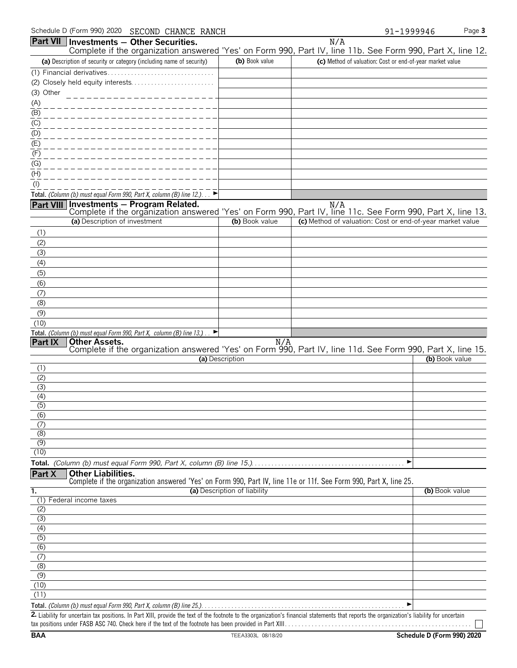| Schedule D (Form 990) 2020 SECOND CHANCE RANCH                                                                                                           |                 |                                                           | 91-1999946                                                | Page 3         |
|----------------------------------------------------------------------------------------------------------------------------------------------------------|-----------------|-----------------------------------------------------------|-----------------------------------------------------------|----------------|
| <b>Part VII Investments - Other Securities.</b>                                                                                                          |                 | N/A                                                       |                                                           |                |
| Complete if the organization answered 'Yes' on Form 990, Part IV, line 11b. See Form 990, Part X, line 12.                                               |                 |                                                           |                                                           |                |
| (a) Description of security or category (including name of security)                                                                                     | (b) Book value  |                                                           | (c) Method of valuation: Cost or end-of-year market value |                |
|                                                                                                                                                          |                 |                                                           |                                                           |                |
|                                                                                                                                                          |                 |                                                           |                                                           |                |
| (3) Other<br>----------------                                                                                                                            |                 |                                                           |                                                           |                |
| (A)                                                                                                                                                      |                 |                                                           |                                                           |                |
| (B)                                                                                                                                                      |                 |                                                           |                                                           |                |
| $($ C)                                                                                                                                                   |                 |                                                           |                                                           |                |
| (D)                                                                                                                                                      |                 |                                                           |                                                           |                |
| (E)                                                                                                                                                      |                 |                                                           |                                                           |                |
| (F)                                                                                                                                                      |                 |                                                           |                                                           |                |
| (G)                                                                                                                                                      |                 |                                                           |                                                           |                |
| (H)                                                                                                                                                      |                 |                                                           |                                                           |                |
| $($ l $)$                                                                                                                                                |                 |                                                           |                                                           |                |
| Total. (Column (b) must equal Form 990, Part X, column (B) line 12.)                                                                                     |                 |                                                           |                                                           |                |
| Part VIII Investments - Program Related.                                                                                                                 |                 | N/A                                                       |                                                           |                |
| Complete if the organization answered 'Yes' on Form 990, Part IV, line 11c. See Form 990, Part X, line 13.                                               |                 |                                                           |                                                           |                |
| (a) Description of investment                                                                                                                            | (b) Book value  | (c) Method of valuation: Cost or end-of-year market value |                                                           |                |
| (1)                                                                                                                                                      |                 |                                                           |                                                           |                |
| (2)                                                                                                                                                      |                 |                                                           |                                                           |                |
| (3)                                                                                                                                                      |                 |                                                           |                                                           |                |
| (4)                                                                                                                                                      |                 |                                                           |                                                           |                |
| (5)                                                                                                                                                      |                 |                                                           |                                                           |                |
| (6)                                                                                                                                                      |                 |                                                           |                                                           |                |
| (7)                                                                                                                                                      |                 |                                                           |                                                           |                |
| (8)                                                                                                                                                      |                 |                                                           |                                                           |                |
| (9)                                                                                                                                                      |                 |                                                           |                                                           |                |
| (10)                                                                                                                                                     |                 |                                                           |                                                           |                |
| Total. (Column (b) must equal Form 990, Part X, column (B) line 13.).<br>▸<br>Part IX<br><b>Other Assets.</b>                                            |                 |                                                           |                                                           |                |
| Complete if the organization answered 'Yes' on Form 990, Part IV, line 11d. See Form 990, Part X, line 15.                                               | N/A             |                                                           |                                                           |                |
|                                                                                                                                                          | (a) Description |                                                           |                                                           | (b) Book value |
| (1)                                                                                                                                                      |                 |                                                           |                                                           |                |
| (2)                                                                                                                                                      |                 |                                                           |                                                           |                |
| (3)                                                                                                                                                      |                 |                                                           |                                                           |                |
| (4)                                                                                                                                                      |                 |                                                           |                                                           |                |
| (5)                                                                                                                                                      |                 |                                                           |                                                           |                |
| (6)                                                                                                                                                      |                 |                                                           |                                                           |                |
| (7)                                                                                                                                                      |                 |                                                           |                                                           |                |
| (8)                                                                                                                                                      |                 |                                                           |                                                           |                |
| (9)                                                                                                                                                      |                 |                                                           |                                                           |                |
| (10)                                                                                                                                                     |                 |                                                           |                                                           |                |
|                                                                                                                                                          |                 |                                                           | ▶                                                         |                |
| Part X<br><b>Other Liabilities.</b><br>Complete if the organization answered 'Yes' on Form 990, Part IV, line 11e or 11f. See Form 990, Part X, line 25. |                 |                                                           |                                                           |                |

|                             | (a) Description of liability | (b) Book value |
|-----------------------------|------------------------------|----------------|
| Federal income taxes<br>(1) |                              |                |
| (2)                         |                              |                |
| (3)                         |                              |                |
| (4)                         |                              |                |
| (5)                         |                              |                |
| (6)                         |                              |                |
| (7)                         |                              |                |
| (8)                         |                              |                |
| (9)                         |                              |                |
| (10)                        |                              |                |
| (11)                        |                              |                |
|                             |                              | ▶              |

2. Liability for uncertain tax positions. In Part XIII, provide the text of the footnote to the organization's financial statements that reports the organization's liability for uncertain tax positions under FASB ASC 740. Check here if the text of the footnote has been provided in Part XIII. . . . . . . . . . . . . . . . . . . . . . . . . . . . . . . . . . . . . . . . . . . . . . . . . . . . . . . .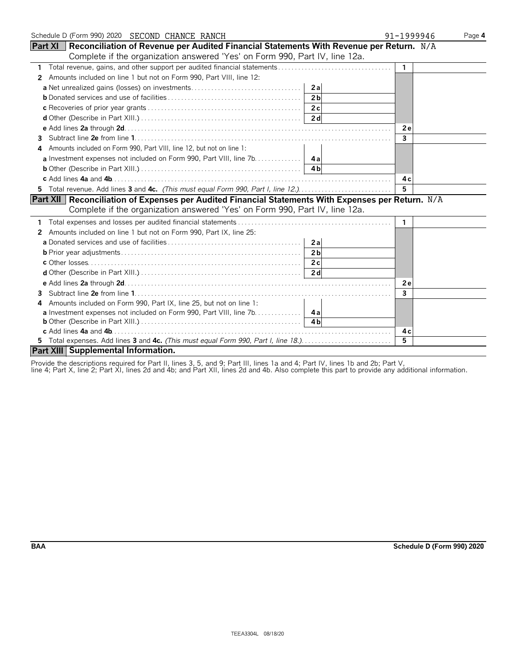| Schedule D (Form 990) 2020 SECOND CHANCE RANCH                                                           |                | 91-1999946     | Page 4 |
|----------------------------------------------------------------------------------------------------------|----------------|----------------|--------|
| <b>Part XI</b> Reconciliation of Revenue per Audited Financial Statements With Revenue per Return. $N/A$ |                |                |        |
| Complete if the organization answered 'Yes' on Form 990, Part IV, line 12a.                              |                |                |        |
|                                                                                                          |                | $\overline{1}$ |        |
| Amounts included on line 1 but not on Form 990, Part VIII, line 12:<br>2                                 |                |                |        |
|                                                                                                          |                |                |        |
|                                                                                                          | 2 <sub>h</sub> |                |        |
|                                                                                                          |                |                |        |
|                                                                                                          |                |                |        |
|                                                                                                          |                | 2e             |        |
| 3                                                                                                        |                | 3              |        |
| Amounts included on Form 990, Part VIII, line 12, but not on line 1:<br>4                                |                |                |        |
|                                                                                                          |                |                |        |
|                                                                                                          |                |                |        |
|                                                                                                          |                | 4 c            |        |
| 5 Total revenue. Add lines 3 and 4c. (This must equal Form 990, Part I, line 12.)                        |                | 5              |        |
| Part XII   Reconciliation of Expenses per Audited Financial Statements With Expenses per Return. N/A     |                |                |        |
| Complete if the organization answered 'Yes' on Form 990, Part IV, line 12a.                              |                |                |        |
|                                                                                                          |                | -1             |        |
| 2 Amounts included on line 1 but not on Form 990, Part IX, line 25:                                      |                |                |        |
|                                                                                                          |                |                |        |
|                                                                                                          |                |                |        |
|                                                                                                          |                |                |        |
|                                                                                                          |                |                |        |
|                                                                                                          |                | <b>2e</b>      |        |
| 3                                                                                                        |                | 3              |        |
| Amounts included on Form 990, Part IX, line 25, but not on line 1:<br>4                                  |                |                |        |
| <b>a</b> Investment expenses not included on Form 990, Part VIII, line 7b. 4a                            |                |                |        |
|                                                                                                          |                |                |        |
|                                                                                                          |                | 4 c            |        |
| 5 Total expenses. Add lines 3 and 4c. (This must equal Form 990, Part I, line 18.).                      |                | 5              |        |
| Part XIII Supplemental Information.                                                                      |                |                |        |

Provide the descriptions required for Part II, lines 3, 5, and 9; Part III, lines 1a and 4; Part IV, lines 1b and 2b; Part V,

line 4; Part X, line 2; Part XI, lines 2d and 4b; and Part XII, lines 2d and 4b. Also complete this part to provide any additional information.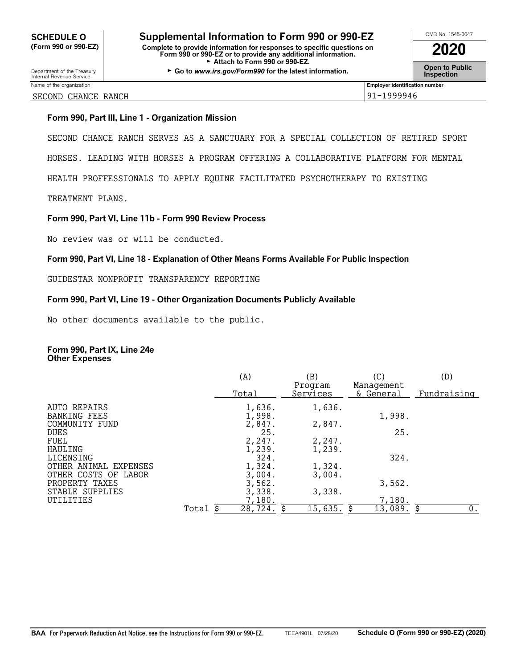## **CHEDULE O** Supplemental Information to Form 990 or 990-EZ<br>
Form 990 or 990-EZ) Complete to provide information for responses to specific questions on **(Form 990 or 990-EZ) Complete to provide information for responses to specific questions on Form 990 or 990-EZ or to provide any additional information. 2020**

Attach to Form 990 or 990-EZ. **Open to Public** Department of the Treasury Go to Department of the Treasury Go to **Public**<br>► Go to *www.irs.gov/Form990* for the latest information.

#### SECOND CHANCE RANCH 91-1999946

### **Form 990, Part III, Line 1 - Organization Mission**

SECOND CHANCE RANCH SERVES AS A SANCTUARY FOR A SPECIAL COLLECTION OF RETIRED SPORT

HORSES. LEADING WITH HORSES A PROGRAM OFFERING A COLLABORATIVE PLATFORM FOR MENTAL

HEALTH PROFFESSIONALS TO APPLY EQUINE FACILITATED PSYCHOTHERAPY TO EXISTING

TREATMENT PLANS.

### **Form 990, Part VI, Line 11b - Form 990 Review Process**

No review was or will be conducted.

### **Form 990, Part VI, Line 18 - Explanation of Other Means Forms Available For Public Inspection**

GUIDESTAR NONPROFIT TRANSPARENCY REPORTING

### **Form 990, Part VI, Line 19 - Other Organization Documents Publicly Available**

No other documents available to the public.

#### **Form 990, Part IX, Line 24e Other Expenses**

|                                     |       | (A)              | (B)                 | (C)                     | (D)         |
|-------------------------------------|-------|------------------|---------------------|-------------------------|-------------|
|                                     |       | Total            | Program<br>Services | Management<br>& General | Fundraising |
| AUTO REPAIRS<br><b>BANKING FEES</b> |       | 1,636.<br>1,998. | 1,636.              | 1,998.                  |             |
| COMMUNITY FUND                      |       | 2,847.           | 2,847.              |                         |             |
| <b>DUES</b>                         |       | 25.              |                     | 25.                     |             |
| FUEL                                |       | 2,247.           | 2,247.              |                         |             |
| HAULING                             |       | 1,239.           | 1,239.              |                         |             |
| LICENSING                           |       | 324.             |                     | 324.                    |             |
| OTHER ANIMAL EXPENSES               |       | 1,324.           | 1,324.              |                         |             |
| OTHER COSTS OF<br>LABOR             |       | 3,004.           | 3.004.              |                         |             |
| PROPERTY TAXES                      |       | 3,562.           |                     | 3,562.                  |             |
| STABLE SUPPLIES                     |       | 3,338.           | 3,338.              |                         |             |
| UTILITIES                           |       | 7,180.           |                     | 7,180.                  |             |
|                                     | Total | 28,724.          | 15,635.             | 13,089.                 | О.<br>S     |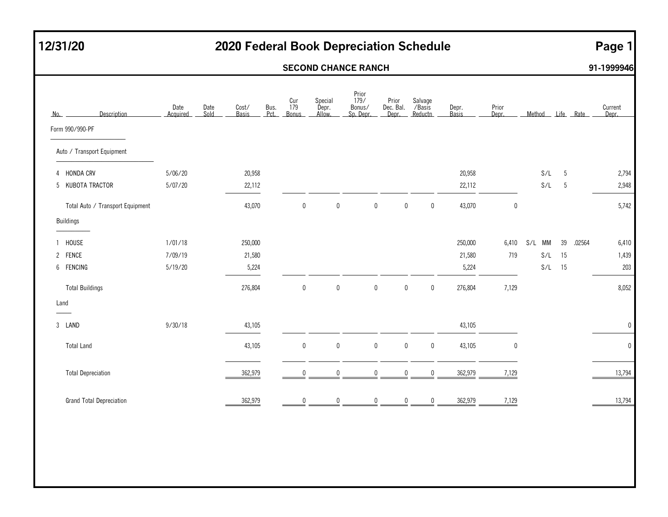## **12/31/20 2020 Federal Book Depreciation Schedule Page 1**

### **SECOND CHANCE RANCH 91-1999946**

| No.               | Description                      | Date<br>Acquired | Date<br>Sold | Cost/<br><b>Basis</b> | Bus.<br>Pct. | Cur<br>179<br>Bonus | Special<br>Depr.<br>Allow. | Prior<br>179/<br>Bonus/<br>Sp. Depr. | Prior<br>Dec. Bal.<br>Depr. |             | Salvage<br>/Basis<br>Reductn | Depr.<br>Basis | Prior<br>Depr. | Method |    | Life Rate | Current<br>Depr. |
|-------------------|----------------------------------|------------------|--------------|-----------------------|--------------|---------------------|----------------------------|--------------------------------------|-----------------------------|-------------|------------------------------|----------------|----------------|--------|----|-----------|------------------|
| Form 990/990-PF   |                                  |                  |              |                       |              |                     |                            |                                      |                             |             |                              |                |                |        |    |           |                  |
|                   | Auto / Transport Equipment       |                  |              |                       |              |                     |                            |                                      |                             |             |                              |                |                |        |    |           |                  |
| 4 HONDA CRV       |                                  | 5/06/20          |              | 20,958                |              |                     |                            |                                      |                             |             |                              | 20,958         |                | S/L    | 5  |           | 2,794            |
|                   | 5 KUBOTA TRACTOR                 | 5/07/20          |              | 22,112                |              |                     |                            |                                      |                             |             |                              | 22,112         |                | S/L    | 5  |           | 2,948            |
|                   | Total Auto / Transport Equipment |                  |              | 43,070                |              | $\pmb{0}$           | $\bm{0}$                   |                                      | 0                           | $\pmb{0}$   | $\boldsymbol{0}$             | 43,070         | $\pmb{0}$      |        |    |           | 5,742            |
| Buildings         |                                  |                  |              |                       |              |                     |                            |                                      |                             |             |                              |                |                |        |    |           |                  |
| HOUSE             |                                  | 1/01/18          |              | 250,000               |              |                     |                            |                                      |                             |             |                              | 250,000        | 6,410          | S/L MM | 39 | .02564    | 6,410            |
| 2 FENCE           |                                  | 7/09/19          |              | 21,580                |              |                     |                            |                                      |                             |             |                              | 21,580         | 719            | S/L    | 15 |           | 1,439            |
| 6 FENCING         |                                  | 5/19/20          |              | 5,224                 |              |                     |                            |                                      |                             |             |                              | 5,224          |                | S/L    | 15 |           | 203              |
|                   | <b>Total Buildings</b>           |                  |              | 276,804               |              | $\mathbf 0$         | $\mathbf 0$                |                                      | $\pmb{0}$                   | $\mathbf 0$ | $\mathbf 0$                  | 276,804        | 7,129          |        |    |           | 8,052            |
| Land              |                                  |                  |              |                       |              |                     |                            |                                      |                             |             |                              |                |                |        |    |           |                  |
| 3 LAND            |                                  | 9/30/18          |              | 43,105                |              |                     |                            |                                      |                             |             |                              | 43,105         |                |        |    |           | $\mathbf 0$      |
| <b>Total Land</b> |                                  |                  |              | 43,105                |              | $\pmb{0}$           | $\pmb{0}$                  |                                      | $\pmb{0}$                   | $\bf{0}$    | $\mathbf 0$                  | 43,105         | $\mathbf{0}$   |        |    |           | $\pmb{0}$        |
|                   | <b>Total Depreciation</b>        |                  |              | 362,979               |              |                     | $\Omega$                   |                                      | $\theta$                    | 0           | $\Omega$                     | 362,979        | 7,129          |        |    |           | 13,794           |
|                   | <b>Grand Total Depreciation</b>  |                  |              | 362,979               |              | $\Omega$            | $\Omega$                   |                                      | 0                           | 0           | $\mathbf 0$                  | 362,979        | 7,129          |        |    |           | 13,794           |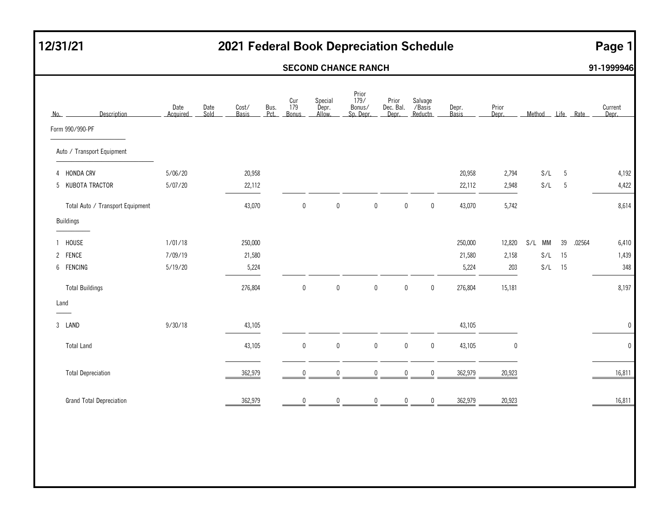## **12/31/21 2021 Federal Book Depreciation Schedule Page 1**

### **SECOND CHANCE RANCH 91-1999946**

| Description<br>No.               | Date<br>Date<br>Sold<br>Acquired | Cost/<br>Bus.<br>Pct.<br><b>Basis</b> | Cur<br>179<br><b>Bonus</b> | Special<br>Depr.<br>Allow. | Prior<br>179/<br>Bonus/<br>Sp. Depr. | Prior<br>Dec. Bal.<br>Depr. | Salvage<br>/Basis<br>Reductn | Depr.<br>Basis | Prior<br>Depr. | Method | Life Rate |        | Current<br>Depr. |
|----------------------------------|----------------------------------|---------------------------------------|----------------------------|----------------------------|--------------------------------------|-----------------------------|------------------------------|----------------|----------------|--------|-----------|--------|------------------|
| Form 990/990-PF                  |                                  |                                       |                            |                            |                                      |                             |                              |                |                |        |           |        |                  |
| Auto / Transport Equipment       |                                  |                                       |                            |                            |                                      |                             |                              |                |                |        |           |        |                  |
| 4 HONDA CRV                      | 5/06/20                          | 20,958                                |                            |                            |                                      |                             |                              | 20,958         | 2,794          | S/L    | 5         |        | 4,192            |
| 5 KUBOTA TRACTOR                 | 5/07/20                          | 22,112                                |                            |                            |                                      |                             |                              | 22,112         | 2,948          | S/L    | 5         |        | 4,422            |
| Total Auto / Transport Equipment |                                  | 43,070                                | $\mathbf 0$                | $\pmb{0}$                  | $\pmb{0}$                            | $\pmb{0}$                   | $\mathbf 0$                  | 43,070         | 5,742          |        |           |        | 8,614            |
| <b>Buildings</b>                 |                                  |                                       |                            |                            |                                      |                             |                              |                |                |        |           |        |                  |
| HOUSE<br>$\mathbf{1}$            | 1/01/18                          | 250,000                               |                            |                            |                                      |                             |                              | 250,000        | 12,820         | S/L MM | 39        | .02564 | 6,410            |
| 2 FENCE                          | 7/09/19                          | 21,580                                |                            |                            |                                      |                             |                              | 21,580         | 2,158          | S/L    | 15        |        | 1,439            |
| 6 FENCING                        | 5/19/20                          | 5,224                                 |                            |                            |                                      |                             |                              | 5,224          | 203            | S/L    | 15        |        | 348              |
| <b>Total Buildings</b>           |                                  | 276,804                               | $\mathbf 0$                | $\mathbf 0$                | 0                                    | $\mathbf 0$                 | $\mathbf 0$                  | 276,804        | 15,181         |        |           |        | 8,197            |
| Land                             |                                  |                                       |                            |                            |                                      |                             |                              |                |                |        |           |        |                  |
| 3 LAND                           | 9/30/18                          | 43,105                                |                            |                            |                                      |                             |                              | 43,105         |                |        |           |        | $\mathbf 0$      |
| <b>Total Land</b>                |                                  | 43,105                                | $\mathbf 0$                | $\pmb{0}$                  | $\pmb{0}$                            | $\pmb{0}$                   | $\mathbf 0$                  | 43,105         | 0              |        |           |        | $\pmb{0}$        |
| <b>Total Depreciation</b>        |                                  | 362,979                               | $\Omega$                   | $\mathbf 0$                | 0                                    | 0                           | $\mathbf 0$                  | 362,979        | 20,923         |        |           |        | 16,811           |
| <b>Grand Total Depreciation</b>  |                                  | 362,979                               | $\Omega$                   | $\mathbf 0$                | 0                                    | $\mathbf 0$                 | 0                            | 362,979        | 20,923         |        |           |        | 16,811           |